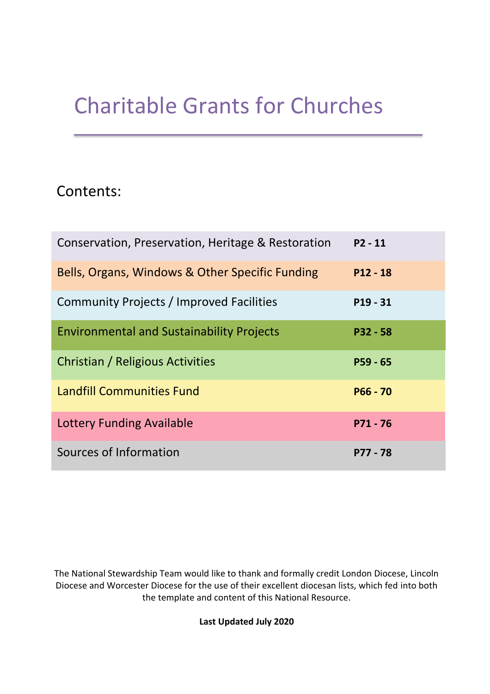# Charitable Grants for Churches

## Contents:

| Conservation, Preservation, Heritage & Restoration | $P2 - 11$  |
|----------------------------------------------------|------------|
| Bells, Organs, Windows & Other Specific Funding    | $P12 - 18$ |
| Community Projects / Improved Facilities           | $P19 - 31$ |
| <b>Environmental and Sustainability Projects</b>   | $P32 - 58$ |
| Christian / Religious Activities                   | $P59 - 65$ |
| <b>Landfill Communities Fund</b>                   | $P66 - 70$ |
| <b>Lottery Funding Available</b>                   | $P71 - 76$ |
| Sources of Information                             | P77 - 78   |

The National Stewardship Team would like to thank and formally credit London Diocese, Lincoln Diocese and Worcester Diocese for the use of their excellent diocesan lists, which fed into both the template and content of this National Resource.

**Last Updated July 2020**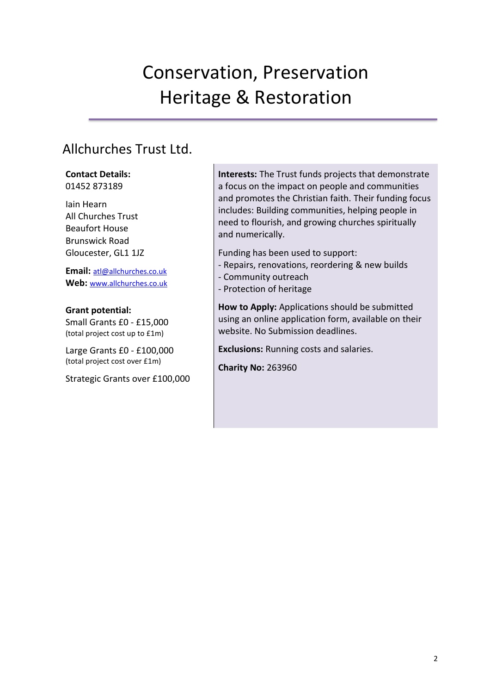# Conservation, Preservation Heritage & Restoration

## Allchurches Trust Ltd.

**Contact Details:** 01452 873189

Iain Hearn All Churches Trust Beaufort House Brunswick Road Gloucester, GL1 1JZ

**Email:** [atl@allchurches.co.uk](mailto:atl@allchurches.co.uk) **Web:** [www.allchurches.co.uk](http://www.allchurches.co.uk/)

**Grant potential:**  Small Grants £0 - £15,000 (total project cost up to £1m)

Large Grants £0 - £100,000 (total project cost over £1m)

Strategic Grants over £100,000

**Interests:** The Trust funds projects that demonstrate a focus on the impact on people and communities and promotes the Christian faith. Their funding focus includes: Building communities, helping people in need to flourish, and growing churches spiritually and numerically.

Funding has been used to support:

- Repairs, renovations, reordering & new builds
- Community outreach
- Protection of heritage

**How to Apply:** Applications should be submitted using an online application form, available on their website. No Submission deadlines.

**Exclusions:** Running costs and salaries.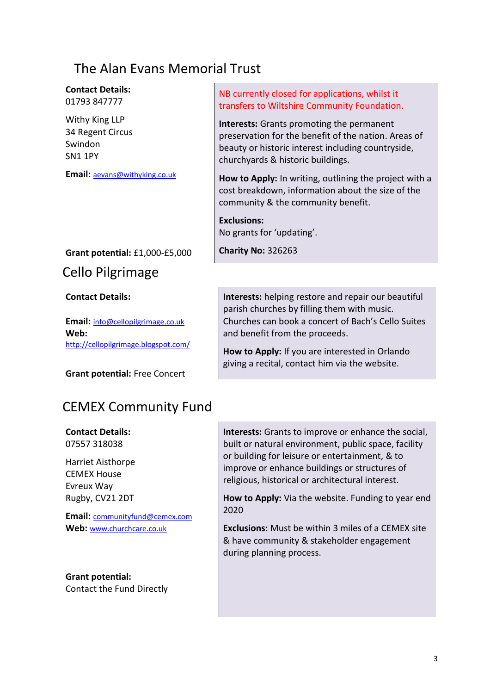## The Alan Evans Memorial Trust

**Contact Details:** 01793 847777

Withy King LLP 34 Regent Circus Swindon SN1 1PY

**Email:** [aevans@withyking.co.uk](mailto:aevans@withyking.co.uk)

#### **Grant potential:** £1,000-£5,000

### Cello Pilgrimage

#### **Contact Details:**

**Email:** [info@cellopilgrimage.co.uk](mailto:info@cellopilgrimage.co.uk) **Web:** http://cellopilgrimage.blogspot.com/

**Grant potential:** Free Concert

#### NB currently closed for applications, whilst it transfers to Wiltshire Community Foundation.

**Interests:** Grants promoting the permanent preservation for the benefit of the nation. Areas of beauty or historic interest including countryside, churchyards & historic buildings.

**How to Apply:** In writing, outlining the project with a cost breakdown, information about the size of the community & the community benefit.

**Exclusions:**  No grants for 'updating'.

**Charity No:** 326263

**Interests:** helping restore and repair our beautiful parish churches by filling them with music. Churches can book a concert of Bach's Cello Suites and benefit from the proceeds.

**How to Apply:** If you are interested in Orlando giving a recital, contact him via the website.

## CEMEX Community Fund

**Contact Details:** 07557 318038

Harriet Aisthorpe CEMEX House Evreux Way Rugby, CV21 2DT

**Email:** communityfund@cemex.com **Web:** [www.churchcare.co.uk](http://www.churchcare.co.uk/)

**Grant potential:**  Contact the Fund Directly

**Interests:** Grants to improve or enhance the social, built or natural environment, public space, facility or building for leisure or entertainment, & to improve or enhance buildings or structures of religious, historical or architectural interest.

**How to Apply:** Via the website. Funding to year end 2020

**Exclusions:** Must be within 3 miles of a CEMEX site & have community & stakeholder engagement during planning process.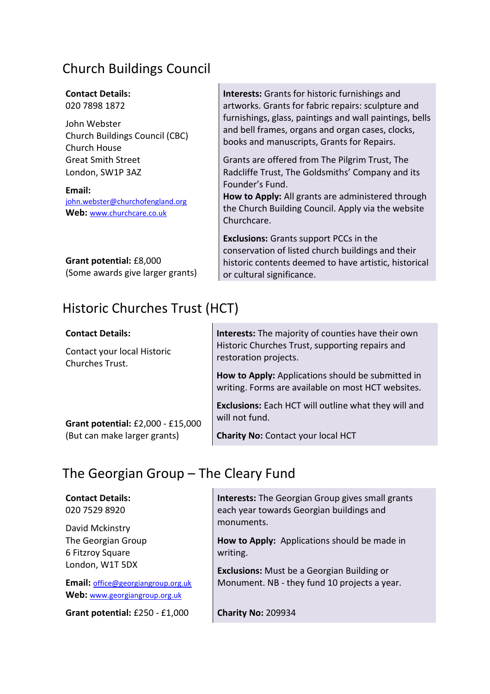## Church Buildings Council

### **Contact Details:**

020 7898 1872

John Webster Church Buildings Council (CBC) Church House Great Smith Street London, SW1P 3AZ

**Email:** [john.webster@churchofengland.org](mailto:john.webster@churchofengland.org) **Web:** [www.churchcare.co.uk](http://www.churchcare.co.uk/)

**Grant potential:** £8,000 (Some awards give larger grants)

## Historic Churches Trust (HCT)

**Interests:** Grants for historic furnishings and artworks. Grants for fabric repairs: sculpture and furnishings, glass, paintings and wall paintings, bells and bell frames, organs and organ cases, clocks, books and manuscripts, Grants for Repairs.

Grants are offered from The Pilgrim Trust, The Radcliffe Trust, The Goldsmiths' Company and its Founder's Fund.

**How to Apply:** All grants are administered through the Church Building Council. Apply via the website Churchcare.

**Exclusions:** Grants support PCCs in the conservation of listed church buildings and their historic contents deemed to have artistic, historical or cultural significance.

| <b>Contact Details:</b>                        | Interests: The majority of counties have their own                                                      |
|------------------------------------------------|---------------------------------------------------------------------------------------------------------|
| Contact your local Historic<br>Churches Trust. | Historic Churches Trust, supporting repairs and<br>restoration projects.                                |
|                                                | How to Apply: Applications should be submitted in<br>writing. Forms are available on most HCT websites. |
| Grant potential: £2,000 - £15,000              | <b>Exclusions:</b> Each HCT will outline what they will and<br>will not fund.                           |
| (But can make larger grants)                   | <b>Charity No: Contact your local HCT</b>                                                               |

### The Georgian Group – The Cleary Fund

#### **Contact Details:**

020 7529 8920

David Mckinstry The Georgian Group 6 Fitzroy Square London, W1T 5DX

**Email:** [office@georgiangroup.org.uk](mailto:office@georgiangroup.org.uk) **Web:** [www.georgiangroup.org.uk](http://www.georgiangroup.org.uk/)

**Grant potential:** £250 - £1,000

**Interests:** The Georgian Group gives small grants each year towards Georgian buildings and monuments.

**How to Apply:** Applications should be made in writing.

**Exclusions:** Must be a Georgian Building or Monument. NB - they fund 10 projects a year.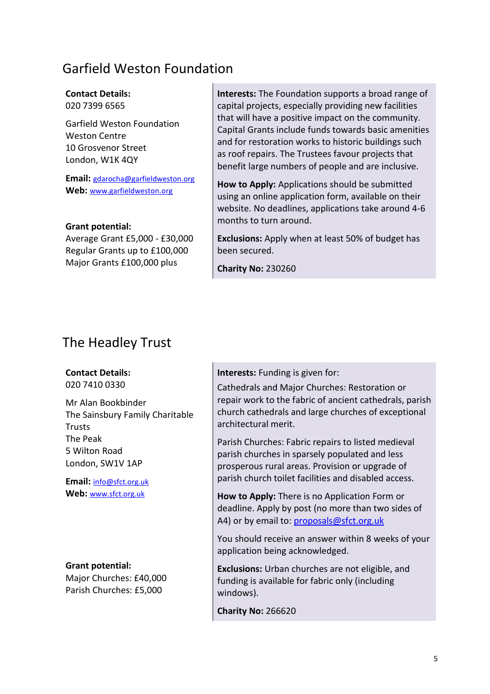## Garfield Weston Foundation

### **Contact Details:**

020 7399 6565

Garfield Weston Foundation Weston Centre 10 Grosvenor Street London, W1K 4QY

**Email:** [gdarocha@garfieldweston.org](mailto:dendicott@se-law.co.uk) **Web:** www.garfieldweston.org

#### **Grant potential:**

Average Grant £5,000 - £30,000 Regular Grants up to £100,000 Major Grants £100,000 plus

**Interests:** The Foundation supports a broad range of capital projects, especially providing new facilities that will have a positive impact on the community. Capital Grants include funds towards basic amenities and for restoration works to historic buildings such as roof repairs. The Trustees favour projects that benefit large numbers of people and are inclusive.

**How to Apply:** Applications should be submitted using an online application form, available on their website. No deadlines, applications take around 4-6 months to turn around.

**Exclusions:** Apply when at least 50% of budget has been secured.

**Charity No:** 230260

## The Headley Trust

### **Contact Details:**

020 7410 0330

Mr Alan Bookbinder The Sainsbury Family Charitable Trusts The Peak 5 Wilton Road London, SW1V 1AP

**Email:** [info@sfct.org.uk](mailto:info@sfct.org.uk) **Web:** [www.sfct.org.uk](http://www.sfct.org.uk/)

**Grant potential:** Major Churches: £40,000 Parish Churches: £5,000

**Interests:** Funding is given for:

Cathedrals and Major Churches: Restoration or repair work to the fabric of ancient cathedrals, parish church cathedrals and large churches of exceptional architectural merit.

Parish Churches: Fabric repairs to listed medieval parish churches in sparsely populated and less prosperous rural areas. Provision or upgrade of parish church toilet facilities and disabled access.

**How to Apply:** There is no Application Form or deadline. Apply by post (no more than two sides of A4) or by email to[: proposals@sfct.org.uk](mailto:proposals@sfct.org.uk)

You should receive an answer within 8 weeks of your application being acknowledged.

**Exclusions:** Urban churches are not eligible, and funding is available for fabric only (including windows).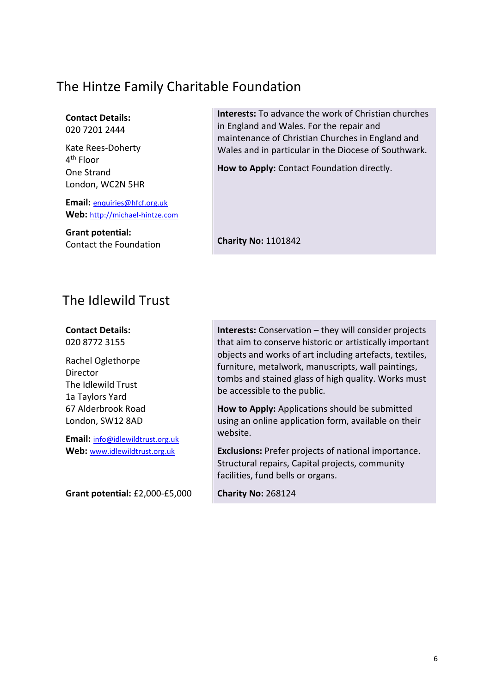## The Hintze Family Charitable Foundation

**Contact Details:** 020 7201 2444

Kate Rees-Doherty 4<sup>th</sup> Floor One Strand London, WC2N 5HR

**Email:** [enquiries@hfcf.org.uk](mailto:enquiries@hfcf.org.uk) **Web:** [http://michael-hintze.com](mailto:enquiries@hfcf.org.uk)

**Grant potential:** Contact the Foundation **Interests:** To advance the work of Christian churches in England and Wales. For the repair and maintenance of Christian Churches in England and Wales and in particular in the Diocese of Southwark.

**How to Apply:** Contact Foundation directly.

**Charity No:** 1101842

### The Idlewild Trust

**Contact Details:** 020 8772 3155

Rachel Oglethorpe Director The Idlewild Trust 1a Taylors Yard 67 Alderbrook Road London, SW12 8AD

**Email:** [info@idlewildtrust.org.uk](mailto:info@idlewildtrust.org.uk) **Web:** [www.idlewildtrust.org.uk](http://www.idlewildtrust.org.uk/)

**Grant potential:** £2,000-£5,000

**Interests:** Conservation – they will consider projects that aim to conserve historic or artistically important objects and works of art including artefacts, textiles, furniture, metalwork, manuscripts, wall paintings, tombs and stained glass of high quality. Works must be accessible to the public.

**How to Apply:** Applications should be submitted using an online application form, available on their website.

**Exclusions:** Prefer projects of national importance. Structural repairs, Capital projects, community facilities, fund bells or organs.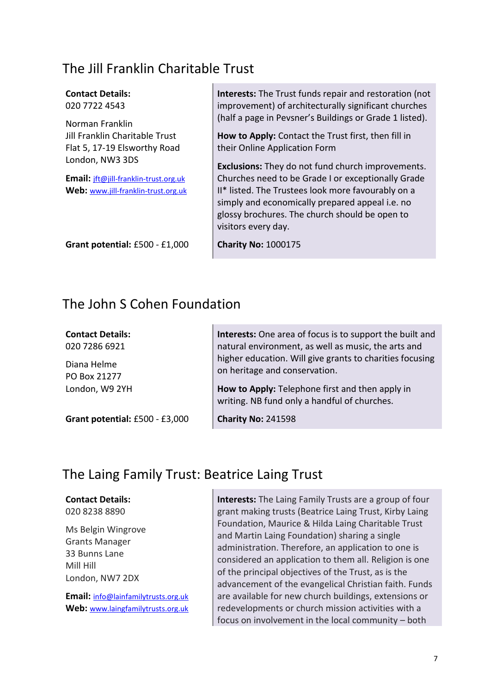### The Jill Franklin Charitable Trust

| <b>Contact Details:</b>                                                           | <b>Interests:</b> The Trust funds repair and restoration (not                                                                                                                  |
|-----------------------------------------------------------------------------------|--------------------------------------------------------------------------------------------------------------------------------------------------------------------------------|
| 020 7722 4543                                                                     | improvement) of architecturally significant churches                                                                                                                           |
| Norman Franklin<br>Jill Franklin Charitable Trust<br>Flat 5, 17-19 Elsworthy Road | (half a page in Pevsner's Buildings or Grade 1 listed).<br>How to Apply: Contact the Trust first, then fill in<br>their Online Application Form                                |
| London, NW3 3DS                                                                   | <b>Exclusions:</b> They do not fund church improvements.                                                                                                                       |
| Email: jft@jill-franklin-trust.org.uk                                             | Churches need to be Grade I or exceptionally Grade                                                                                                                             |
| Web: www.jill-franklin-trust.org.uk                                               | II* listed. The Trustees look more favourably on a<br>simply and economically prepared appeal i.e. no<br>glossy brochures. The church should be open to<br>visitors every day. |
| Grant potential: £500 - £1,000                                                    | <b>Charity No: 1000175</b>                                                                                                                                                     |

### The John S Cohen Foundation

**Contact Details:** 020 7286 6921

Diana Helme PO Box 21277 London, W9 2YH

**Grant potential:** £500 - £3,000

**Interests:** One area of focus is to support the built and natural environment, as well as music, the arts and higher education. Will give grants to charities focusing on heritage and conservation.

**How to Apply:** Telephone first and then apply in writing. NB fund only a handful of churches.

**Charity No:** 241598

## The Laing Family Trust: Beatrice Laing Trust

#### **Contact Details:**

020 8238 8890

Ms Belgin Wingrove Grants Manager 33 Bunns Lane Mill Hill London, NW7 2DX

**Email:** [info@lainfamilytrusts.org.uk](mailto:info@lainfamilytrusts.org.uk) **Web:** [www.laingfamilytrusts.org.uk](http://www.laingfamilytrusts.org.uk/) **Interests:** The Laing Family Trusts are a group of four grant making trusts (Beatrice Laing Trust, Kirby Laing Foundation, Maurice & Hilda Laing Charitable Trust and Martin Laing Foundation) sharing a single administration. Therefore, an application to one is considered an application to them all. Religion is one of the principal objectives of the Trust, as is the advancement of the evangelical Christian faith. Funds are available for new church buildings, extensions or redevelopments or church mission activities with a focus on involvement in the local community – both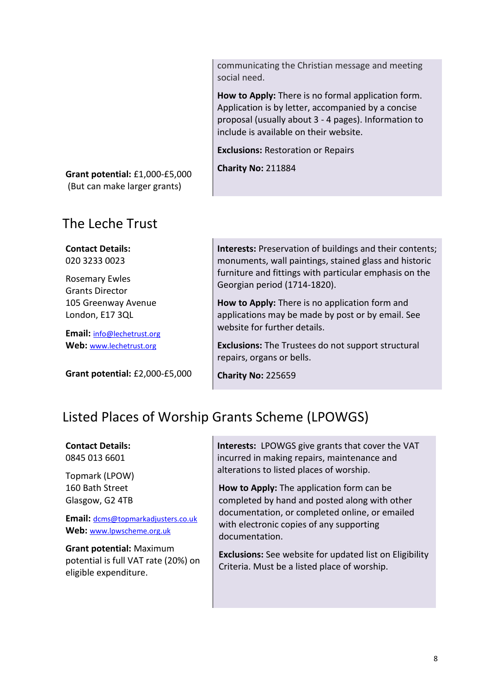communicating the Christian message and meeting social need.

**How to Apply:** There is no formal application form. Application is by letter, accompanied by a concise proposal (usually about 3 - 4 pages). Information to include is available on their website.

**Exclusions:** Restoration or Repairs

**Charity No:** 211884

**Grant potential:** £1,000-£5,000 (But can make larger grants)

### The Leche Trust

**Contact Details:** 020 3233 0023

Rosemary Ewles Grants Director 105 Greenway Avenue London, E17 3QL

**Email:** [info@lechetrust.org](mailto:info@lechetrust.org) **Web:** [www.lechetrust.org](http://www.lechetrust.org/)

**Grant potential:** £2,000-£5,000

**Interests:** Preservation of buildings and their contents; monuments, wall paintings, stained glass and historic furniture and fittings with particular emphasis on the Georgian period (1714-1820).

**How to Apply:** There is no application form and applications may be made by post or by email. See website for further details.

**Exclusions:** The Trustees do not support structural repairs, organs or bells.

**Charity No:** 225659

## Listed Places of Worship Grants Scheme (LPOWGS)

**Contact Details:** 0845 013 6601

Topmark (LPOW) 160 Bath Street Glasgow, G2 4TB

**Email:** [dcms@topmarkadjusters.co.uk](mailto:dcms@topmarkadjusters.co.uk) **Web:** [www.lpwscheme.org.uk](http://www.lpwscheme.org.uk/)

**Grant potential:** Maximum potential is full VAT rate (20%) on eligible expenditure.

**Interests:** LPOWGS give grants that cover the VAT incurred in making repairs, maintenance and alterations to listed places of worship.

**How to Apply:** The application form can be completed by hand and posted along with other documentation, or completed online, or emailed with electronic copies of any supporting documentation.

**Exclusions:** See website for updated list on Eligibility Criteria. Must be a listed place of worship.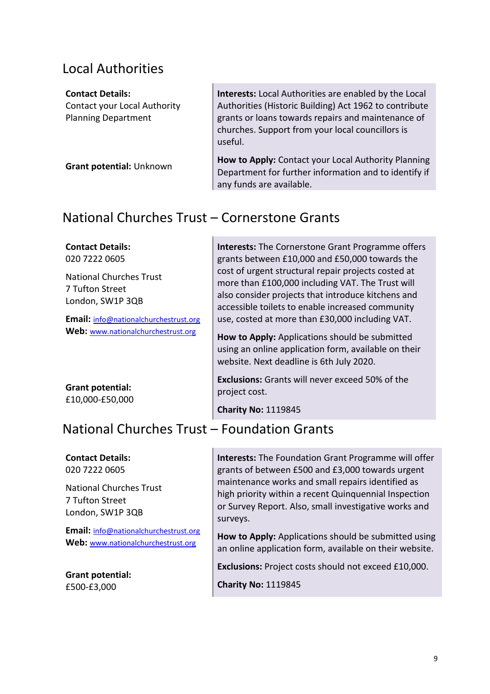### Local Authorities

#### **Contact Details:**

Contact your Local Authority Planning Department

**Grant potential:** Unknown

**Interests:** Local Authorities are enabled by the Local Authorities (Historic Building) Act 1962 to contribute grants or loans towards repairs and maintenance of churches. Support from your local councillors is useful.

**How to Apply:** Contact your Local Authority Planning Department for further information and to identify if any funds are available.

## National Churches Trust – Cornerstone Grants

#### **Contact Details:** 020 7222 0605 National Churches Trust 7 Tufton Street London, SW1P 3QB **Email:** [info@nationalchurchestrust.org](mailto:info@nationalchurchestrust.org) Web: [www.nationalchurchestrust.org](http://www.nationalchurchestrust.org/) **Grant potential:** £10,000-£50,000 **Interests:** The Cornerstone Grant Programme offers grants between £10,000 and £50,000 towards the cost of urgent structural repair projects costed at more than £100,000 including VAT. The Trust will also consider projects that introduce kitchens and accessible toilets to enable increased community use, costed at more than £30,000 including VAT. **How to Apply:** Applications should be submitted using an online application form, available on their website. Next deadline is 6th July 2020. **Exclusions:** Grants will never exceed 50% of the project cost. **Charity No:** 1119845

## National Churches Trust – Foundation Grants

### **Contact Details:**

020 7222 0605

National Churches Trust 7 Tufton Street London, SW1P 3QB

**Email:** [info@nationalchurchestrust.org](mailto:info@nationalchurchestrust.org) Web: [www.nationalchurchestrust.org](http://www.nationalchurchestrust.org/)

**Grant potential:** £500-£3,000

**Interests:** The Foundation Grant Programme will offer grants of between £500 and £3,000 towards urgent maintenance works and small repairs identified as high priority within a recent Quinquennial Inspection or Survey Report. Also, small investigative works and surveys.

**How to Apply:** Applications should be submitted using an online application form, available on their website.

**Exclusions:** Project costs should not exceed £10,000.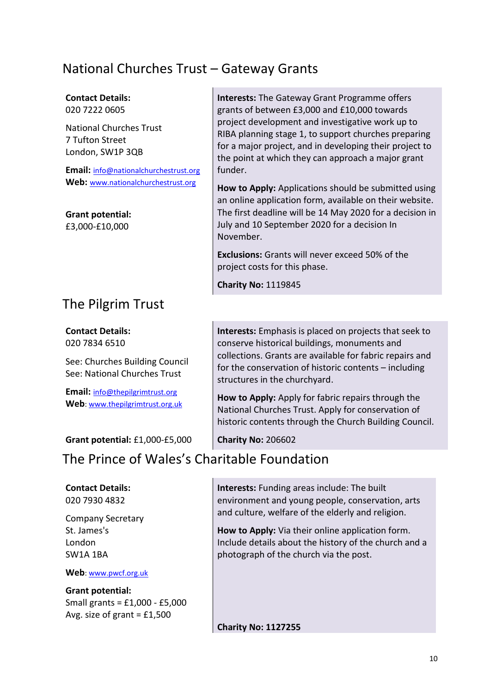## National Churches Trust – Gateway Grants

### **Contact Details:**

020 7222 0605

National Churches Trust 7 Tufton Street London, SW1P 3QB

**Email:** [info@nationalchurchestrust.org](mailto:info@nationalchurchestrust.org) Web: [www.nationalchurchestrust.org](http://www.nationalchurchestrust.org/)

**Grant potential:** £3,000-£10,000

## The Pilgrim Trust

**Contact Details:** 020 7834 6510

See: Churches Building Council See: National Churches Trust

**Email:** [info@thepilgrimtrust.org](mailto:info@thepilgrimtrust.org) **Web**: [www.thepilgrimtrust.org.uk](http://www.thepilgrimtrust.org.uk/)

**Grant potential:** £1,000-£5,000

## The Prince of Wales's Charitable Foundation

### **Contact Details:**

020 7930 4832

Company Secretary St. James's London SW1A 1BA

**Web**: [www.pwcf.org.uk](http://www.pwcf.org.uk/)

**Grant potential:** Small grants = £1,000 - £5,000 Avg. size of grant  $=$  £1,500

**Interests:** The Gateway Grant Programme offers grants of between £3,000 and £10,000 towards project development and investigative work up to RIBA planning stage 1, to support churches preparing for a major project, and in developing their project to the point at which they can approach a major grant funder.

**How to Apply:** Applications should be submitted using an online application form, available on their website. The first deadline will be 14 May 2020 for a decision in July and 10 September 2020 for a decision In November.

**Exclusions:** Grants will never exceed 50% of the project costs for this phase.

**Charity No:** 1119845

**Interests:** Emphasis is placed on projects that seek to conserve historical buildings, monuments and collections. Grants are available for fabric repairs and for the conservation of historic contents – including structures in the churchyard.

**How to Apply:** Apply for fabric repairs through the National Churches Trust. Apply for conservation of historic contents through the Church Building Council.

**Charity No:** 206602

**Interests:** Funding areas include: The built environment and young people, conservation, arts

and culture, welfare of the elderly and religion.

**How to Apply:** Via their online application form. Include details about the history of the church and a photograph of the church via the post.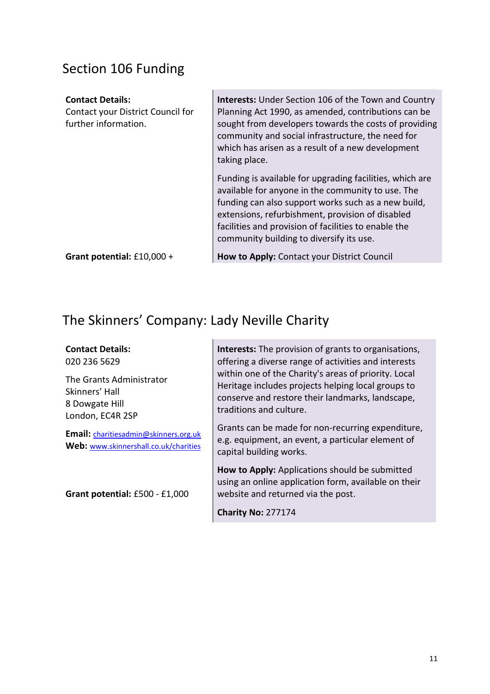## Section 106 Funding

| <b>Contact Details:</b><br>Contact your District Council for<br>further information. | <b>Interests:</b> Under Section 106 of the Town and Country<br>Planning Act 1990, as amended, contributions can be<br>sought from developers towards the costs of providing<br>community and social infrastructure, the need for<br>which has arisen as a result of a new development<br>taking place.                       |
|--------------------------------------------------------------------------------------|------------------------------------------------------------------------------------------------------------------------------------------------------------------------------------------------------------------------------------------------------------------------------------------------------------------------------|
|                                                                                      | Funding is available for upgrading facilities, which are<br>available for anyone in the community to use. The<br>funding can also support works such as a new build,<br>extensions, refurbishment, provision of disabled<br>facilities and provision of facilities to enable the<br>community building to diversify its use. |
| Grant potential: £10,000 +                                                           | How to Apply: Contact your District Council                                                                                                                                                                                                                                                                                  |

## The Skinners' Company: Lady Neville Charity

### **Contact Details:**

020 236 5629

The Grants Administrator Skinners' Hall 8 Dowgate Hill London, EC4R 2SP

**Email:** [charitiesadmin@skinners.org.uk](mailto:charitiesadmin@skinners.org.uk) **Web:** [www.skinnershall.co.uk/charities](http://www.skinnershall.co.uk/charities)

**Grant potential:** £500 - £1,000

**Interests:** The provision of grants to organisations, offering a diverse range of activities and interests within one of the Charity's areas of priority. Local Heritage includes projects helping local groups to conserve and restore their landmarks, landscape, traditions and culture.

Grants can be made for non-recurring expenditure, e.g. equipment, an event, a particular element of capital building works.

**How to Apply:** Applications should be submitted using an online application form, available on their website and returned via the post.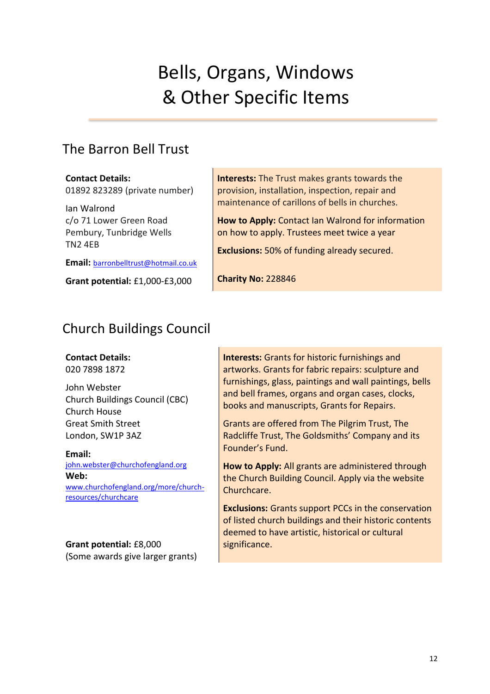# Bells, Organs, Windows & Other Specific Items

## The Barron Bell Trust

**Contact Details:** 01892 823289 (private number)

Ian Walrond c/o 71 Lower Green Road Pembury, Tunbridge Wells TN2 4EB

**Email:** [barronbelltrust@hotmail.co.uk](mailto:barronbelltrust@hotmail.co.uk)

**Grant potential:** £1,000-£3,000

**Interests:** The Trust makes grants towards the provision, installation, inspection, repair and maintenance of carillons of bells in churches.

**How to Apply:** Contact Ian Walrond for information on how to apply. Trustees meet twice a year

**Exclusions:** 50% of funding already secured.

**Charity No:** 228846

## Church Buildings Council

### **Contact Details:**

020 7898 1872

John Webster Church Buildings Council (CBC) Church House Great Smith Street London, SW1P 3AZ

**Email:** [john.webster@churchofengland.org](mailto:john.webster@churchofengland.org) **Web:** [www.churchofengland.org/more/church](https://eur02.safelinks.protection.outlook.com/?url=https%3A%2F%2Fwww.churchofengland.org%2Fmore%2Fchurch-resources%2Fchurchcare&data=02%7C01%7CJonathan.debernhardtwood%40churchofengland.org%7Ca369535a63a2407502a708d6e699bc6d%7C95e2463b3ab047b49ac1587c77ee84f0%7C0%7C0%7C636949945305761502&sdata=B%2FdFfMd%2F6dso9HTwdy8B%2FP88xe%2FD1GVEB3EDPJEnZj8%3D&reserved=0)[resources/churchcare](https://eur02.safelinks.protection.outlook.com/?url=https%3A%2F%2Fwww.churchofengland.org%2Fmore%2Fchurch-resources%2Fchurchcare&data=02%7C01%7CJonathan.debernhardtwood%40churchofengland.org%7Ca369535a63a2407502a708d6e699bc6d%7C95e2463b3ab047b49ac1587c77ee84f0%7C0%7C0%7C636949945305761502&sdata=B%2FdFfMd%2F6dso9HTwdy8B%2FP88xe%2FD1GVEB3EDPJEnZj8%3D&reserved=0)

### **Grant potential:** £8,000 (Some awards give larger grants)

**Interests:** Grants for historic furnishings and artworks. Grants for fabric repairs: sculpture and furnishings, glass, paintings and wall paintings, bells and bell frames, organs and organ cases, clocks, books and manuscripts, Grants for Repairs.

Grants are offered from The Pilgrim Trust, The Radcliffe Trust, The Goldsmiths' Company and its Founder's Fund.

**How to Apply:** All grants are administered through the Church Building Council. Apply via the website Churchcare.

**Exclusions:** Grants support PCCs in the conservation of listed church buildings and their historic contents deemed to have artistic, historical or cultural significance.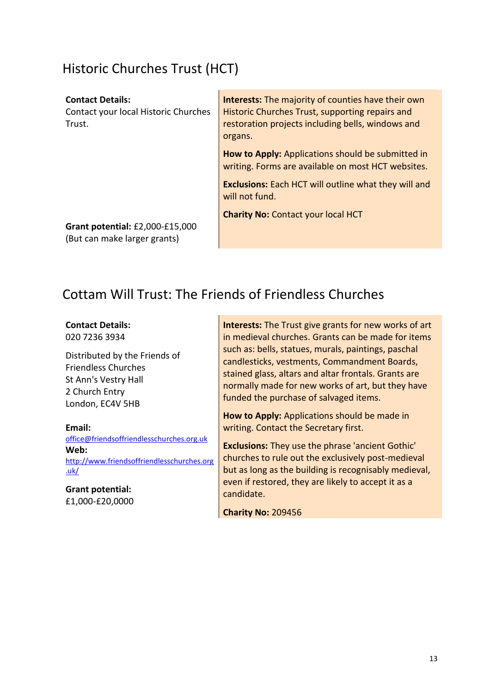## Historic Churches Trust (HCT)

#### **Contact Details:**

Contact your local Historic Churches Trust.

**Interests:** The majority of counties have their own Historic Churches Trust, supporting repairs and restoration projects including bells, windows and organs.

**How to Apply:** Applications should be submitted in writing. Forms are available on most HCT websites.

**Exclusions:** Each HCT will outline what they will and will not fund.

**Charity No:** Contact your local HCT

**Grant potential:** £2,000-£15,000 (But can make larger grants)

## Cottam Will Trust: The Friends of Friendless Churches

**Contact Details:**

020 7236 3934

Distributed by the Friends of Friendless Churches St Ann's Vestry Hall 2 Church Entry London, EC4V 5HB

**Email:** 

[office@friendsoffriendlesschurches.org.uk](mailto:office@friendsoffriendlesschurches.org.uk) **Web:** [http://www.friendsoffriendlesschurches.org](http://www.friendsoffriendlesschurches.org.uk/) [.uk/](http://www.friendsoffriendlesschurches.org.uk/)

**Grant potential:** £1,000-£20,0000 **Interests:** The Trust give grants for new works of art in medieval churches. Grants can be made for items such as: bells, statues, murals, paintings, paschal candlesticks, vestments, Commandment Boards, stained glass, altars and altar frontals. Grants are normally made for new works of art, but they have funded the purchase of salvaged items.

**How to Apply:** Applications should be made in writing. Contact the Secretary first.

**Exclusions:** They use the phrase 'ancient Gothic' churches to rule out the exclusively post-medieval but as long as the building is recognisably medieval, even if restored, they are likely to accept it as a candidate.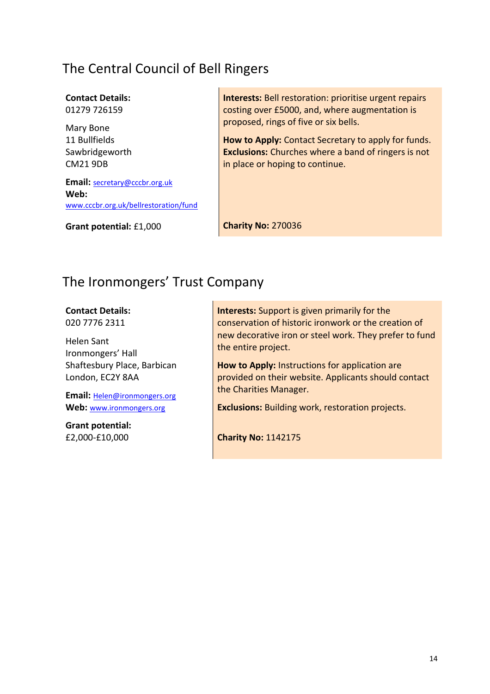## The Central Council of Bell Ringers

### **Contact Details:**

01279 726159

Mary Bone 11 Bullfields Sawbridgeworth CM21 9DB

**Email:** [secretary@cccbr.org.uk](mailto:secretary@cccbr.org.uk) **Web:**  www.cccbr.org.uk/bellrestoration/fund

**Grant potential:** £1,000

**Interests:** Bell restoration: prioritise urgent repairs costing over £5000, and, where augmentation is proposed, rings of five or six bells.

**How to Apply:** Contact Secretary to apply for funds. **Exclusions:** Churches where a band of ringers is not in place or hoping to continue.

**Charity No:** 270036

## The Ironmongers' Trust Company

**Contact Details:**

020 7776 2311

Helen Sant Ironmongers' Hall Shaftesbury Place, Barbican London, EC2Y 8AA

**Email:** [Helen@ironmongers.org](mailto:Helen@ironmongers.org) **Web:** [www.ironmongers.org](http://www.ironmongers.org/)

**Grant potential:** £2,000-£10,000

**Interests:** Support is given primarily for the conservation of historic ironwork or the creation of new decorative iron or steel work. They prefer to fund the entire project.

**How to Apply:** Instructions for application are provided on their website. Applicants should contact the Charities Manager.

**Exclusions:** Building work, restoration projects.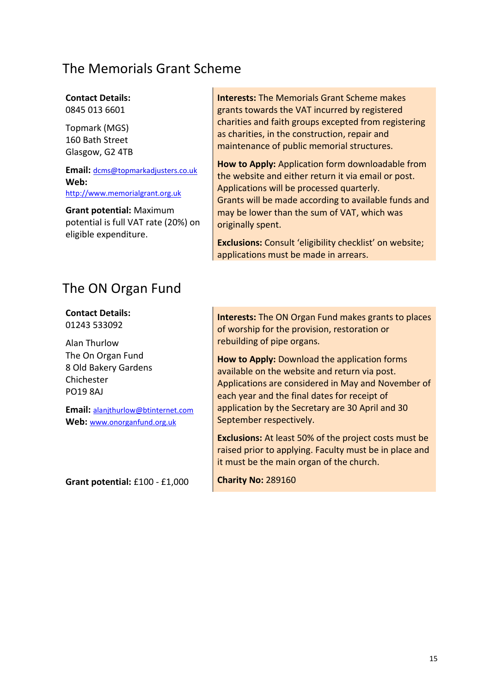### The Memorials Grant Scheme

### **Contact Details:**

0845 013 6601

Topmark (MGS) 160 Bath Street Glasgow, G2 4TB

**Email:** [dcms@topmarkadjusters.co.uk](mailto:dcms@topmarkadjusters.co.uk) **Web:**  [http://www.memorialgrant.org.uk](http://www.memorialgrant.org.uk/)

**Grant potential:** Maximum potential is full VAT rate (20%) on eligible expenditure.

The ON Organ Fund

**Contact Details:** 01243 533092

Alan Thurlow The On Organ Fund 8 Old Bakery Gardens Chichester PO19 8AJ

**Email:** [alanjthurlow@btinternet.com](mailto:alanjthurlow@btinternet.com) Web: www.onorganfund.org.uk

**Grant potential:** £100 - £1,000

**Interests:** The Memorials Grant Scheme makes grants towards the VAT incurred by registered charities and faith groups excepted from registering as charities, in the construction, repair and maintenance of public memorial structures.

**How to Apply:** Application form downloadable from the website and either return it via email or post. Applications will be processed quarterly. Grants will be made according to available funds and may be lower than the sum of VAT, which was originally spent.

**Exclusions:** Consult 'eligibility checklist' on website; applications must be made in arrears.

**Interests:** The ON Organ Fund makes grants to places of worship for the provision, restoration or rebuilding of pipe organs.

**How to Apply:** Download the application forms available on the website and return via post. Applications are considered in May and November of each year and the final dates for receipt of application by the Secretary are 30 April and 30 September respectively.

**Exclusions:** At least 50% of the project costs must be raised prior to applying. Faculty must be in place and it must be the main organ of the church.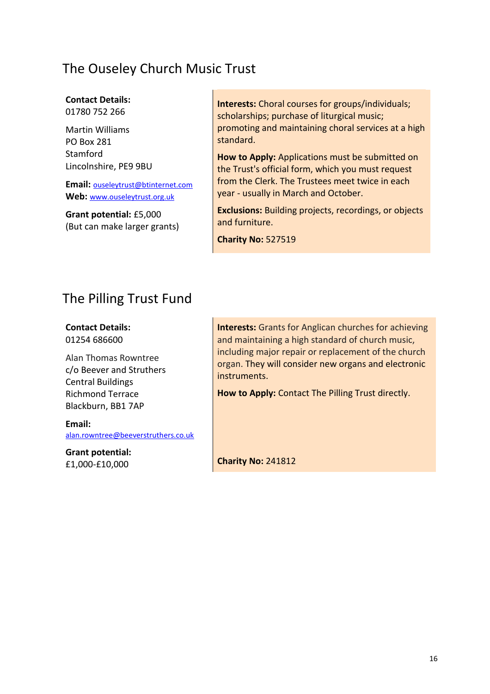## The Ouseley Church Music Trust

#### **Contact Details:** 01780 752 266

Martin Williams PO Box 281 **Stamford** Lincolnshire, PE9 9BU

**Email:** [ouseleytrust@btinternet.com](mailto:ouseleytrust@btinternet.com) Web: [www.ouseleytrust.org.uk](http://www.ouseleytrust.org.uk/)

**Grant potential:** £5,000 (But can make larger grants) **Interests:** Choral courses for groups/individuals; scholarships; purchase of liturgical music; promoting and maintaining choral services at a high standard.

**How to Apply:** Applications must be submitted on the Trust's official form, which you must request from the Clerk. The Trustees meet twice in each year - usually in March and October.

**Exclusions:** Building projects, recordings, or objects and furniture.

**Charity No:** 527519

## The Pilling Trust Fund

**Contact Details:** 01254 686600

Alan Thomas Rowntree c/o Beever and Struthers Central Buildings Richmond Terrace Blackburn, BB1 7AP

**Email:**  [alan.rowntree@beeverstruthers.co.uk](mailto:alan.rowntree@beeverstruthers.co.uk)

**Grant potential:** £1,000-£10,000

**Interests:** Grants for Anglican churches for achieving and maintaining a high standard of church music, including major repair or replacement of the church organ. They will consider new organs and electronic instruments.

**How to Apply:** Contact The Pilling Trust directly.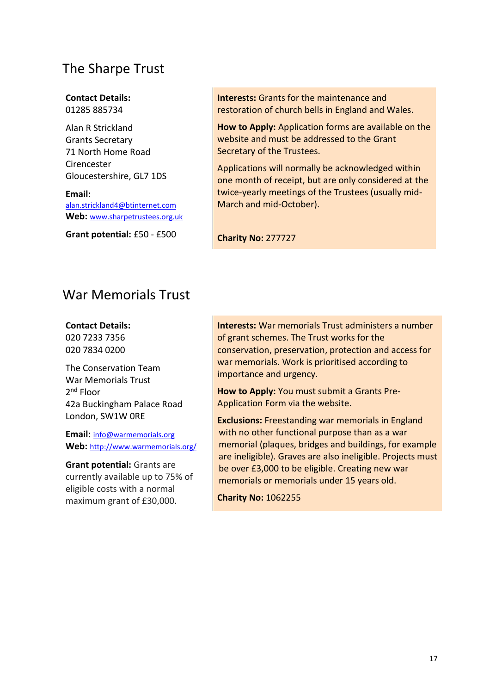## The Sharpe Trust

#### **Contact Details:** 01285 885734

Alan R Strickland Grants Secretary 71 North Home Road Cirencester Gloucestershire, GL7 1DS

**Email:** [alan.strickland4@btinternet.com](mailto:alan.strickland4@btinternet.com) **Web:** [www.sharpetrustees.org.uk](http://www.sharpetrustees.org.uk/)

**Grant potential:** £50 - £500

**Interests:** Grants for the maintenance and restoration of church bells in England and Wales.

**How to Apply:** Application forms are available on the website and must be addressed to the Grant Secretary of the Trustees.

Applications will normally be acknowledged within one month of receipt, but are only considered at the twice-yearly meetings of the Trustees (usually mid-March and mid-October).

**Charity No:** 277727

## War Memorials Trust

**Contact Details:**

020 7233 7356 020 7834 0200

The Conservation Team War Memorials Trust 2<sup>nd</sup> Floor 42a Buckingham Palace Road London, SW1W 0RE

**Email:** [info@warmemorials.org](mailto:info@warmemorials.org) Web: <http://www.warmemorials.org/>

**Grant potential:** Grants are currently available up to 75% of eligible costs with a normal maximum grant of £30,000.

**Interests:** War memorials Trust administers a number of grant schemes. The Trust works for the conservation, preservation, protection and access for war memorials. Work is prioritised according to importance and urgency.

**How to Apply:** You must submit a Grants Pre-Application Form via the website.

**Exclusions:** Freestanding war memorials in England with no other functional purpose than as a war memorial (plaques, bridges and buildings, for example are ineligible). Graves are also ineligible. Projects must be over £3,000 to be eligible. Creating new war memorials or memorials under 15 years old.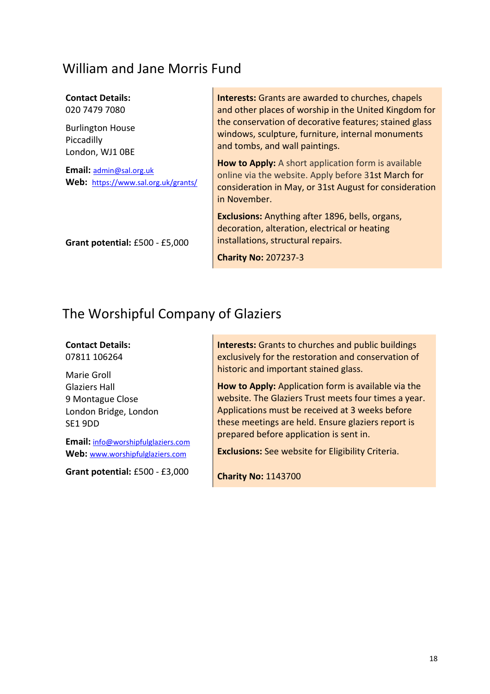### William and Jane Morris Fund

#### **Contact Details:**

020 7479 7080

Burlington House Piccadilly London, WJ1 0BE

**Email:** [admin@sal.org.uk](mailto:admin@sal.org.uk) **Web:** <https://www.sal.org.uk/grants/>

**Grant potential:** £500 - £5,000

**Interests:** Grants are awarded to churches, chapels and other places of worship in the United Kingdom for the conservation of decorative features; stained glass windows, sculpture, furniture, internal monuments and tombs, and wall paintings.

**How to Apply:** A short application form is available online via the website. Apply before 31st March for consideration in May, or 31st August for consideration in November.

**Exclusions:** Anything after 1896, bells, organs, decoration, alteration, electrical or heating installations, structural repairs.

**Charity No:** 207237-3

## The Worshipful Company of Glaziers

**Contact Details:** 07811 106264

Marie Groll Glaziers Hall 9 Montague Close London Bridge, London SE1 9DD

**Email:** info@worshipfulglaziers.com **Web:** [www.worshipfulglaziers.com](http://www.worshipfulglaziers.com/)

**Grant potential:** £500 - £3,000

**Interests:** Grants to churches and public buildings exclusively for the restoration and conservation of historic and important stained glass.

**How to Apply:** Application form is available via the website. The Glaziers Trust meets four times a year. Applications must be received at 3 weeks before these meetings are held. Ensure glaziers report is prepared before application is sent in.

**Exclusions:** See website for Eligibility Criteria.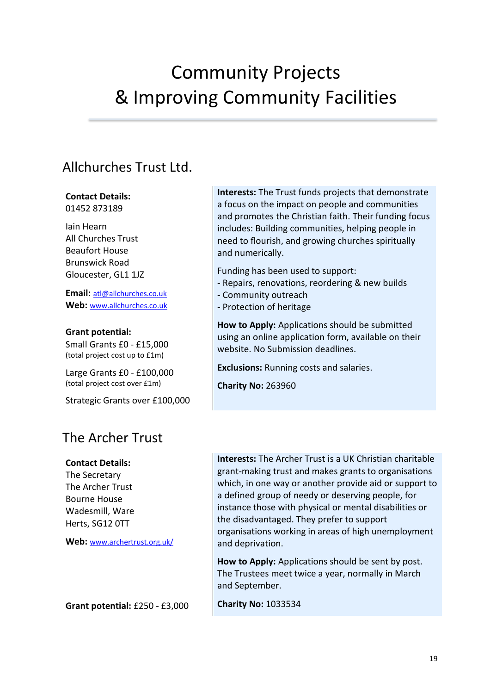# Community Projects & Improving Community Facilities

## Allchurches Trust Ltd.

#### **Contact Details:** 01452 873189

Iain Hearn All Churches Trust Beaufort House Brunswick Road Gloucester, GL1 1JZ

**Email:** [atl@allchurches.co.uk](mailto:atl@allchurches.co.uk) **Web:** [www.allchurches.co.uk](http://www.allchurches.co.uk/)

**Grant potential:**  Small Grants £0 - £15,000 (total project cost up to £1m)

Large Grants £0 - £100,000 (total project cost over £1m)

Strategic Grants over £100,000

## The Archer Trust

### **Contact Details:**

The Secretary The Archer Trust Bourne House Wadesmill, Ware Herts, SG12 0TT

**Web:** www.archertrust.org.uk/

**Grant potential:** £250 - £3,000

**Interests:** The Trust funds projects that demonstrate a focus on the impact on people and communities and promotes the Christian faith. Their funding focus includes: Building communities, helping people in need to flourish, and growing churches spiritually and numerically.

Funding has been used to support:

- Repairs, renovations, reordering & new builds
- Community outreach
- Protection of heritage

**How to Apply:** Applications should be submitted using an online application form, available on their website. No Submission deadlines.

**Exclusions:** Running costs and salaries.

**Charity No:** 263960

**Interests:** The Archer Trust is a UK Christian charitable grant-making trust and makes grants to organisations which, in one way or another provide aid or support to a defined group of needy or deserving people, for instance those with physical or mental disabilities or the disadvantaged. They prefer to support organisations working in areas of high unemployment and deprivation.

**How to Apply:** Applications should be sent by post. The Trustees meet twice a year, normally in March and September.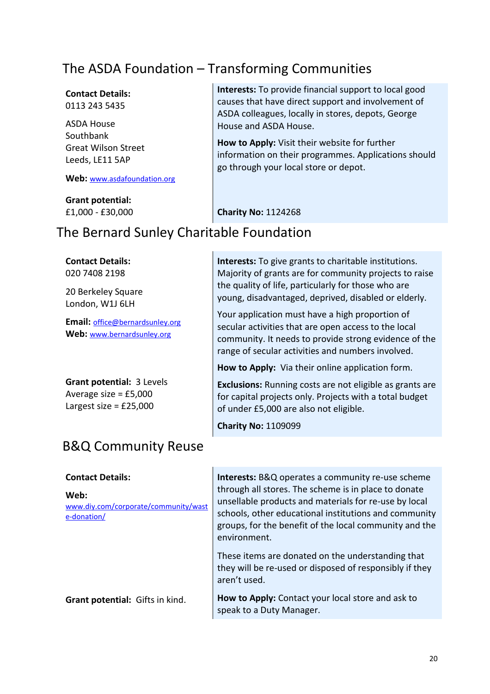## The ASDA Foundation – Transforming Communities

#### **Contact Details:** 0113 243 5435

ASDA House **Southbank** Great Wilson Street Leeds, LE11 5AP

#### **Web:** [www.asdafoundation.org](http://www.asdafoundation.org/)

**Grant potential:** £1,000 - £30,000 **Interests:** To provide financial support to local good causes that have direct support and involvement of ASDA colleagues, locally in stores, depots, George House and ASDA House.

**How to Apply:** Visit their website for further information on their programmes. Applications should go through your local store or depot.

**Interests:** To give grants to charitable institutions. Majority of grants are for community projects to raise

the quality of life, particularly for those who are young, disadvantaged, deprived, disabled or elderly.

Your application must have a high proportion of secular activities that are open access to the local community. It needs to provide strong evidence of the

range of secular activities and numbers involved.

**How to Apply:** Via their online application form.

of under £5,000 are also not eligible.

**Exclusions:** Running costs are not eligible as grants are for capital projects only. Projects with a total budget

**Charity No:** 1124268

### The Bernard Sunley Charitable Foundation

**Contact Details:** 020 7408 2198

20 Berkeley Square London, W1J 6LH

**Email:** [office@bernardsunley.org](mailto:office@bernardsunley.org) Web: [www.bernardsunley.org](http://www.bernardsunley.org/)

**Grant potential:** 3 Levels Average size = £5,000 Largest size  $=$  £25,000

### B&Q Community Reuse

| <b>Contact Details:</b>                                     | <b>Interests:</b> B&Q operates a community re-use scheme                                                                                                                                                                                         |
|-------------------------------------------------------------|--------------------------------------------------------------------------------------------------------------------------------------------------------------------------------------------------------------------------------------------------|
| Web:<br>www.diy.com/corporate/community/wast<br>e-donation/ | through all stores. The scheme is in place to donate<br>unsellable products and materials for re-use by local<br>schools, other educational institutions and community<br>groups, for the benefit of the local community and the<br>environment. |
|                                                             | These items are donated on the understanding that<br>they will be re-used or disposed of responsibly if they<br>aren't used.                                                                                                                     |
| <b>Grant potential:</b> Gifts in kind.                      | How to Apply: Contact your local store and ask to<br>speak to a Duty Manager.                                                                                                                                                                    |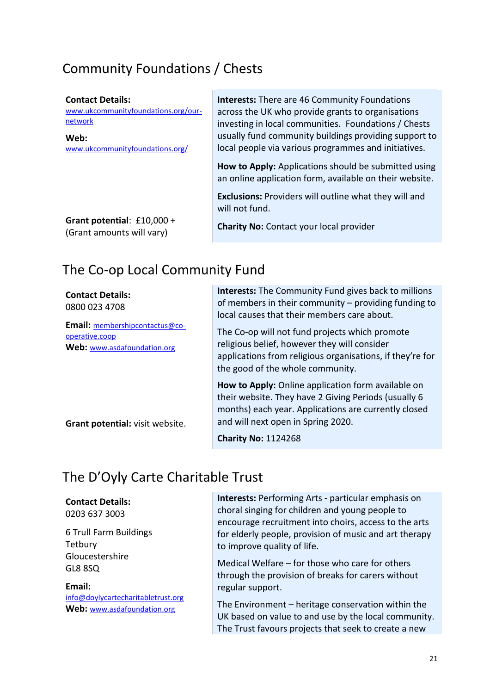## Community Foundations / Chests

#### **Contact Details:**

[www.ukcommunityfoundations.org/our](http://www.ukcommunityfoundations.org/our-network)[network](http://www.ukcommunityfoundations.org/our-network)

**Web:** [www.ukcommunityfoundations.org/](http://www.ukcommunityfoundations.org/)  **Interests:** There are 46 Community Foundations across the UK who provide grants to organisations investing in local communities. Foundations / Chests usually fund community buildings providing support to local people via various programmes and initiatives.

**How to Apply:** Applications should be submitted using an online application form, available on their website.

**Exclusions:** Providers will outline what they will and will not fund.

**Grant potential**: £10,000 + (Grant amounts will vary)

**Charity No:** Contact your local provider

## The Co-op Local Community Fund

| <b>Contact Details:</b><br>0800 023 4708<br>Email: membershipcontactus@co-<br>operative.coop<br>Web: www.asdafoundation.org | <b>Interests:</b> The Community Fund gives back to millions<br>of members in their community $-$ providing funding to<br>local causes that their members care about.<br>The Co-op will not fund projects which promote<br>religious belief, however they will consider<br>applications from religious organisations, if they're for<br>the good of the whole community. |
|-----------------------------------------------------------------------------------------------------------------------------|-------------------------------------------------------------------------------------------------------------------------------------------------------------------------------------------------------------------------------------------------------------------------------------------------------------------------------------------------------------------------|
| Grant potential: visit website.                                                                                             | How to Apply: Online application form available on<br>their website. They have 2 Giving Periods (usually 6<br>months) each year. Applications are currently closed<br>and will next open in Spring 2020.                                                                                                                                                                |
|                                                                                                                             | <b>Charity No: 1124268</b>                                                                                                                                                                                                                                                                                                                                              |

## The D'Oyly Carte Charitable Trust

### **Contact Details:**

0203 637 3003

6 Trull Farm Buildings **Tetbury** Gloucestershire GL8 8SQ

**Email:**  [info@doylycartecharitabletrust.org](mailto:info@doylycartecharitabletrust.org) **Web:** [www.asdafoundation.org](http://www.asdafoundation.org/)

**Interests:** Performing Arts - particular emphasis on choral singing for children and young people to encourage recruitment into choirs, access to the arts for elderly people, provision of music and art therapy to improve quality of life.

Medical Welfare – for those who care for others through the provision of breaks for carers without regular support.

The Environment – heritage conservation within the UK based on value to and use by the local community. The Trust favours projects that seek to create a new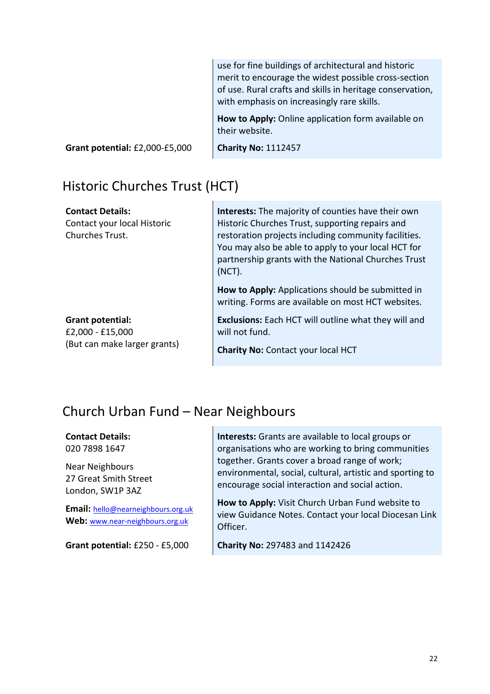use for fine buildings of architectural and historic merit to encourage the widest possible cross-section of use. Rural crafts and skills in heritage conservation, with emphasis on increasingly rare skills. **How to Apply:** Online application form available on their website.

**Grant potential:** £2,000-£5,000

**Charity No:** 1112457

## Historic Churches Trust (HCT)

| <b>Contact Details:</b><br>Contact your local Historic<br>Churches Trust. | Interests: The majority of counties have their own<br>Historic Churches Trust, supporting repairs and<br>restoration projects including community facilities.<br>You may also be able to apply to your local HCT for<br>partnership grants with the National Churches Trust<br>(NOT).<br>How to Apply: Applications should be submitted in<br>writing. Forms are available on most HCT websites. |
|---------------------------------------------------------------------------|--------------------------------------------------------------------------------------------------------------------------------------------------------------------------------------------------------------------------------------------------------------------------------------------------------------------------------------------------------------------------------------------------|
| Grant potential:                                                          | <b>Exclusions:</b> Each HCT will outline what they will and                                                                                                                                                                                                                                                                                                                                      |
| £2,000 - £15,000                                                          | will not fund.                                                                                                                                                                                                                                                                                                                                                                                   |
| (But can make larger grants)                                              | <b>Charity No: Contact your local HCT</b>                                                                                                                                                                                                                                                                                                                                                        |

## Church Urban Fund – Near Neighbours

#### **Contact Details:** 020 7898 1647

Near Neighbours 27 Great Smith Street London, SW1P 3AZ

**Email:** hello@nearneighbours.org.uk **Web:** www.near-neighbours.org.uk

**Grant potential:** £250 - £5,000

**Interests:** Grants are available to local groups or organisations who are working to bring communities together. Grants cover a broad range of work; environmental, social, cultural, artistic and sporting to encourage social interaction and social action.

**How to Apply:** Visit Church Urban Fund website to view Guidance Notes. Contact your local Diocesan Link Officer.

**Charity No:** 297483 and 1142426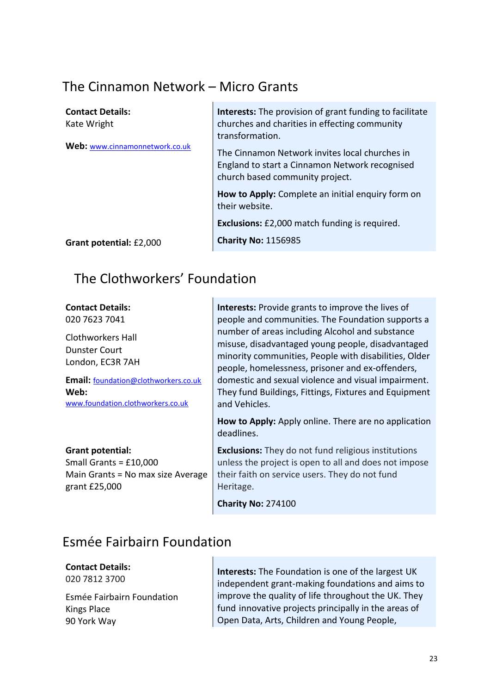## The Cinnamon Network – Micro Grants

| <b>Contact Details:</b><br>Kate Wright | <b>Interests:</b> The provision of grant funding to facilitate<br>churches and charities in effecting community                                        |
|----------------------------------------|--------------------------------------------------------------------------------------------------------------------------------------------------------|
| Web: www.cinnamonnetwork.co.uk         | transformation.<br>The Cinnamon Network invites local churches in<br>England to start a Cinnamon Network recognised<br>church based community project. |
|                                        | How to Apply: Complete an initial enquiry form on<br>their website.                                                                                    |
|                                        | <b>Exclusions:</b> £2,000 match funding is required.                                                                                                   |
| Grant potential: £2,000                | <b>Charity No: 1156985</b>                                                                                                                             |

The Clothworkers' Foundation

**Contact Details:** 020 7623 7041 Clothworkers Hall Dunster Court London, EC3R 7AH **Email:** [foundation@clothworkers.co.uk](mailto:foundation@clothworkers.co.uk) **Web:**  [www.foundation.clothworkers.co.uk](http://www.foundation.clothworkers.co.uk/) **Grant potential:** Small Grants = £10,000 Main Grants = No max size Average grant £25,000 **Interests:** Provide grants to improve the lives of people and communities. The Foundation supports a number of areas including Alcohol and substance misuse, disadvantaged young people, disadvantaged minority communities, People with disabilities, Older people, homelessness, prisoner and ex-offenders, domestic and sexual violence and visual impairment. They fund Buildings, Fittings, Fixtures and Equipment and Vehicles. **How to Apply:** Apply online. There are no application deadlines. **Exclusions:** They do not fund religious institutions unless the project is open to all and does not impose their faith on service users. They do not fund Heritage. **Charity No:** 274100

## Esmée Fairbairn Foundation

**Contact Details:**

020 7812 3700

Esmée Fairbairn Foundation Kings Place 90 York Way

**Interests:** The Foundation is one of the largest UK independent grant-making foundations and aims to improve the quality of life throughout the UK. They fund innovative projects principally in the areas of Open Data, Arts, Children and Young People,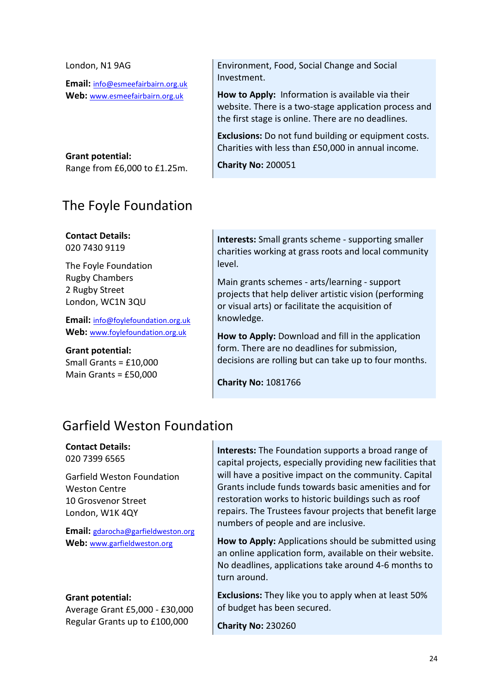| London, N1 9AG                    | Environment, Food, Social Change and Social                                                                 |
|-----------------------------------|-------------------------------------------------------------------------------------------------------------|
| Email: info@esmeefairbairn.org.uk | Investment.                                                                                                 |
| Web: www.esmeefairbairn.org.uk    | How to Apply: Information is available via their                                                            |
|                                   | website. There is a two-stage application process and<br>the first stage is online. There are no deadlines. |
|                                   | Exclusions: Do not fund building or equipment costs.                                                        |
|                                   | Charities with less than £50,000 in annual income.                                                          |
| Grant potential:                  |                                                                                                             |
| Range from £6,000 to £1.25m.      | <b>Charity No: 200051</b>                                                                                   |
|                                   |                                                                                                             |

### The Foyle Foundation

### **Contact Details:**

020 7430 9119

The Foyle Foundation Rugby Chambers 2 Rugby Street London, WC1N 3QU

**Email:** [info@foylefoundation.org.uk](mailto:info@foylefoundation.org.uk) **Web:** [www.foylefoundation.org.uk](http://www.foylefoundation.org.uk/)

**Grant potential:**

Small Grants = £10,000 Main Grants = £50,000

**Interests:** Small grants scheme - supporting smaller charities working at grass roots and local community level.

Main grants schemes - arts/learning - support projects that help deliver artistic vision (performing or visual arts) or facilitate the acquisition of knowledge.

**How to Apply:** Download and fill in the application form. There are no deadlines for submission, decisions are rolling but can take up to four months.

**Charity No:** 1081766

## Garfield Weston Foundation

#### **Contact Details:** 020 7399 6565

Garfield Weston Foundation Weston Centre 10 Grosvenor Street London, W1K 4QY

**Email:** [gdarocha@garfieldweston.org](mailto:dendicott@se-law.co.uk) Web: [www.garfieldweston.org](http://www.garfieldweston.org/)

### **Grant potential:**

Average Grant £5,000 - £30,000 Regular Grants up to £100,000

**Interests:** The Foundation supports a broad range of capital projects, especially providing new facilities that will have a positive impact on the community. Capital Grants include funds towards basic amenities and for restoration works to historic buildings such as roof repairs. The Trustees favour projects that benefit large numbers of people and are inclusive.

**How to Apply:** Applications should be submitted using an online application form, available on their website. No deadlines, applications take around 4-6 months to turn around.

**Exclusions:** They like you to apply when at least 50% of budget has been secured.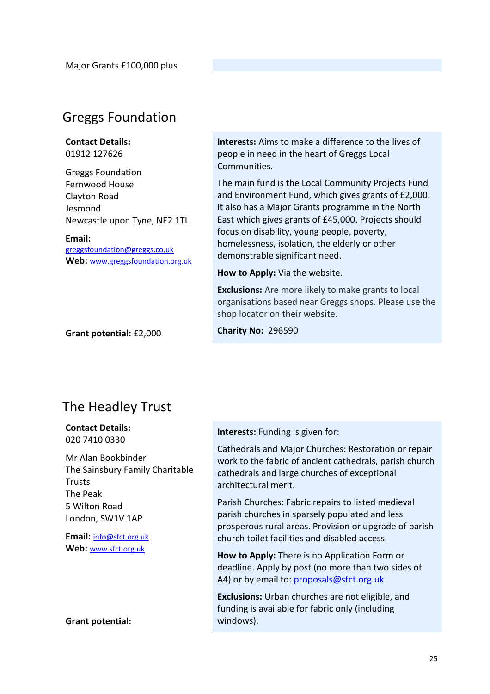## Greggs Foundation

#### **Contact Details:** 01912 127626

Greggs Foundation Fernwood House Clayton Road Jesmond Newcastle upon Tyne, NE2 1TL

**Email:**

[greggsfoundation@greggs.co.uk](mailto:greggsfoundation@greggs.co.uk) **Web:** [www.greggsfoundation.org.uk](http://www.greggsfoundation.org.uk/)

**Grant potential:** £2,000

**Interests:** Aims to make a difference to the lives of people in need in the heart of Greggs Local Communities.

The main fund is the Local Community Projects Fund and Environment Fund, which gives grants of £2,000. It also has a Major Grants programme in the North East which gives grants of £45,000. Projects should focus on disability, young people, poverty, homelessness, isolation, the elderly or other demonstrable significant need.

**How to Apply:** Via the website.

**Exclusions:** Are more likely to make grants to local organisations based near Greggs shops. Please use the shop locator on their website.

**Charity No:** 296590

## The Headley Trust

**Contact Details:** 020 7410 0330

Mr Alan Bookbinder The Sainsbury Family Charitable Trusts The Peak 5 Wilton Road London, SW1V 1AP

**Email:** [info@sfct.org.uk](mailto:info@sfct.org.uk) **Web:** [www.sfct.org.uk](http://www.sfct.org.uk/)

**Grant potential:**

#### **Interests:** Funding is given for:

Cathedrals and Major Churches: Restoration or repair work to the fabric of ancient cathedrals, parish church cathedrals and large churches of exceptional architectural merit.

Parish Churches: Fabric repairs to listed medieval parish churches in sparsely populated and less prosperous rural areas. Provision or upgrade of parish church toilet facilities and disabled access.

**How to Apply:** There is no Application Form or deadline. Apply by post (no more than two sides of A4) or by email to: proposals@sfct.org.uk

**Exclusions:** Urban churches are not eligible, and funding is available for fabric only (including windows).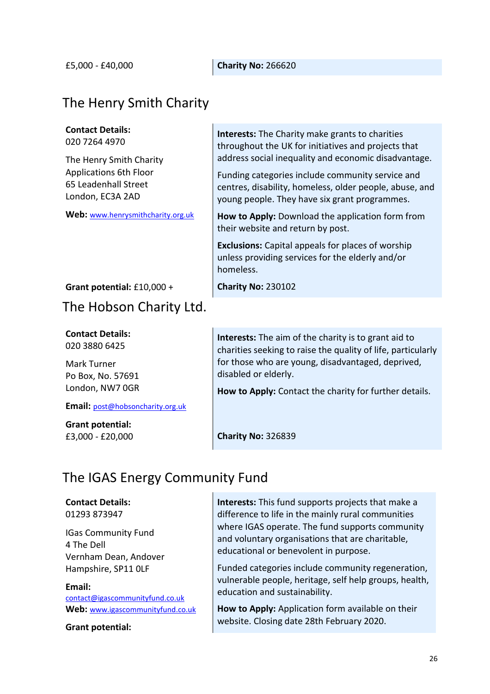£5,000 - £40,000 **Charity No:** 266620

## The Henry Smith Charity

### **Contact Details:**

020 7264 4970

The Henry Smith Charity Applications 6th Floor 65 Leadenhall Street London, EC3A 2AD

**Web:** [www.henrysmithcharity.org.uk](http://www.henrysmithcharity.org.uk/)

**Interests:** The Charity make grants to charities throughout the UK for initiatives and projects that address social inequality and economic disadvantage.

Funding categories include community service and centres, disability, homeless, older people, abuse, and young people. They have six grant programmes.

**How to Apply:** Download the application form from their website and return by post.

**Exclusions:** Capital appeals for places of worship unless providing services for the elderly and/or homeless.

**Grant potential:** £10,000 +

## The Hobson Charity Ltd.

**Contact Details:** 020 3880 6425

Mark Turner Po Box, No. 57691 London, NW7 0GR

**Email:** [post@hobsoncharity.org.uk](mailto:post@hobsoncharity.org.uk)

**Grant potential:** £3,000 - £20,000 **Interests:** The aim of the charity is to grant aid to charities seeking to raise the quality of life, particularly for those who are young, disadvantaged, deprived, disabled or elderly.

**How to Apply:** Contact the charity for further details.

**Charity No:** 326839

**Charity No:** 230102

## The IGAS Energy Community Fund

### **Contact Details:**

01293 873947

IGas Community Fund 4 The Dell Vernham Dean, Andover Hampshire, SP11 0LF

#### **Email:**

[contact@igascommunityfund.co.uk](mailto:contact@igascommunityfund.co.uk) **Web:** [www.igascommunityfund.co.uk](http://www.igascommunityfund.co.uk/)

**Grant potential:**

**Interests:** This fund supports projects that make a difference to life in the mainly rural communities where IGAS operate. The fund supports community and voluntary organisations that are charitable, educational or benevolent in purpose.

Funded categories include community regeneration, vulnerable people, heritage, self help groups, health, education and sustainability.

**How to Apply:** Application form available on their website. Closing date 28th February 2020.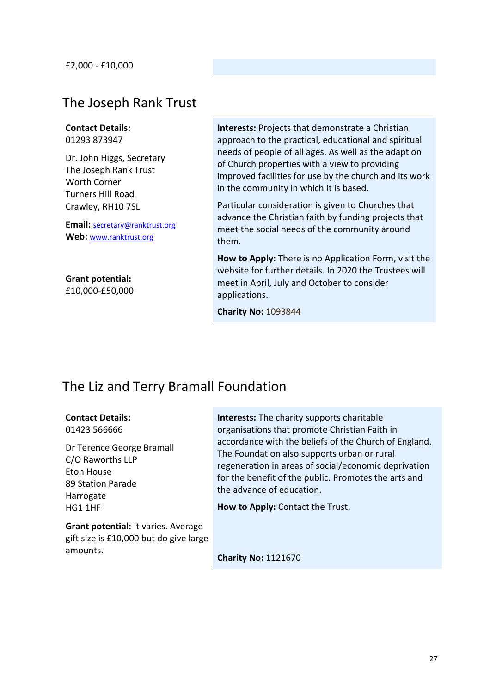### The Joseph Rank Trust

**Contact Details:** 01293 873947

Dr. John Higgs, Secretary The Joseph Rank Trust Worth Corner Turners Hill Road Crawley, RH10 7SL

**Email:** [secretary@ranktrust.org](mailto:secretary@ranktrust.org) **Web:** [www.ranktrust.org](http://www.ranktrust.org/)

**Grant potential:** £10,000-£50,000 **Interests:** Projects that demonstrate a Christian approach to the practical, educational and spiritual needs of people of all ages. As well as the adaption of Church properties with a view to providing improved facilities for use by the church and its work in the community in which it is based.

Particular consideration is given to Churches that advance the Christian faith by funding projects that meet the social needs of the community around them.

**How to Apply:** There is no Application Form, visit the website for further details. In 2020 the Trustees will meet in April, July and October to consider applications.

**Charity No:** 1093844

### The Liz and Terry Bramall Foundation

#### **Contact Details:** 01423 566666

Dr Terence George Bramall C/O Raworths LLP Eton House 89 Station Parade Harrogate HG1 1HF

**Grant potential:** It varies. Average gift size is £10,000 but do give large amounts.

**Interests:** The charity supports charitable organisations that promote Christian Faith in accordance with the beliefs of the Church of England. The Foundation also supports urban or rural regeneration in areas of social/economic deprivation for the benefit of the public. Promotes the arts and the advance of education.

**How to Apply:** Contact the Trust.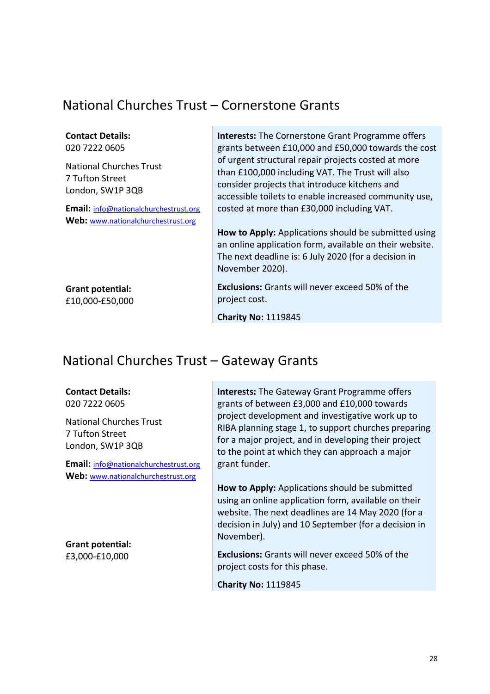## National Churches Trust – Cornerstone Grants

| <b>Contact Details:</b><br>020 7222 0605                              | <b>Interests:</b> The Cornerstone Grant Programme offers<br>grants between £10,000 and £50,000 towards the cost                                                                                                   |
|-----------------------------------------------------------------------|-------------------------------------------------------------------------------------------------------------------------------------------------------------------------------------------------------------------|
| <b>National Churches Trust</b><br>7 Tufton Street<br>London, SW1P 3QB | of urgent structural repair projects costed at more<br>than £100,000 including VAT. The Trust will also<br>consider projects that introduce kitchens and<br>accessible toilets to enable increased community use, |
| Email: info@nationalchurchestrust.org                                 | costed at more than £30,000 including VAT.                                                                                                                                                                        |
| Web: www.nationalchurchestrust.org                                    |                                                                                                                                                                                                                   |
|                                                                       | How to Apply: Applications should be submitted using<br>an online application form, available on their website.<br>The next deadline is: 6 July 2020 (for a decision in<br>November 2020).                        |
| <b>Grant potential:</b><br>£10,000-£50,000                            | <b>Exclusions:</b> Grants will never exceed 50% of the<br>project cost.                                                                                                                                           |
|                                                                       | <b>Charity No: 1119845</b>                                                                                                                                                                                        |

## National Churches Trust – Gateway Grants

#### **Contact Details:** 020 7222 0605

National Churches Trust 7 Tufton Street London, SW1P 3QB

**Email:** [info@nationalchurchestrust.org](mailto:info@nationalchurchestrust.org) **Web:** [www.nationalchurchestrust.org](http://www.nationalchurchestrust.org/)

**Grant potential:** £3,000-£10,000

**Interests:** The Gateway Grant Programme offers grants of between £3,000 and £10,000 towards project development and investigative work up to RIBA planning stage 1, to support churches preparing for a major project, and in developing their project to the point at which they can approach a major grant funder.

**How to Apply:** Applications should be submitted using an online application form, available on their website. The next deadlines are 14 May 2020 (for a decision in July) and 10 September (for a decision in November).

**Exclusions:** Grants will never exceed 50% of the project costs for this phase.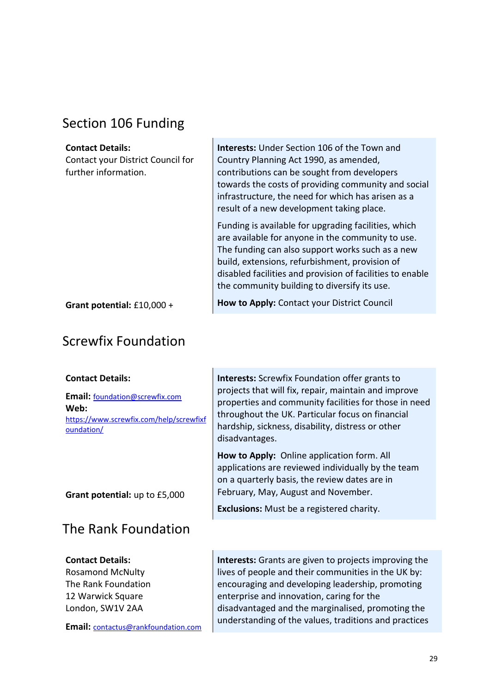## Section 106 Funding

#### **Contact Details:**

Contact your District Council for further information.

**Interests:** Under Section 106 of the Town and Country Planning Act 1990, as amended, contributions can be sought from developers towards the costs of providing community and social infrastructure, the need for which has arisen as a result of a new development taking place.

Funding is available for upgrading facilities, which are available for anyone in the community to use. The funding can also support works such as a new build, extensions, refurbishment, provision of disabled facilities and provision of facilities to enable the community building to diversify its use.

**Grant potential:** £10,000 +

## Screwfix Foundation

### **Contact Details:**

**Email:** [foundation@screwfix.com](mailto:foundation@screwfix.com) **Web:**  https://www.screwfix.com/help/screwfixf oundation/

**Grant potential:** up to £5,000

## The Rank Foundation

### **Contact Details:**

Rosamond McNulty The Rank Foundation 12 Warwick Square London, SW1V 2AA

**Email:** contactus@rankfoundation.com

**How to Apply:** Contact your District Council

**Interests:** Screwfix Foundation offer grants to projects that will fix, repair, maintain and improve properties and community facilities for those in need throughout the UK. Particular focus on financial hardship, sickness, disability, distress or other disadvantages.

**How to Apply:** Online application form. All applications are reviewed individually by the team on a quarterly basis, the review dates are in February, May, August and November.

**Exclusions:** Must be a registered charity.

**Interests:** Grants are given to projects improving the lives of people and their communities in the UK by: encouraging and developing leadership, promoting enterprise and innovation, caring for the disadvantaged and the marginalised, promoting the understanding of the values, traditions and practices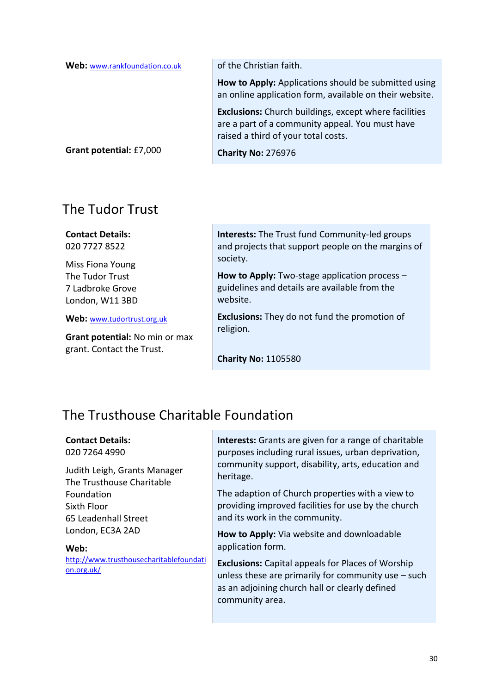| Web: www.rankfoundation.co.uk | of the Christian faith.                                                                                                                                |
|-------------------------------|--------------------------------------------------------------------------------------------------------------------------------------------------------|
|                               | How to Apply: Applications should be submitted using<br>an online application form, available on their website.                                        |
|                               | <b>Exclusions:</b> Church buildings, except where facilities<br>are a part of a community appeal. You must have<br>raised a third of your total costs. |
| Grant potential: £7,000       | <b>Charity No: 276976</b>                                                                                                                              |

## The Tudor Trust

**Contact Details:** 020 7727 8522

Miss Fiona Young The Tudor Trust 7 Ladbroke Grove London, W11 3BD

**Web:** [www.tudortrust.org.uk](http://www.tudortrust.org.uk/)

**Grant potential:** No min or max grant. Contact the Trust.

**Interests:** The Trust fund Community-led groups and projects that support people on the margins of society.

**How to Apply:** Two-stage application process – guidelines and details are available from the website.

**Exclusions:** They do not fund the promotion of religion.

**Charity No:** 1105580

## The Trusthouse Charitable Foundation

**Contact Details:** 020 7264 4990

Judith Leigh, Grants Manager The Trusthouse Charitable Foundation Sixth Floor 65 Leadenhall Street London, EC3A 2AD

#### **Web:**

[http://www.trusthousecharitablefoundati](http://www.trusthousecharitablefoundation.org.uk/) [on.org.uk/](http://www.trusthousecharitablefoundation.org.uk/)

**Interests:** Grants are given for a range of charitable purposes including rural issues, urban deprivation, community support, disability, arts, education and heritage.

The adaption of Church properties with a view to providing improved facilities for use by the church and its work in the community.

**How to Apply:** Via website and downloadable application form.

**Exclusions:** Capital appeals for Places of Worship unless these are primarily for community use – such as an adjoining church hall or clearly defined community area.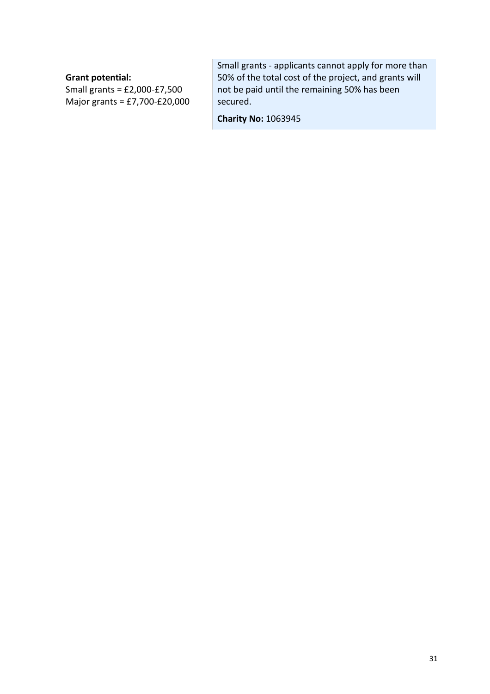### **Grant potential:**

Small grants = £2,000-£7,500 Major grants = £7,700-£20,000 Small grants - applicants cannot apply for more than 50% of the total cost of the project, and grants will not be paid until the remaining 50% has been secured.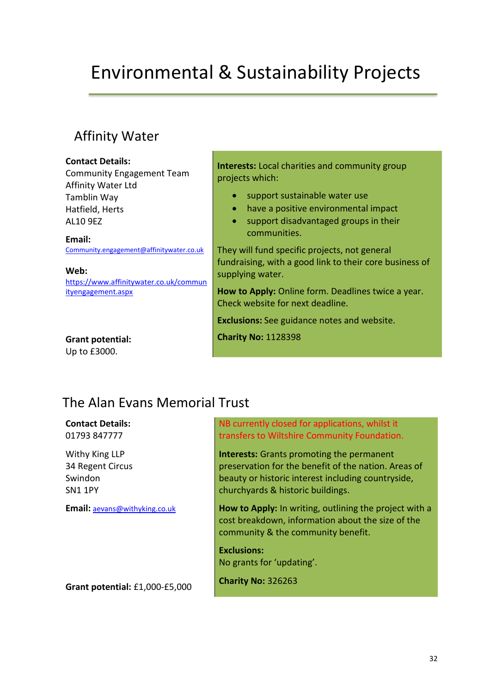# Environmental & Sustainability Projects

## Affinity Water

#### **Contact Details:**

Community Engagement Team Affinity Water Ltd Tamblin Way Hatfield, Herts AL10 9EZ

**Email:**  [Community.engagement@affinitywater.co.uk](file://///ncis.churchofengland.org/data/DepartmentShare/Finance%20and%20Resources/acfinance/Finplan/STEWARDSHIP/11.%20Funding/National%20List/Charitable%20Grants%20for%20Churches/Avenir%20Roman)

**Web:** 

https://www.affinitywater.co.uk/commun ityengagement.aspx

**Grant potential:** Up to £3000.

**Interests:** Local charities and community group projects which:

- support sustainable water use
- have a positive environmental impact
- support disadvantaged groups in their communities.

They will fund specific projects, not general fundraising, with a good link to their core business of supplying water.

**How to Apply:** Online form. Deadlines twice a year. Check website for next deadline.

**Exclusions:** See guidance notes and website.

**Charity No:** 1128398

## The Alan Evans Memorial Trust

**Contact Details:** 01793 847777

Withy King LLP 34 Regent Circus Swindon SN1 1PY

**Email:** [aevans@withyking.co.uk](mailto:aevans@withyking.co.uk) 

NB currently closed for applications, whilst it transfers to Wiltshire Community Foundation.

**Interests:** Grants promoting the permanent preservation for the benefit of the nation. Areas of beauty or historic interest including countryside, churchyards & historic buildings.

**How to Apply:** In writing, outlining the project with a cost breakdown, information about the size of the community & the community benefit.

**Exclusions:**  No grants for 'updating'.

**Grant potential:** £1,000-£5,000

**Charity No:** 326263

32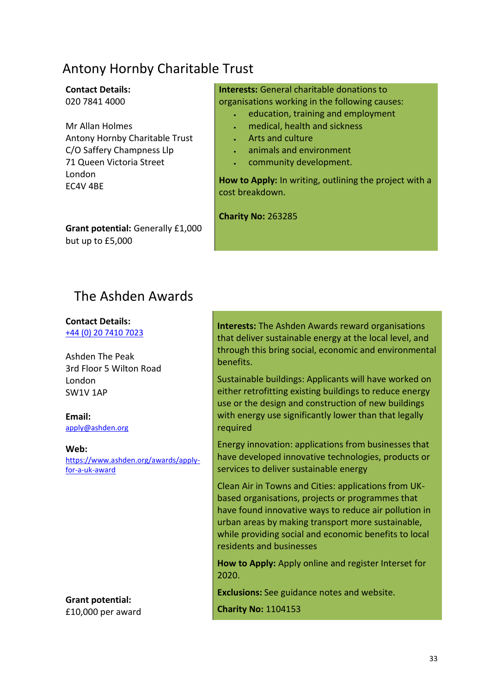## Antony Hornby Charitable Trust

## **Contact Details:**

020 7841 4000

Mr Allan Holmes Antony Hornby Charitable Trust C/O Saffery Champness Llp 71 Queen Victoria Street London EC4V 4BE

**Grant potential:** Generally £1,000 but up to £5,000

**Interests:** General charitable donations to organisations working in the following causes:

- education, training and employment
- medical, health and sickness
- Arts and culture
- animals and environment
- community development.

**How to Apply:** In writing, outlining the project with a cost breakdown.

**Charity No:** 263285

## The Ashden Awards

**Contact Details:** +44 (0) 20 7410 7023

Ashden The Peak 3rd Floor 5 Wilton Road London SW1V 1AP

**Email:** apply@ashden.org

**Web:** https://www.ashden.org/awards/applyfor-a-uk-award

**Grant potential:** £10,000 per award **Interests:** The Ashden Awards reward organisations that deliver sustainable energy at the local level, and through this bring social, economic and environmental benefits.

Sustainable buildings: Applicants will have worked on either retrofitting existing buildings to reduce energy use or the design and construction of new buildings with energy use significantly lower than that legally required

Energy innovation: applications from businesses that have developed innovative technologies, products or services to deliver sustainable energy

Clean Air in Towns and Cities: applications from UKbased organisations, projects or programmes that have found innovative ways to reduce air pollution in urban areas by making transport more sustainable, while providing social and economic benefits to local residents and businesses

**How to Apply:** Apply online and register Interset for 2020.

**Exclusions:** See guidance notes and website.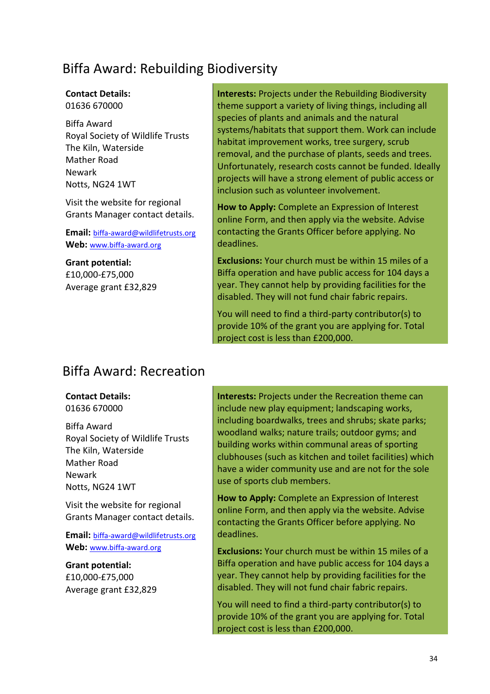## Biffa Award: Rebuilding Biodiversity

### **Contact Details:**

01636 670000

Biffa Award Royal Society of Wildlife Trusts The Kiln, Waterside Mather Road Newark Notts, NG24 1WT

Visit the website for regional Grants Manager contact details.

**Email:** biffa-award@wildlifetrusts.org **Web:** [www.biffa-award.org](http://www.biffa-award.org/)

**Grant potential:** £10,000-£75,000 Average grant £32,829 **Interests:** Projects under the Rebuilding Biodiversity theme support a variety of living things, including all species of plants and animals and the natural systems/habitats that support them. Work can include habitat improvement works, tree surgery, scrub removal, and the purchase of plants, seeds and trees. Unfortunately, research costs cannot be funded. Ideally projects will have a strong element of public access or inclusion such as volunteer involvement.

**How to Apply:** Complete an Expression of Interest online Form, and then apply via the website. Advise contacting the Grants Officer before applying. No deadlines.

**Exclusions:** Your church must be within 15 miles of a Biffa operation and have public access for 104 days a year. They cannot help by providing facilities for the disabled. They will not fund chair fabric repairs.

You will need to find a third-party contributor(s) to provide 10% of the grant you are applying for. Total project cost is less than £200,000.

## Biffa Award: Recreation

### **Contact Details:**

01636 670000

Biffa Award Royal Society of Wildlife Trusts The Kiln, Waterside Mather Road Newark Notts, NG24 1WT

Visit the website for regional Grants Manager contact details.

**Email:** biffa-award@wildlifetrusts.org **Web:** [www.biffa-award.org](http://www.biffa-award.org/)

**Grant potential:** £10,000-£75,000 Average grant £32,829 **Interests:** Projects under the Recreation theme can include new play equipment; landscaping works, including boardwalks, trees and shrubs; skate parks; woodland walks; nature trails; outdoor gyms; and building works within communal areas of sporting clubhouses (such as kitchen and toilet facilities) which have a wider community use and are not for the sole use of sports club members.

**How to Apply:** Complete an Expression of Interest online Form, and then apply via the website. Advise contacting the Grants Officer before applying. No deadlines.

**Exclusions:** Your church must be within 15 miles of a Biffa operation and have public access for 104 days a year. They cannot help by providing facilities for the disabled. They will not fund chair fabric repairs.

You will need to find a third-party contributor(s) to provide 10% of the grant you are applying for. Total project cost is less than £200,000.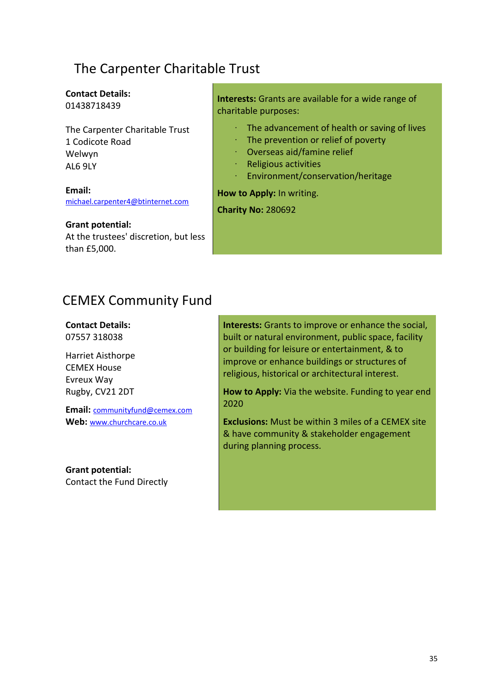## The Carpenter Charitable Trust

#### **Contact Details:** 01438718439

The Carpenter Charitable Trust 1 Codicote Road Welwyn AL6 9LY

**Email:** [michael.carpenter4@btinternet.com](mailto:michael.carpenter4@btinternet.com)

**Grant potential:**

At the trustees' discretion, but less than £5,000.

**Interests:** Grants are available for a wide range of charitable purposes:

- The advancement of health or saving of lives
- The prevention or relief of poverty
- · Overseas aid/famine relief
- · Religious activities
- · Environment/conservation/heritage

**How to Apply:** In writing.

**Charity No:** 280692

## CEMEX Community Fund

**Contact Details:** 07557 318038

Harriet Aisthorpe CEMEX House Evreux Way Rugby, CV21 2DT

**Email:** communityfund@cemex.com **Web:** [www.churchcare.co.uk](http://www.churchcare.co.uk/)

**Grant potential:**  Contact the Fund Directly **Interests:** Grants to improve or enhance the social, built or natural environment, public space, facility or building for leisure or entertainment, & to improve or enhance buildings or structures of religious, historical or architectural interest.

**How to Apply:** Via the website. Funding to year end 2020

**Exclusions:** Must be within 3 miles of a CEMEX site & have community & stakeholder engagement during planning process.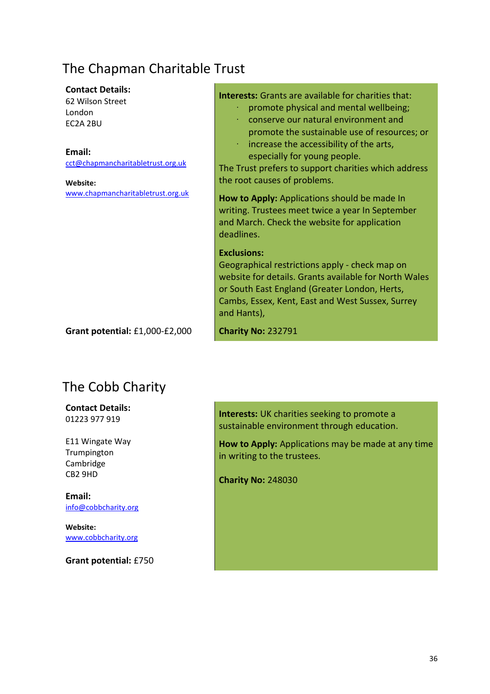## The Chapman Charitable Trust

#### **Contact Details:**

62 Wilson Street London EC2A 2BU

**Email:**

[cct@chapmancharitabletrust.org.uk](mailto:cct@chapmancharitabletrust.org.uk)

**Website:** [www.chapmancharitabletrust.org.uk](http://www.chapmancharitabletrust.org.uk/) **Interests:** Grants are available for charities that:

- promote physical and mental wellbeing;
- · conserve our natural environment and promote the sustainable use of resources; or
- increase the accessibility of the arts, especially for young people.

The Trust prefers to support charities which address the root causes of problems.

**How to Apply:** Applications should be made In writing. Trustees meet twice a year In September and March. Check the website for application deadlines.

#### **Exclusions:**

Geographical restrictions apply - check map on website for details. Grants available for North Wales or South East England (Greater London, Herts, Cambs, Essex, Kent, East and West Sussex, Surrey and Hants),

**Grant potential:** £1,000-£2,000

## The Cobb Charity

**Contact Details:** 01223 977 919

E11 Wingate Way Trumpington Cambridge CB2 9HD

**Email:** [info@cobbcharity.org](mailto:info@cobbcharity.org)

**Website:** [www.cobbcharity.org](http://www.cobbcharity.org/)

**Grant potential:** £750

**Interests:** UK charities seeking to promote a sustainable environment through education.

**How to Apply:** Applications may be made at any time in writing to the trustees.

**Charity No:** 248030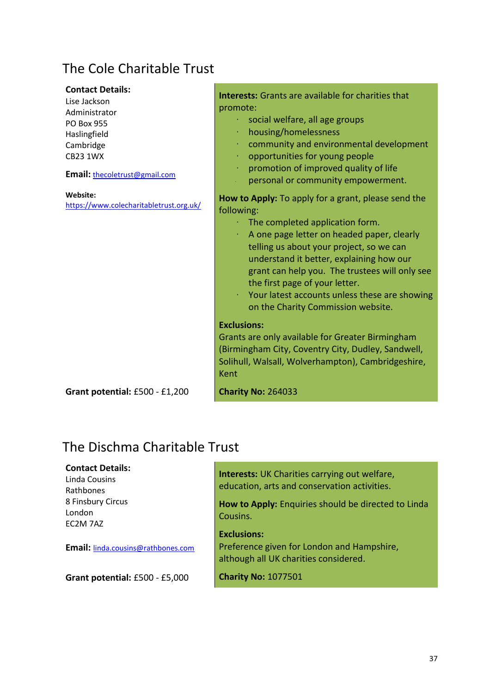# The Cole Charitable Trust

| <b>Contact Details:</b><br>Lise Jackson<br>Administrator<br><b>PO Box 955</b><br>Haslingfield<br>Cambridge<br><b>CB23 1WX</b><br>Email: thecoletrust@gmail.com | <b>Interests:</b> Grants are available for charities that<br>promote:<br>social welfare, all age groups<br>housing/homelessness<br>community and environmental development<br>opportunities for young people<br>promotion of improved quality of life<br>personal or community empowerment.                                                                    |
|----------------------------------------------------------------------------------------------------------------------------------------------------------------|----------------------------------------------------------------------------------------------------------------------------------------------------------------------------------------------------------------------------------------------------------------------------------------------------------------------------------------------------------------|
| Website:<br>https://www.colecharitabletrust.org.uk/                                                                                                            | How to Apply: To apply for a grant, please send the                                                                                                                                                                                                                                                                                                            |
|                                                                                                                                                                | following:<br>The completed application form.<br>A one page letter on headed paper, clearly<br>telling us about your project, so we can<br>understand it better, explaining how our<br>grant can help you. The trustees will only see<br>the first page of your letter.<br>Your latest accounts unless these are showing<br>on the Charity Commission website. |
|                                                                                                                                                                | <b>Exclusions:</b><br>Grants are only available for Greater Birmingham<br>(Birmingham City, Coventry City, Dudley, Sandwell,                                                                                                                                                                                                                                   |
|                                                                                                                                                                | Solihull, Walsall, Wolverhampton), Cambridgeshire,<br>Kent                                                                                                                                                                                                                                                                                                     |
| Grant potential: £500 - £1,200                                                                                                                                 | <b>Charity No: 264033</b>                                                                                                                                                                                                                                                                                                                                      |

### The Dischma Charitable Trust

### **Contact Details:**

Linda Cousins Rathbones 8 Finsbury Circus London EC2M 7AZ

**Email:** [linda.cousins@rathbones.com](mailto:nda.cousins@rathbones.com)

**Grant potential:** £500 - £5,000

**Interests:** UK Charities carrying out welfare, education, arts and conservation activities.

**How to Apply:** Enquiries should be directed to Linda Cousins.

### **Exclusions:**

Preference given for London and Hampshire, although all UK charities considered.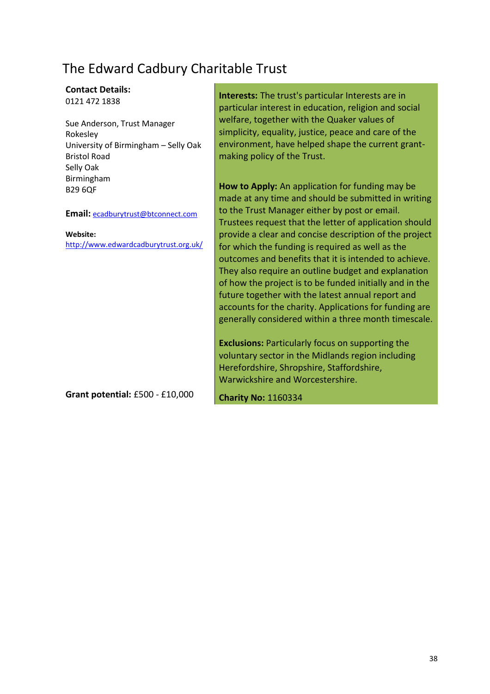# The Edward Cadbury Charitable Trust

### **Contact Details:**

0121 472 1838

Sue Anderson, Trust Manager Rokesley University of Birmingham – Selly Oak Bristol Road Selly Oak Birmingham B29 6QF

**Email:** [ecadburytrust@btconnect.com](mailto:ecadburytrust@btconnect.com)

#### **Website:**

<http://www.edwardcadburytrust.org.uk/>

**Grant potential:** £500 - £10,000

**Interests:** The trust's particular Interests are in particular interest in education, religion and social welfare, together with the Quaker values of simplicity, equality, justice, peace and care of the environment, have helped shape the current grantmaking policy of the Trust.

**How to Apply:** An application for funding may be made at any time and should be submitted in writing to the Trust Manager either by post or email. Trustees request that the letter of application should provide a clear and concise description of the project for which the funding is required as well as the outcomes and benefits that it is intended to achieve. They also require an outline budget and explanation of how the project is to be funded initially and in the future together with the latest annual report and accounts for the charity. Applications for funding are generally considered within a three month timescale.

**Exclusions:** Particularly focus on supporting the voluntary sector in the Midlands region including Herefordshire, Shropshire, Staffordshire, Warwickshire and Worcestershire.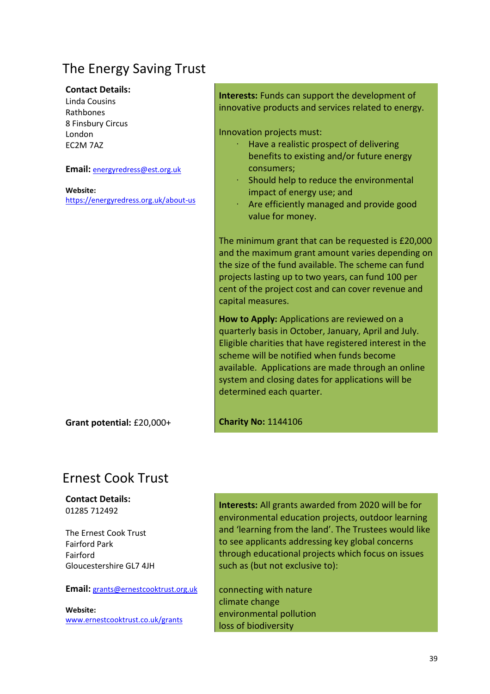# The Energy Saving Trust

#### **Contact Details:**

Linda Cousins Rathbones 8 Finsbury Circus London EC2M 7AZ

**Email:** [energyredress@est.org.uk](mailto:energyredress@est.org.uk)

**Website:**  <https://energyredress.org.uk/about-us>

**Grant potential:** £20,000+

### **Interests:** Funds can support the development of innovative products and services related to energy.

Innovation projects must:

- Have a realistic prospect of delivering benefits to existing and/or future energy consumers;
- Should help to reduce the environmental impact of energy use; and
- Are efficiently managed and provide good value for money.

The minimum grant that can be requested is £20,000 and the maximum grant amount varies depending on the size of the fund available. The scheme can fund projects lasting up to two years, can fund 100 per cent of the project cost and can cover revenue and capital measures.

**How to Apply:** Applications are reviewed on a quarterly basis in October, January, April and July. Eligible charities that have registered interest in the scheme will be notified when funds become available. Applications are made through an online system and closing dates for applications will be determined each quarter.

#### **Charity No:** 1144106

### Ernest Cook Trust

#### **Contact Details:** 01285 712492

The Ernest Cook Trust Fairford Park Fairford Gloucestershire GL7 4JH

#### **Email:** [grants@ernestcooktrust.org.uk](mailto:grants@ernestcooktrust.org.uk)

**Website:**  [www.ernestcooktrust.co.uk/grants](http://www.ernestcooktrust.co.uk/grants) **Interests:** All grants awarded from 2020 will be for environmental education projects, outdoor learning and 'learning from the land'. The Trustees would like to see applicants addressing key global concerns through educational projects which focus on issues such as (but not exclusive to):

connecting with nature climate change environmental pollution loss of biodiversity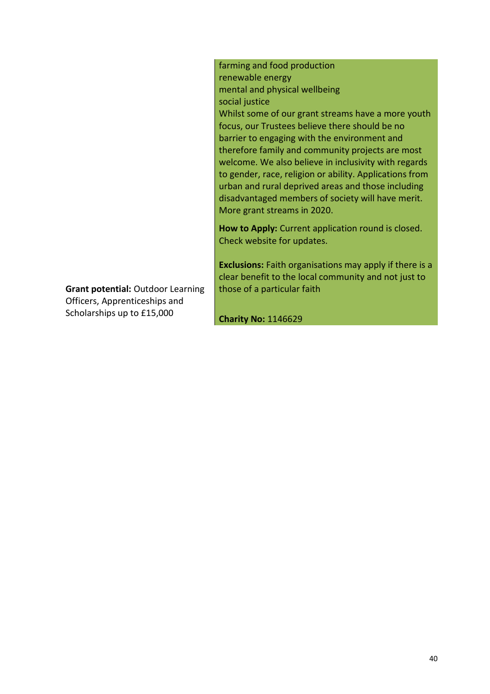farming and food production renewable energy mental and physical wellbeing social justice Whilst some of our grant streams have a more youth focus, our Trustees believe there should be no barrier to engaging with the environment and therefore family and community projects are most welcome. We also believe in inclusivity with regards to gender, race, religion or ability. Applications from urban and rural deprived areas and those including disadvantaged members of society will have merit. More grant streams in 2020.

**How to Apply:** Current application round is closed. Check website for updates.

**Exclusions:** Faith organisations may apply if there is a clear benefit to the local community and not just to those of a particular faith

**Grant potential:** Outdoor Learning Officers, Apprenticeships and Scholarships up to £15,000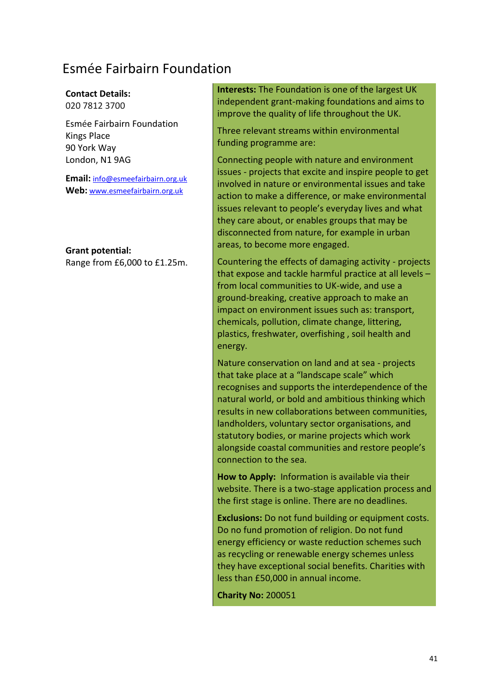### Esmée Fairbairn Foundation

### **Contact Details:**

020 7812 3700

Esmée Fairbairn Foundation Kings Place 90 York Way London, N1 9AG

**Email:** [info@esmeefairbairn.org.uk](mailto:info@esmeefairbairn.org.uk) **Web:** [www.esmeefairbairn.org.uk](http://www.esmeefairbairn.org.uk/)

**Grant potential:**

Range from £6,000 to £1.25m.

**Interests:** The Foundation is one of the largest UK independent grant-making foundations and aims to improve the quality of life throughout the UK.

Three relevant streams within environmental funding programme are:

Connecting people with nature and environment issues - projects that excite and inspire people to get involved in nature or environmental issues and take action to make a difference, or make environmental issues relevant to people's everyday lives and what they care about, or enables groups that may be disconnected from nature, for example in urban areas, to become more engaged.

Countering the effects of damaging activity - projects that expose and tackle harmful practice at all levels – from local communities to UK-wide, and use a ground-breaking, creative approach to make an impact on environment issues such as: transport, chemicals, pollution, climate change, littering, plastics, freshwater, overfishing , soil health and energy.

Nature conservation on land and at sea - projects that take place at a "landscape scale" which recognises and supports the interdependence of the natural world, or bold and ambitious thinking which results in new collaborations between communities, landholders, voluntary sector organisations, and statutory bodies, or marine projects which work alongside coastal communities and restore people's connection to the sea.

**How to Apply:** Information is available via their website. There is a two-stage application process and the first stage is online. There are no deadlines.

**Exclusions:** Do not fund building or equipment costs. Do no fund promotion of religion. Do not fund energy efficiency or waste reduction schemes such as recycling or renewable energy schemes unless they have exceptional social benefits. Charities with less than £50,000 in annual income.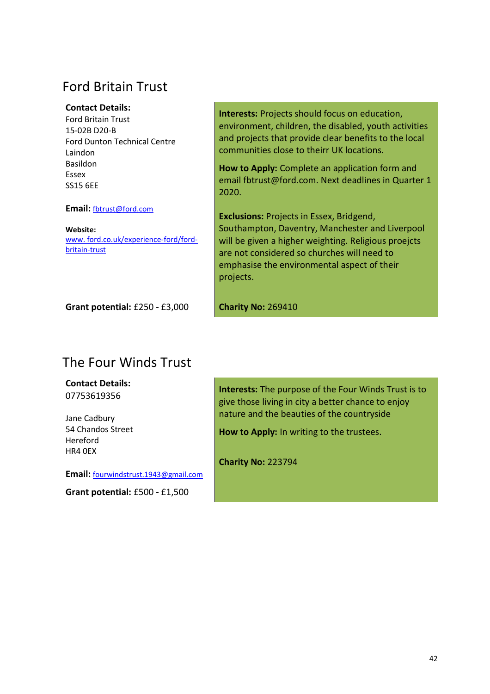### Ford Britain Trust

### **Contact Details:**

Ford Britain Trust 15-02B D20-B Ford Dunton Technical Centre Laindon Basildon Essex SS15 6EE

**Email:** [fbtrust@ford.com](mailto:fbtrust@ford.com)

**Website:**  [www. ford.co.uk/experience-ford/ford](http://www.ford.co.uk/experience-ford/ford-britain-trust)[britain-trust](http://www.ford.co.uk/experience-ford/ford-britain-trust)

**Grant potential:** £250 - £3,000

**Interests:** Projects should focus on education, environment, children, the disabled, youth activities and projects that provide clear benefits to the local communities close to theirr UK locations.

**How to Apply:** Complete an application form and email fbtrust@ford.com. Next deadlines in Quarter 1 2020.

**Exclusions:** Projects in Essex, Bridgend, Southampton, Daventry, Manchester and Liverpool will be given a higher weighting. Religious proejcts are not considered so churches will need to emphasise the environmental aspect of their projects.

**Charity No:** 269410

### The Four Winds Trust

**Contact Details:** 07753619356

Jane Cadbury 54 Chandos Street Hereford HR4 0EX

**Email:** [fourwindstrust.1943@gmail.com](mailto:paul.k@bwm.co.uk)

**Grant potential:** £500 - £1,500

**Interests:** The purpose of the Four Winds Trust is to give those living in city a better chance to enjoy nature and the beauties of the countryside

**How to Apply:** In writing to the trustees.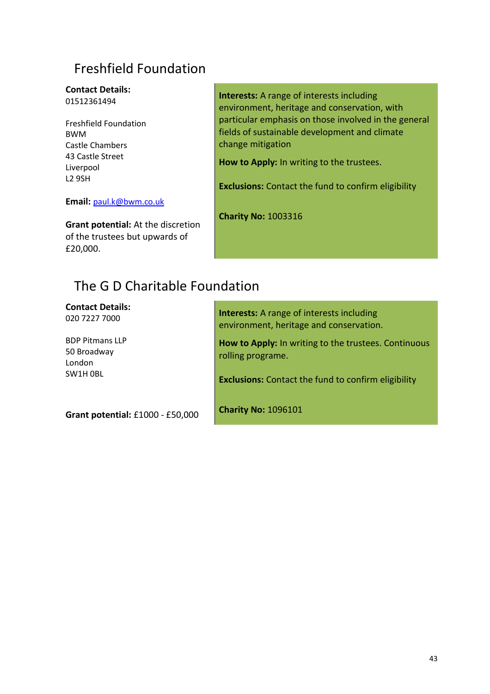# Freshfield Foundation

#### **Contact Details:** 01512361494

Freshfield Foundation BWM Castle Chambers 43 Castle Street Liverpool L2 9SH

**Email:** [paul.k@bwm.co.uk](mailto:paul.k@bwm.co.uk) 

**Grant potential:** At the discretion of the trustees but upwards of £20,000.

**Interests:** A range of interests including environment, heritage and conservation, with particular emphasis on those involved in the general fields of sustainable development and climate change mitigation

**How to Apply:** In writing to the trustees.

**Exclusions:** Contact the fund to confirm eligibility

**Charity No:** 1003316

# The G D Charitable Foundation

**Contact Details:** 020 7227 7000

BDP Pitmans LLP 50 Broadway London SW1H 0BL

**Interests:** A range of interests including environment, heritage and conservation.

**How to Apply:** In writing to the trustees. Continuous rolling programe.

**Exclusions:** Contact the fund to confirm eligibility

**Grant potential:** £1000 - £50,000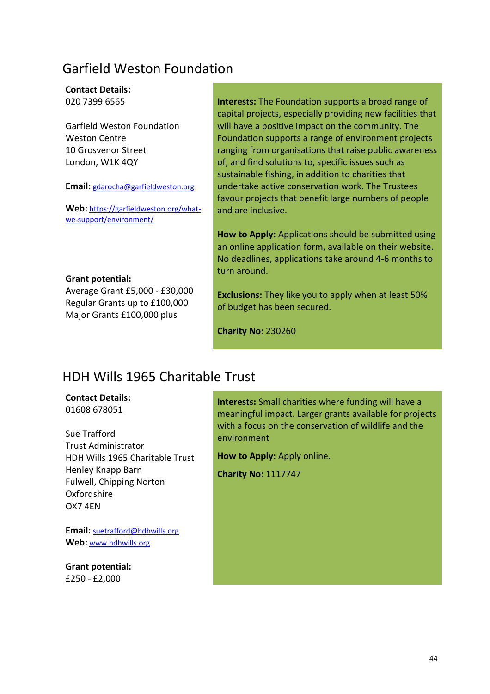### Garfield Weston Foundation

#### **Contact Details:** 020 7399 6565

Garfield Weston Foundation Weston Centre 10 Grosvenor Street London, W1K 4QY

**Email:** [gdarocha@garfieldweston.org](mailto:dendicott@se-law.co.uk)

Web: [https://garfieldweston.org/what](https://garfieldweston.org/what-we-support/environment/)[we-support/environment/](https://garfieldweston.org/what-we-support/environment/)

**Grant potential:**

Average Grant £5,000 - £30,000 Regular Grants up to £100,000 Major Grants £100,000 plus

**Interests:** The Foundation supports a broad range of capital projects, especially providing new facilities that will have a positive impact on the community. The Foundation supports a range of environment projects ranging from organisations that raise public awareness of, and find solutions to, specific issues such as sustainable fishing, in addition to charities that undertake active conservation work. The Trustees favour projects that benefit large numbers of people and are inclusive.

**How to Apply:** Applications should be submitted using an online application form, available on their website. No deadlines, applications take around 4-6 months to turn around.

**Exclusions:** They like you to apply when at least 50% of budget has been secured.

**Charity No:** 230260

### HDH Wills 1965 Charitable Trust

**Contact Details:** 01608 678051

Sue Trafford Trust Administrator HDH Wills 1965 Charitable Trust Henley Knapp Barn Fulwell, Chipping Norton Oxfordshire OX7 4EN

**Email:** [suetrafford@hdhwills.org](mailto:suetrafford@hdhwills.org) **Web:** [www.hdhwills.org](http://www.hdhwills.org/)

**Grant potential:** £250 - £2,000

**Interests:** Small charities where funding will have a meaningful impact. Larger grants available for projects with a focus on the conservation of wildlife and the environment

**How to Apply:** Apply online.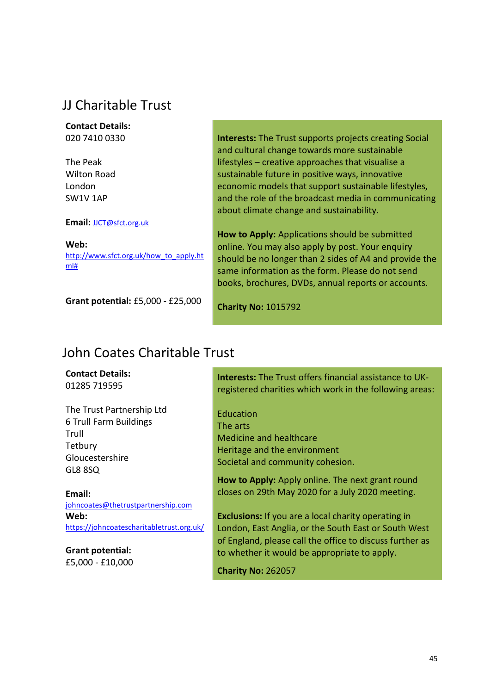# JJ Charitable Trust

**Contact Details:** 020 7410 0330

The Peak Wilton Road London SW1V 1AP

#### **Email:** [JJCT@sfct.org.uk](mailto:JJCT@sfct.org.uk)

**Web:** [http://www.sfct.org.uk/how\\_to\\_apply.ht](http://www.sfct.org.uk/how_to_apply.html) [ml#](http://www.sfct.org.uk/how_to_apply.html)

**Grant potential:** £5,000 - £25,000

**Interests:** The Trust supports projects creating Social and cultural change towards more sustainable lifestyles – creative approaches that visualise a sustainable future in positive ways, innovative economic models that support sustainable lifestyles, and the role of the broadcast media in communicating about climate change and sustainability.

**How to Apply:** Applications should be submitted online. You may also apply by post. Your enquiry should be no longer than 2 sides of A4 and provide the same information as the form. Please do not send books, brochures, DVDs, annual reports or accounts.

**Charity No:** 1015792

### John Coates Charitable Trust

**Contact Details:** 01285 719595

The Trust Partnership Ltd 6 Trull Farm Buildings Trull **Tetbury** Gloucestershire GL8 8SQ

**Email:** [johncoates@thetrustpartnership.com](mailto:johncoates@thetrustpartnership.com) **Web:** <https://johncoatescharitabletrust.org.uk/>

**Grant potential:** £5,000 - £10,000 **Interests:** The Trust offers financial assistance to UKregistered charities which work in the following areas:

Education The arts Medicine and healthcare Heritage and the environment Societal and community cohesion.

**How to Apply:** Apply online. The next grant round closes on 29th May 2020 for a July 2020 meeting.

**Exclusions:** If you are a local charity operating in London, East Anglia, or the South East or South West of England, please call the office to discuss further as to whether it would be appropriate to apply.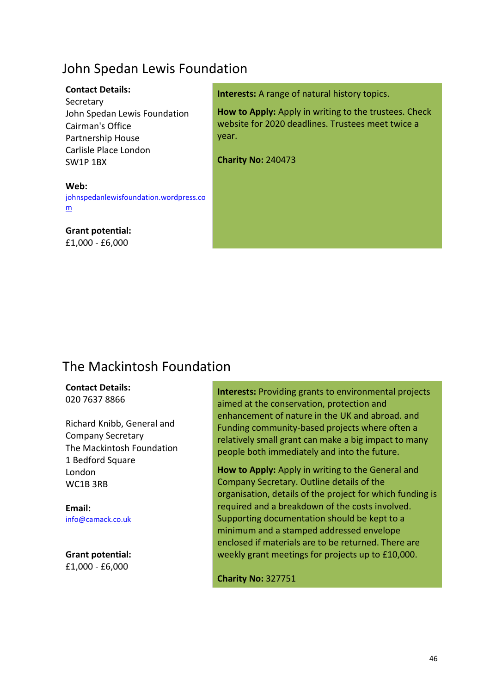## John Spedan Lewis Foundation

### **Contact Details:**

**Secretary** John Spedan Lewis Foundation Cairman's Office Partnership House Carlisle Place London SW1P 1BX

**Interests:** A range of natural history topics.

**How to Apply:** Apply in writing to the trustees. Check website for 2020 deadlines. Trustees meet twice a year.

**Charity No:** 240473

#### **Web:** [johnspedanlewisfoundation.wordpress.co](file://///ncis.churchofengland.org/data/DepartmentShare/Finance%20and%20Resources/acfinance/Finplan/STEWARDSHIP/11.%20Funding/National%20List/Charitable%20Grants%20for%20Churches/2019/johnspedanlewisfoundation.wordpress.com) [m](file://///ncis.churchofengland.org/data/DepartmentShare/Finance%20and%20Resources/acfinance/Finplan/STEWARDSHIP/11.%20Funding/National%20List/Charitable%20Grants%20for%20Churches/2019/johnspedanlewisfoundation.wordpress.com)

**Grant potential:** £1,000 - £6,000

### The Mackintosh Foundation

### **Contact Details:**

020 7637 8866

Richard Knibb, General and Company Secretary The Mackintosh Foundation 1 Bedford Square London WC1B 3RB

**Email:** [info@camack.co.uk](mailto:info@camack.co.uk)

**Grant potential:** £1,000 - £6,000

**Interests:** Providing grants to environmental projects aimed at the conservation, protection and enhancement of nature in the UK and abroad. and Funding community-based projects where often a relatively small grant can make a big impact to many people both immediately and into the future.

**How to Apply:** Apply in writing to the General and Company Secretary. Outline details of the organisation, details of the project for which funding is required and a breakdown of the costs involved. Supporting documentation should be kept to a minimum and a stamped addressed envelope enclosed if materials are to be returned. There are weekly grant meetings for projects up to £10,000.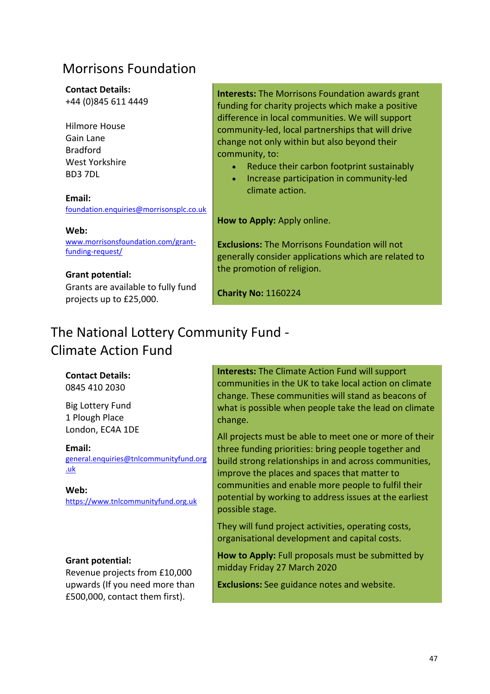### Morrisons Foundation

### **Contact Details:**

+44 (0)845 611 4449

Hilmore House Gain Lane Bradford West Yorkshire BD3 7DL

**Email:** [foundation.enquiries@morrisonsplc.co.uk](mailto:foundation.enquiries@morrisonsplc.co.uk)

#### **Web:**

[www.morrisonsfoundation.com/grant](http://www.morrisonsfoundation.com/grant-funding-request/)[funding-request/](http://www.morrisonsfoundation.com/grant-funding-request/)

**Grant potential:** Grants are available to fully fund projects up to £25,000.

**Interests:** The Morrisons Foundation awards grant funding for charity projects which make a positive difference in local communities. We will support community-led, local partnerships that will drive change not only within but also beyond their community, to:

- Reduce their carbon footprint sustainably
- Increase participation in community-led climate action.

**How to Apply:** Apply online.

**Exclusions:** The Morrisons Foundation will not generally consider applications which are related to the promotion of religion.

**Charity No:** 1160224

### The National Lottery Community Fund - Climate Action Fund

### **Contact Details:**

0845 410 2030

Big Lottery Fund 1 Plough Place London, EC4A 1DE

#### **Email:**

[general.enquiries@tnlcommunityfund.org](mailto:general.enquiries@tnlcommunityfund.org.uk) [.uk](mailto:general.enquiries@tnlcommunityfund.org.uk)

### **Web:**

https://www.tnlcommunityfund.org.uk

### **Grant potential:**

Revenue projects from £10,000 upwards (If you need more than £500,000, contact them first).

**Interests:** The Climate Action Fund will support communities in the UK to take local action on climate change. These communities will stand as beacons of what is possible when people take the lead on climate change.

All projects must be able to meet one or more of their three funding priorities: bring people together and build strong relationships in and across communities, improve the places and spaces that matter to communities and enable more people to fulfil their potential by working to address issues at the earliest possible stage.

They will fund project activities, operating costs, organisational development and capital costs.

**How to Apply:** Full proposals must be submitted by midday Friday 27 March 2020

**Exclusions:** See guidance notes and website.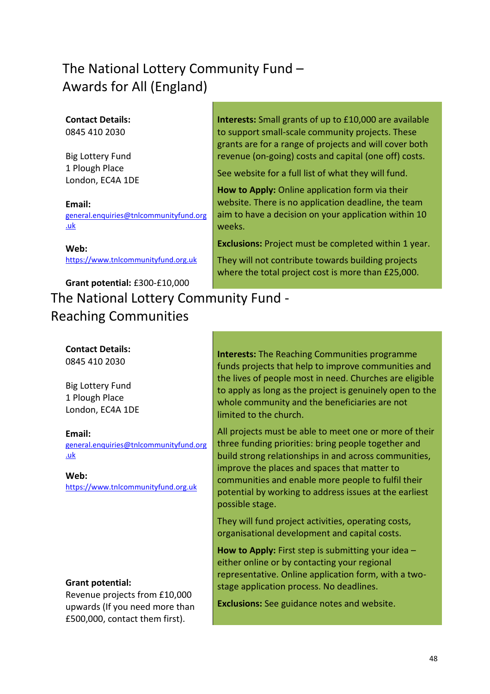# The National Lottery Community Fund – Awards for All (England)

### **Contact Details:**

0845 410 2030

Big Lottery Fund 1 Plough Place London, EC4A 1DE

#### **Email:**

[general.enquiries@tnlcommunityfund.org](mailto:general.enquiries@tnlcommunityfund.org.uk) [.uk](mailto:general.enquiries@tnlcommunityfund.org.uk)

**Web:** https://www.tnlcommunityfund.org.uk

# **Grant potential:** £300-£10,000 The National Lottery Community Fund - Reaching Communities

### **Contact Details:**

0845 410 2030

Big Lottery Fund 1 Plough Place London, EC4A 1DE

### **Email:**

[general.enquiries@tnlcommunityfund.org](mailto:general.enquiries@tnlcommunityfund.org.uk) [.uk](mailto:general.enquiries@tnlcommunityfund.org.uk)

#### **Web:**

https://www.tnlcommunityfund.org.uk

### **Grant potential:**

Revenue projects from £10,000 upwards (If you need more than £500,000, contact them first).

**Interests:** Small grants of up to £10,000 are available to support small-scale community projects. These grants are for a range of projects and will cover both revenue (on-going) costs and capital (one off) costs.

See website for a full list of what they will fund.

**How to Apply:** Online application form via their website. There is no application deadline, the team aim to have a decision on your application within 10 weeks.

**Exclusions:** Project must be completed within 1 year.

They will not contribute towards building projects where the total project cost is more than £25,000.

**Interests:** The Reaching Communities programme funds projects that help to improve communities and the lives of people most in need. Churches are eligible to apply as long as the project is genuinely open to the whole community and the beneficiaries are not limited to the church.

All projects must be able to meet one or more of their three funding priorities: bring people together and build strong relationships in and across communities, improve the places and spaces that matter to communities and enable more people to fulfil their potential by working to address issues at the earliest possible stage.

They will fund project activities, operating costs, organisational development and capital costs.

**How to Apply:** First step is submitting your idea – either online or by contacting your regional representative. Online application form, with a twostage application process. No deadlines.

**Exclusions:** See guidance notes and website.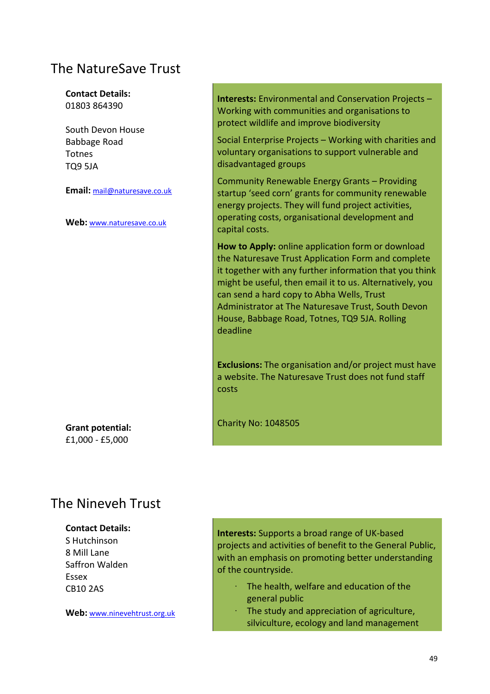### The NatureSave Trust

**Contact Details:** 01803 864390

South Devon House Babbage Road Totnes TQ9 5JA

**Email:** [mail@naturesave.co.uk](mailto:mail@naturesave.co.uk)

**Web:** [www.naturesave.co.uk](http://www.naturesave.co.uk/)

**Interests:** Environmental and Conservation Projects – Working with communities and organisations to protect wildlife and improve biodiversity

Social Enterprise Projects – Working with charities and voluntary organisations to support vulnerable and disadvantaged groups

Community Renewable Energy Grants – Providing startup 'seed corn' grants for community renewable energy projects. They will fund project activities, operating costs, organisational development and capital costs.

**How to Apply:** online application form or download the Naturesave Trust Application Form and complete it together with any further information that you think might be useful, then email it to us. Alternatively, you can send a hard copy to Abha Wells, Trust Administrator at The Naturesave Trust, South Devon House, Babbage Road, Totnes, TQ9 5JA. Rolling deadline

**Exclusions:** The organisation and/or project must have a website. The Naturesave Trust does not fund staff costs

Charity No: 1048505

**Grant potential:** £1,000 - £5,000

### The Nineveh Trust

#### **Contact Details:**

S Hutchinson 8 Mill Lane Saffron Walden Essex CB10 2AS

**Web:** [www.ninevehtrust.org.uk](http://www.ninevehtrust.org.uk/)

**Interests:** Supports a broad range of UK-based projects and activities of benefit to the General Public, with an emphasis on promoting better understanding of the countryside.

- The health, welfare and education of the general public
- The study and appreciation of agriculture, silviculture, ecology and land management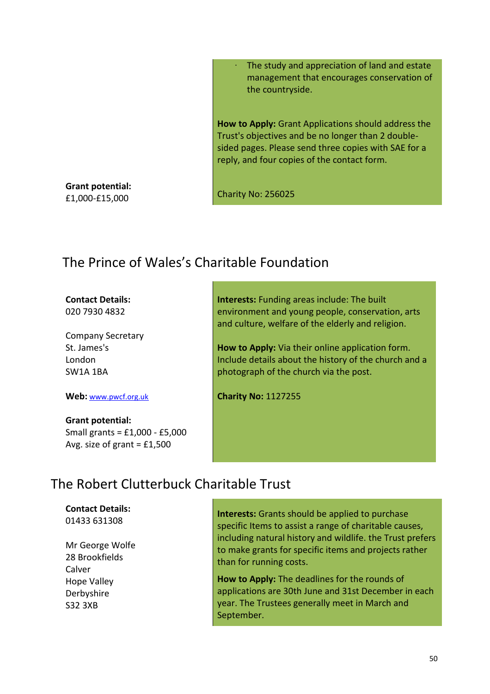The study and appreciation of land and estate management that encourages conservation of the countryside.

**How to Apply:** Grant Applications should address the Trust's objectives and be no longer than 2 doublesided pages. Please send three copies with SAE for a reply, and four copies of the contact form.

**Grant potential:** £1,000-£15,000

Charity No: 256025

### The Prince of Wales's Charitable Foundation

### **Contact Details:**

020 7930 4832

Company Secretary St. James's London SW1A 1BA

**Web:** [www.pwcf.org.uk](http://www.pwcf.org.uk/)

# **Grant potential:**

Small grants = £1,000 - £5,000 Avg. size of grant  $=$  £1,500

**Interests:** Funding areas include: The built environment and young people, conservation, arts and culture, welfare of the elderly and religion.

**How to Apply:** Via their online application form. Include details about the history of the church and a photograph of the church via the post.

**Charity No:** 1127255

### The Robert Clutterbuck Charitable Trust

**Contact Details:** 01433 631308

Mr George Wolfe 28 Brookfields Calver Hope Valley Derbyshire S32 3XB

**Interests:** Grants should be applied to purchase specific Items to assist a range of charitable causes, including natural history and wildlife. the Trust prefers to make grants for specific items and projects rather than for running costs.

**How to Apply:** The deadlines for the rounds of applications are 30th June and 31st December in each year. The Trustees generally meet in March and September.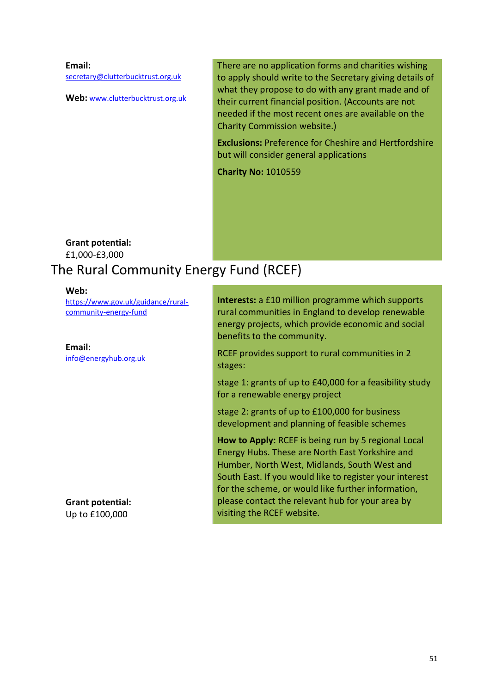**Email:** [secretary@clutterbucktrust.org.uk](mailto:secretary@clutterbucktrust.org.uk)

**Web:** [www.clutterbucktrust.org.uk](http://www.clutterbucktrust.org.uk/)

There are no application forms and charities wishing to apply should write to the Secretary giving details of what they propose to do with any grant made and of their current financial position. (Accounts are not needed if the most recent ones are available on the Charity Commission website.)

**Exclusions:** Preference for Cheshire and Hertfordshire but will consider general applications

**Charity No:** 1010559

**Grant potential:** £1,000-£3,000

# The Rural Community Energy Fund (RCEF)

#### **Web:**

[https://www.gov.uk/guidance/rural](https://www.gov.uk/guidance/rural-community-energy-fund)[community-energy-fund](https://www.gov.uk/guidance/rural-community-energy-fund)

**Email:**

[info@energyhub.org.uk](mailto:info@energyhub.org.uk)

**Grant potential:** Up to £100,000

**Interests:** a £10 million programme which supports rural communities in England to develop renewable energy projects, which provide economic and social benefits to the community.

RCEF provides support to rural communities in 2 stages:

stage 1: grants of up to £40,000 for a feasibility study for a renewable energy project

stage 2: grants of up to £100,000 for business development and planning of feasible schemes

**How to Apply:** RCEF is being run by 5 regional Local Energy Hubs. These are North East Yorkshire and Humber, North West, Midlands, South West and South East. If you would like to register your interest for the scheme, or would like further information, please contact the relevant hub for your area by visiting the RCEF website.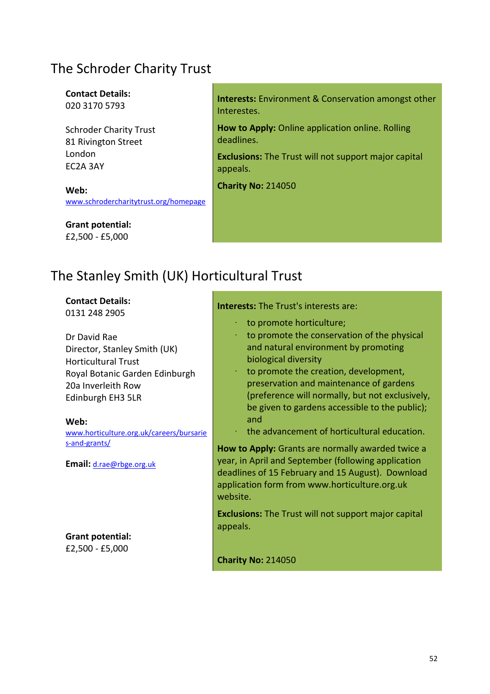## The Schroder Charity Trust

#### **Contact Details:** 020 3170 5793

Schroder Charity Trust 81 Rivington Street London EC2A 3AY

**Web:** [www.schrodercharitytrust.org/homepage](http://www.schrodercharitytrust.org/homepage)

**Grant potential:** £2,500 - £5,000

**Interests:** Environment & Conservation amongst other Interestes.

**How to Apply:** Online application online. Rolling deadlines.

**Exclusions:** The Trust will not support major capital appeals.

**Charity No:** 214050

# The Stanley Smith (UK) Horticultural Trust

### **Contact Details:**

0131 248 2905

Dr David Rae Director, Stanley Smith (UK) Horticultural Trust Royal Botanic Garden Edinburgh 20a Inverleith Row Edinburgh EH3 5LR

#### **Web:**

[www.horticulture.org.uk/careers/bursarie](http://www.horticulture.org.uk/careers/bursaries-and-grants/) [s-and-grants/](http://www.horticulture.org.uk/careers/bursaries-and-grants/)

**Email:** [d.rae@rbge.org.uk](mailto:d.rae@rbge.org.uk)

**Grant potential:** £2,500 - £5,000

#### **Interests:** The Trust's interests are:

- · to promote horticulture;
- to promote the conservation of the physical and natural environment by promoting biological diversity
- to promote the creation, development, preservation and maintenance of gardens (preference will normally, but not exclusively, be given to gardens accessible to the public); and
- · the advancement of horticultural education.

**How to Apply:** Grants are normally awarded twice a year, in April and September (following application deadlines of 15 February and 15 August). Download application form from www.horticulture.org.uk website.

**Exclusions:** The Trust will not support major capital appeals.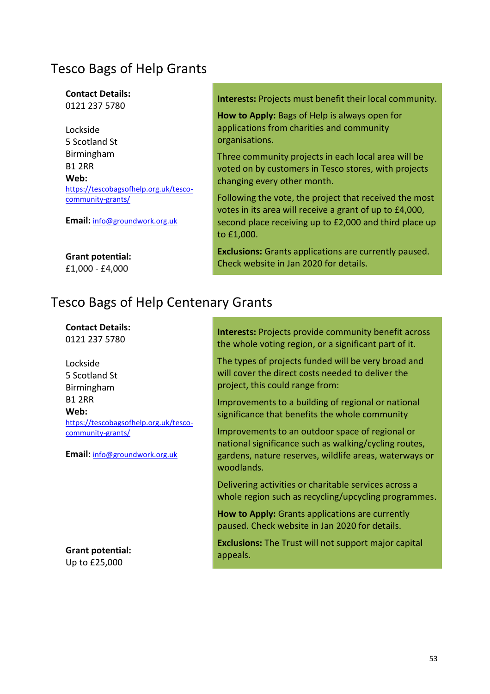### Tesco Bags of Help Grants

**Contact Details:** 0121 237 5780

Lockside 5 Scotland St Birmingham B1 2RR **Web:** [https://tescobagsofhelp.org.uk/tesco](https://tescobagsofhelp.org.uk/tesco-community-grants/)[community-grants/](https://tescobagsofhelp.org.uk/tesco-community-grants/)

**Email:** [info@groundwork.org.uk](mailto:info@groundwork.org.uk)

**Grant potential:** £1,000 - £4,000

# Tesco Bags of Help Centenary Grants

**Contact Details:**

0121 237 5780

Lockside 5 Scotland St Birmingham B1 2RR **Web:** [https://tescobagsofhelp.org.uk/tesco](https://tescobagsofhelp.org.uk/tesco-community-grants/)[community-grants/](https://tescobagsofhelp.org.uk/tesco-community-grants/)

**Email:** [info@groundwork.org.uk](mailto:info@groundwork.org.uk)

**Grant potential:** Up to £25,000

**Interests:** Projects must benefit their local community.

**How to Apply:** Bags of Help is always open for applications from charities and community organisations.

Three community projects in each local area will be voted on by customers in Tesco stores, with projects changing every other month.

Following the vote, the project that received the most votes in its area will receive a grant of up to £4,000, second place receiving up to £2,000 and third place up to £1,000.

**Exclusions:** Grants applications are currently paused. Check website in Jan 2020 for details.

**Interests:** Projects provide community benefit across the whole voting region, or a significant part of it.

The types of projects funded will be very broad and will cover the direct costs needed to deliver the project, this could range from:

Improvements to a building of regional or national significance that benefits the whole community

Improvements to an outdoor space of regional or national significance such as walking/cycling routes, gardens, nature reserves, wildlife areas, waterways or woodlands.

Delivering activities or charitable services across a whole region such as recycling/upcycling programmes.

**How to Apply:** Grants applications are currently paused. Check website in Jan 2020 for details.

**Exclusions:** The Trust will not support major capital appeals.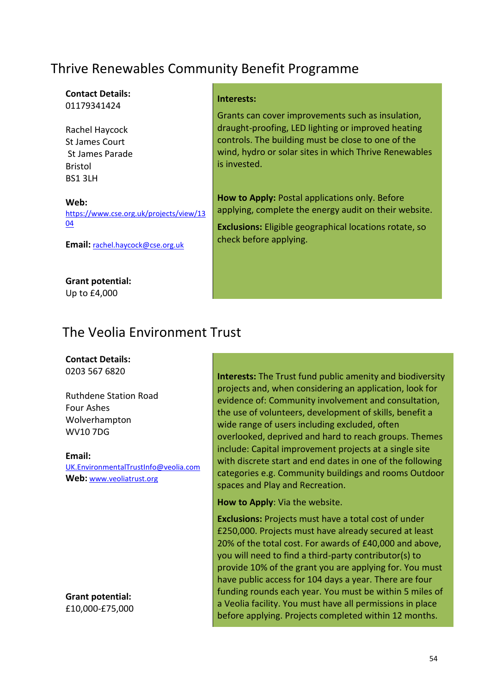# Thrive Renewables Community Benefit Programme

# **Contact Details:**

01179341424

Rachel Haycock St James Court St James Parade Bristol BS1 3LH

#### **Web:** [https://www.cse.org.uk/projects/view/13](https://www.cse.org.uk/projects/view/1304) [04](https://www.cse.org.uk/projects/view/1304)

**Email:** [rachel.haycock@cse.org.uk](mailto:rachel.haycock@cse.org.uk)

# **Grant potential:**

Up to £4,000

### **Interests:**

Grants can cover improvements such as insulation, draught-proofing, LED lighting or improved heating controls. The building must be close to one of the wind, hydro or solar sites in which Thrive Renewables is invested.

**How to Apply:** Postal applications only. Before applying, complete the energy audit on their website.

**Exclusions:** Eligible geographical locations rotate, so check before applying.

# The Veolia Environment Trust

### **Contact Details:**

0203 567 6820

Ruthdene Station Road Four Ashes Wolverhampton WV10 7DG

### **Email:**

UK.EnvironmentalTrustInfo@veolia.com **Web:** [www.veoliatrust.org](http://www.veoliatrust.org/)

**Grant potential:** £10,000-£75,000 **Interests:** The Trust fund public amenity and biodiversity projects and, when considering an application, look for evidence of: Community involvement and consultation, the use of volunteers, development of skills, benefit a wide range of users including excluded, often overlooked, deprived and hard to reach groups. Themes include: Capital improvement projects at a single site with discrete start and end dates in one of the following categories e.g. Community buildings and rooms Outdoor spaces and Play and Recreation.

**How to Apply**: Via the website.

**Exclusions:** Projects must have a total cost of under £250,000. Projects must have already secured at least 20% of the total cost. For awards of £40,000 and above, you will need to find a third-party contributor(s) to provide 10% of the grant you are applying for. You must have public access for 104 days a year. There are four funding rounds each year. You must be within 5 miles of a Veolia facility. You must have all permissions in place before applying. Projects completed within 12 months.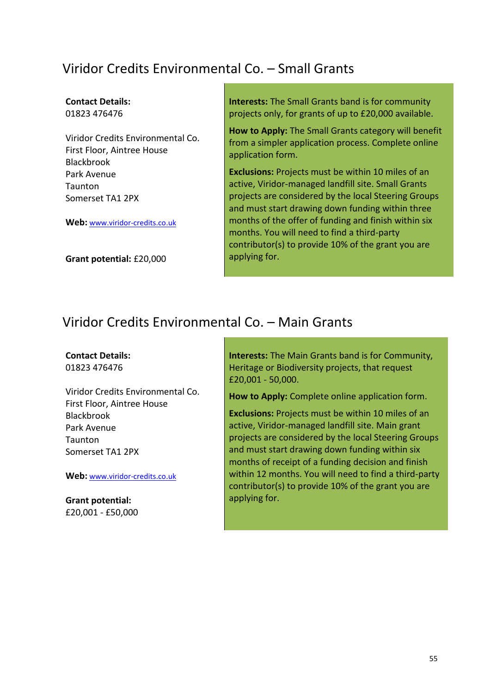# Viridor Credits Environmental Co. – Small Grants

#### **Contact Details:** 01823 476476

Viridor Credits Environmental Co. First Floor, Aintree House Blackbrook Park Avenue Taunton Somerset TA1 2PX

**Web:** [www.viridor-credits.co.uk](http://www.viridor-credits.co.uk/)

**Grant potential:** £20,000

**Interests:** The Small Grants band is for community projects only, for grants of up to £20,000 available.

**How to Apply:** The Small Grants category will benefit from a simpler application process. Complete online application form.

**Exclusions:** Projects must be within 10 miles of an active, Viridor-managed landfill site. Small Grants projects are considered by the local Steering Groups and must start drawing down funding within three months of the offer of funding and finish within six months. You will need to find a third-party contributor(s) to provide 10% of the grant you are applying for.

### Viridor Credits Environmental Co. – Main Grants

#### **Contact Details:**

01823 476476

Viridor Credits Environmental Co. First Floor, Aintree House Blackbrook Park Avenue **Taunton** Somerset TA1 2PX

#### **Web:** [www.viridor-credits.co.uk](http://www.viridor-credits.co.uk/)

**Grant potential:** £20,001 - £50,000 **Interests:** The Main Grants band is for Community, Heritage or Biodiversity projects, that request £20,001 - 50,000.

**How to Apply:** Complete online application form.

**Exclusions:** Projects must be within 10 miles of an active, Viridor-managed landfill site. Main grant projects are considered by the local Steering Groups and must start drawing down funding within six months of receipt of a funding decision and finish within 12 months. You will need to find a third-party contributor(s) to provide 10% of the grant you are applying for.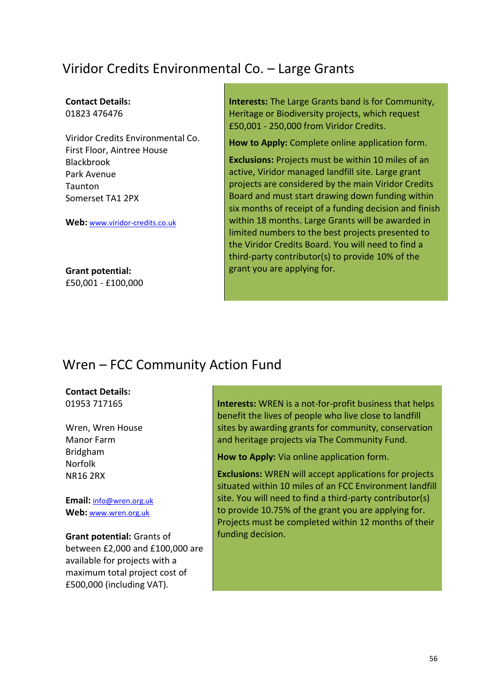# Viridor Credits Environmental Co. – Large Grants

#### **Contact Details:** 01823 476476

Viridor Credits Environmental Co. First Floor, Aintree House Blackbrook Park Avenue Taunton Somerset TA1 2PX

**Web:** [www.viridor-credits.co.uk](http://www.viridor-credits.co.uk/)

**Grant potential:** £50,001 - £100,000 **Interests:** The Large Grants band is for Community, Heritage or Biodiversity projects, which request £50,001 - 250,000 from Viridor Credits.

**How to Apply:** Complete online application form.

**Exclusions:** Projects must be within 10 miles of an active, Viridor managed landfill site. Large grant projects are considered by the main Viridor Credits Board and must start drawing down funding within six months of receipt of a funding decision and finish within 18 months. Large Grants will be awarded in limited numbers to the best projects presented to the Viridor Credits Board. You will need to find a third-party contributor(s) to provide 10% of the grant you are applying for.

### Wren – FCC Community Action Fund

#### **Contact Details:** 01953 717165

Wren, Wren House Manor Farm Bridgham Norfolk NR16 2RX

**Email:** [info@wren.org.uk](mailto:info@wren.org.uk) **Web:** [www.wren.org.uk](http://www.wren.org.uk/)

**Grant potential:** Grants of between £2,000 and £100,000 are available for projects with a maximum total project cost of £500,000 (including VAT).

**Interests:** WREN is a not-for-profit business that helps benefit the lives of people who live close to landfill sites by awarding grants for community, conservation and heritage projects via The Community Fund.

**How to Apply:** Via online application form.

**Exclusions:** WREN will accept applications for projects situated within 10 miles of an FCC Environment landfill site. You will need to find a third-party contributor(s) to provide 10.75% of the grant you are applying for. Projects must be completed within 12 months of their funding decision.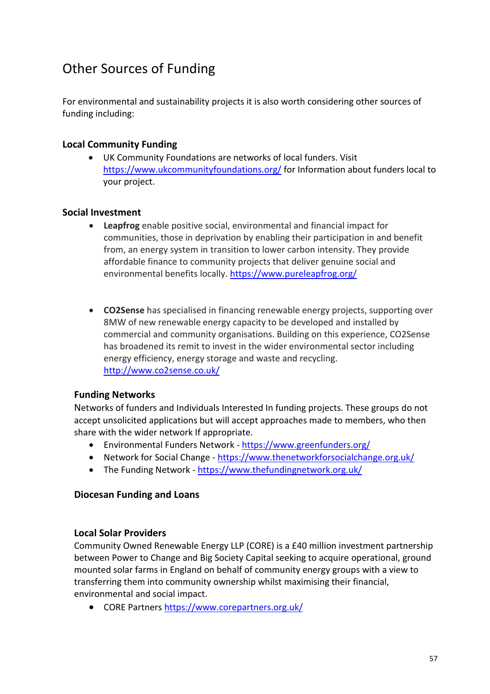# Other Sources of Funding

For environmental and sustainability projects it is also worth considering other sources of funding including:

### **Local Community Funding**

UK Community Foundations are networks of local funders. Visit <https://www.ukcommunityfoundations.org/> for Information about funders local to your project.

### **Social Investment**

- **Leapfrog** enable positive social, environmental and financial impact for communities, those in deprivation by enabling their participation in and benefit from, an energy system in transition to lower carbon intensity. They provide affordable finance to community projects that deliver genuine social and environmental benefits locally. <https://www.pureleapfrog.org/>
- **CO2Sense** has specialised in financing renewable energy projects, supporting over 8MW of new renewable energy capacity to be developed and installed by commercial and community organisations. Building on this experience, CO2Sense has broadened its remit to invest in the wider environmental sector including energy efficiency, energy storage and waste and recycling. <http://www.co2sense.co.uk/>

### **Funding Networks**

Networks of funders and Individuals Interested In funding projects. These groups do not accept unsolicited applications but will accept approaches made to members, who then share with the wider network If appropriate.

- Environmental Funders Network <https://www.greenfunders.org/>
- Network for Social Change <https://www.thenetworkforsocialchange.org.uk/>
- The Funding Network <https://www.thefundingnetwork.org.uk/>

### **Diocesan Funding and Loans**

### **Local Solar Providers**

Community Owned Renewable Energy LLP (CORE) is a £40 million investment partnership between Power to Change and Big Society Capital seeking to acquire operational, ground mounted solar farms in England on behalf of community energy groups with a view to transferring them into community ownership whilst maximising their financial, environmental and social impact.

• CORE Partners<https://www.corepartners.org.uk/>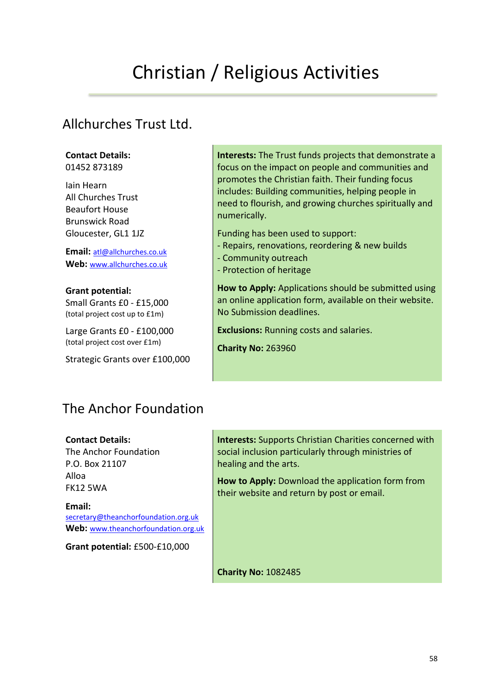# Christian / Religious Activities

### Allchurches Trust Ltd.

#### **Contact Details:**

01452 873189

Iain Hearn All Churches Trust Beaufort House Brunswick Road Gloucester, GL1 1JZ

**Email:** [atl@allchurches.co.uk](mailto:atl@allchurches.co.uk) **Web:** [www.allchurches.co.uk](http://www.allchurches.co.uk/)

**Grant potential:**  Small Grants £0 - £15,000 (total project cost up to £1m)

Large Grants £0 - £100,000 (total project cost over £1m)

Strategic Grants over £100,000

### **Interests:** The Trust funds projects that demonstrate a focus on the impact on people and communities and promotes the Christian faith. Their funding focus includes: Building communities, helping people in need to flourish, and growing churches spiritually and numerically.

Funding has been used to support:

- Repairs, renovations, reordering & new builds
- Community outreach
- Protection of heritage

**How to Apply:** Applications should be submitted using an online application form, available on their website. No Submission deadlines.

**Exclusions:** Running costs and salaries.

**Charity No:** 263960

# The Anchor Foundation

**Contact Details:** The Anchor Foundation

P.O. Box 21107 Alloa FK12 5WA

**Email:**  [secretary@theanchorfoundation.org.uk](mailto:stewardsco@stewards.co.uk) **Web:** [www.theanchorfoundation.org.uk](http://www.theanchorfoundation.org.uk/)

**Grant potential:** £500-£10,000

**Interests:** Supports Christian Charities concerned with social inclusion particularly through ministries of healing and the arts.

**How to Apply:** Download the application form from their website and return by post or email.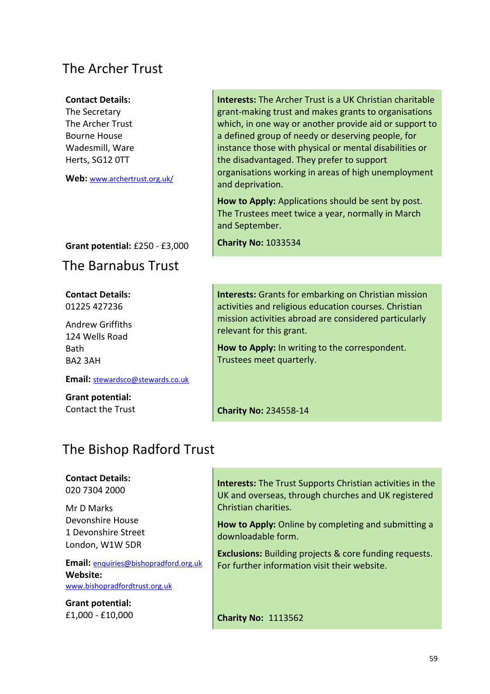### The Archer Trust

#### **Contact Details:**

The Secretary The Archer Trust Bourne House Wadesmill, Ware Herts, SG12 0TT

**Web:** [www.archertrust.org.uk/](http://www.archertrust.org.uk/)

#### **Grant potential:** £250 - £3,000

The Barnabus Trust

**Contact Details:** 01225 427236

Andrew Griffiths 124 Wells Road Bath BA2 3AH

**Email:** [stewardsco@stewards.co.uk](mailto:stewardsco@stewards.co.uk)

**Grant potential:** Contact the Trust **Interests:** The Archer Trust is a UK Christian charitable grant-making trust and makes grants to organisations which, in one way or another provide aid or support to a defined group of needy or deserving people, for instance those with physical or mental disabilities or the disadvantaged. They prefer to support organisations working in areas of high unemployment and deprivation.

**How to Apply:** Applications should be sent by post. The Trustees meet twice a year, normally in March and September.

**Charity No:** 1033534

**Interests:** Grants for embarking on Christian mission activities and religious education courses. Christian mission activities abroad are considered particularly relevant for this grant.

**How to Apply:** In writing to the correspondent. Trustees meet quarterly.

**Charity No:** 234558-14

### The Bishop Radford Trust

#### **Contact Details:** 020 7304 2000

Mr D Marks

Devonshire House 1 Devonshire Street London, W1W 5DR

**Email:** enquiries@bishopradford.org.uk **Website:**  [www.bishopradfordtrust.org.uk](http://www.bishopradfordtrust.org.uk/)

**Grant potential:** £1,000 - £10,000 **Interests:** The Trust Supports Christian activities in the UK and overseas, through churches and UK registered Christian charities.

**How to Apply:** Online by completing and submitting a downloadable form.

**Exclusions:** Building projects & core funding requests. For further information visit their website.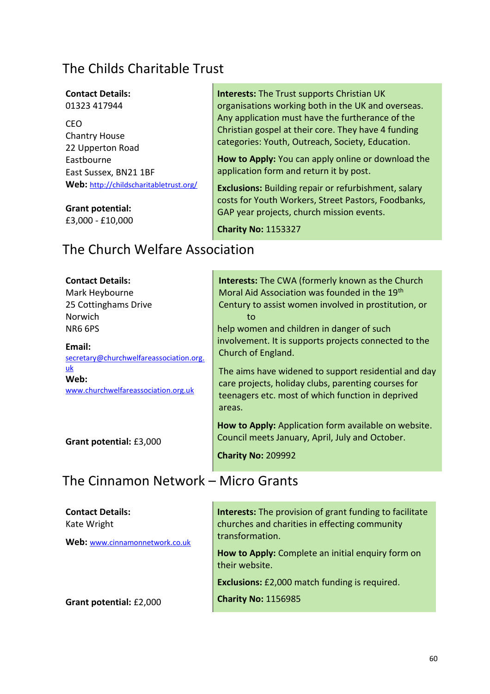# The Childs Charitable Trust

#### **Contact Details:** 01323 417944

CEO Chantry House 22 Upperton Road Eastbourne East Sussex, BN21 1BF **Web:** <http://childscharitabletrust.org/>

### **Grant potential:**

£3,000 - £10,000

**Interests:** The Trust supports Christian UK organisations working both in the UK and overseas. Any application must have the furtherance of the Christian gospel at their core. They have 4 funding categories: Youth, Outreach, Society, Education.

**How to Apply:** You can apply online or download the application form and return it by post.

**Exclusions:** Building repair or refurbishment, salary costs for Youth Workers, Street Pastors, Foodbanks, GAP year projects, church mission events.

**Charity No:** 1153327

# The Church Welfare Association

| <b>Contact Details:</b>                           | <b>Interests:</b> The CWA (formerly known as the Church                                                                                                                    |
|---------------------------------------------------|----------------------------------------------------------------------------------------------------------------------------------------------------------------------------|
| Mark Heybourne                                    | Moral Aid Association was founded in the 19th                                                                                                                              |
| 25 Cottinghams Drive                              | Century to assist women involved in prostitution, or                                                                                                                       |
| <b>Norwich</b>                                    | to                                                                                                                                                                         |
| <b>NR6 6PS</b>                                    | help women and children in danger of such                                                                                                                                  |
| Email:<br>secretary@churchwelfareassociation.org. | involvement. It is supports projects connected to the<br>Church of England.                                                                                                |
| uk<br>Web:<br>www.churchwelfareassociation.org.uk | The aims have widened to support residential and day<br>care projects, holiday clubs, parenting courses for<br>teenagers etc. most of which function in deprived<br>areas. |
| Grant potential: £3,000                           | How to Apply: Application form available on website.<br>Council meets January, April, July and October.<br><b>Charity No: 209992</b>                                       |

### The Cinnamon Network – Micro Grants

| <b>Contact Details:</b><br>Kate Wright | <b>Interests:</b> The provision of grant funding to facilitate<br>churches and charities in effecting community |
|----------------------------------------|-----------------------------------------------------------------------------------------------------------------|
| Web: www.cinnamonnetwork.co.uk         | transformation.<br>How to Apply: Complete an initial enquiry form on<br>their website.                          |
| Grant potential: £2,000                | <b>Exclusions:</b> £2,000 match funding is required.<br><b>Charity No: 1156985</b>                              |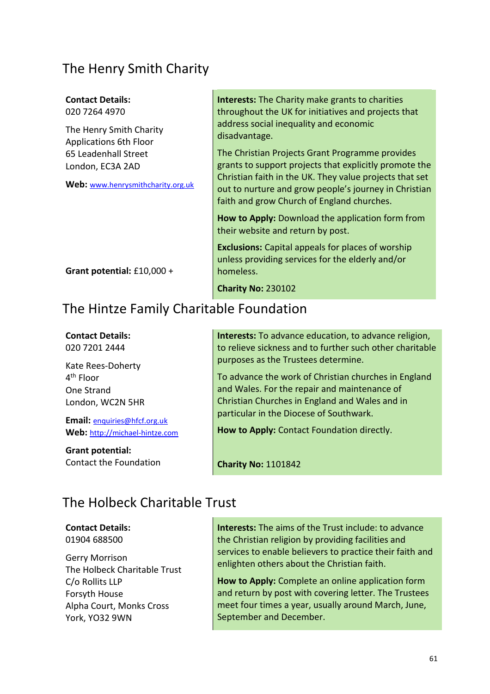### The Henry Smith Charity

| <b>Contact Details:</b>                                                                                                                   | <b>Interests:</b> The Charity make grants to charities                                                                                                                                                                                                                                                                                 |
|-------------------------------------------------------------------------------------------------------------------------------------------|----------------------------------------------------------------------------------------------------------------------------------------------------------------------------------------------------------------------------------------------------------------------------------------------------------------------------------------|
| 020 7264 4970                                                                                                                             | throughout the UK for initiatives and projects that                                                                                                                                                                                                                                                                                    |
| The Henry Smith Charity<br><b>Applications 6th Floor</b><br>65 Leadenhall Street<br>London, EC3A 2AD<br>Web: www.henrysmithcharity.org.uk | address social inequality and economic<br>disadvantage.<br>The Christian Projects Grant Programme provides<br>grants to support projects that explicitly promote the<br>Christian faith in the UK. They value projects that set<br>out to nurture and grow people's journey in Christian<br>faith and grow Church of England churches. |
|                                                                                                                                           | How to Apply: Download the application form from<br>their website and return by post.                                                                                                                                                                                                                                                  |
| Grant potential: £10,000 +                                                                                                                | <b>Exclusions:</b> Capital appeals for places of worship<br>unless providing services for the elderly and/or<br>homeless.                                                                                                                                                                                                              |
|                                                                                                                                           | <b>Charity No: 230102</b>                                                                                                                                                                                                                                                                                                              |
|                                                                                                                                           |                                                                                                                                                                                                                                                                                                                                        |

# The Hintze Family Charitable Foundation

# **Contact Details:**

020 7201 2444

Kate Rees-Doherty 4<sup>th</sup> Floor One Strand London, WC2N 5HR

**Email:** [enquiries@hfcf.org.uk](mailto:enquiries@hfcf.org.uk) **Web:** [http://michael-hintze.com](mailto:enquiries@hfcf.org.uk)

**Grant potential:**

Contact the Foundation

**Interests:** To advance education, to advance religion, to relieve sickness and to further such other charitable purposes as the Trustees determine.

To advance the work of Christian churches in England and Wales. For the repair and maintenance of Christian Churches in England and Wales and in particular in the Diocese of Southwark.

**How to Apply:** Contact Foundation directly.

**Charity No:** 1101842

# The Holbeck Charitable Trust

**Contact Details:** 01904 688500

Gerry Morrison The Holbeck Charitable Trust C/o Rollits LLP Forsyth House Alpha Court, Monks Cross York, YO32 9WN

**Interests:** The aims of the Trust include: to advance the Christian religion by providing facilities and services to enable believers to practice their faith and enlighten others about the Christian faith.

**How to Apply:** Complete an online application form and return by post with covering letter. The Trustees meet four times a year, usually around March, June, September and December.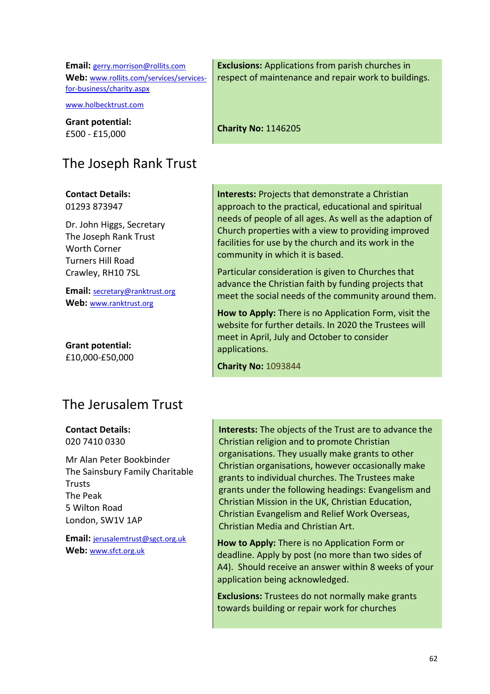**Email:** [gerry.morrison@rollits.com](mailto:gerry.morrison@rollits.com)  **Web:** [www.rollits.com/services/services](http://www.rollits.com/services/services-for-business/charity.aspx)[for-business/charity.aspx](http://www.rollits.com/services/services-for-business/charity.aspx)

[www.holbecktrust.com](http://www.holbecktrust.com/)

**Grant potential:** £500 - £15,000

# The Joseph Rank Trust

**Contact Details:** 01293 873947

Dr. John Higgs, Secretary The Joseph Rank Trust Worth Corner Turners Hill Road Crawley, RH10 7SL

**Email:** [secretary@ranktrust.org](mailto:secretary@ranktrust.org) **Web:** [www.ranktrust.org](http://www.ranktrust.org/)

**Grant potential:** £10,000-£50,000

### The Jerusalem Trust

**Contact Details:** 020 7410 0330

Mr Alan Peter Bookbinder The Sainsbury Family Charitable **Trusts** The Peak 5 Wilton Road London, SW1V 1AP

**Email:** [jerusalemtrust@sgct.org.uk](mailto:info@sfct.org.uk) Web: [www.sfct.org.uk](http://www.sfct.org.uk/)

**Exclusions:** Applications from parish churches in respect of maintenance and repair work to buildings.

**Charity No:** 1146205

**Interests:** Projects that demonstrate a Christian approach to the practical, educational and spiritual needs of people of all ages. As well as the adaption of Church properties with a view to providing improved facilities for use by the church and its work in the community in which it is based.

Particular consideration is given to Churches that advance the Christian faith by funding projects that meet the social needs of the community around them.

**How to Apply:** There is no Application Form, visit the website for further details. In 2020 the Trustees will meet in April, July and October to consider applications.

**Charity No:** 1093844

**Interests:** The objects of the Trust are to advance the Christian religion and to promote Christian organisations. They usually make grants to other Christian organisations, however occasionally make grants to individual churches. The Trustees make grants under the following headings: Evangelism and Christian Mission in the UK, Christian Education, Christian Evangelism and Relief Work Overseas, Christian Media and Christian Art.

**How to Apply:** There is no Application Form or deadline. Apply by post (no more than two sides of A4). Should receive an answer within 8 weeks of your application being acknowledged.

**Exclusions:** Trustees do not normally make grants towards building or repair work for churches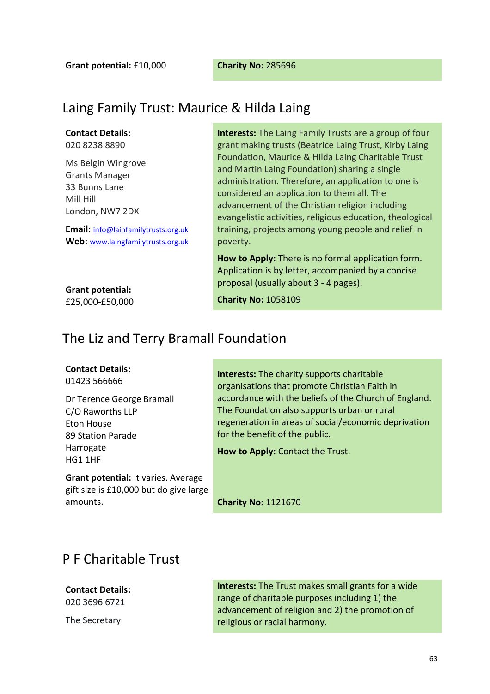**Grant potential:** £10,000 **Charity No:** 285696

# Laing Family Trust: Maurice & Hilda Laing

**Contact Details:** 020 8238 8890

Ms Belgin Wingrove Grants Manager 33 Bunns Lane

Mill Hill London, NW7 2DX

**Email:** [info@lainfamilytrusts.org.uk](mailto:info@lainfamilytrusts.org.uk) **Web:** [www.laingfamilytrusts.org.uk](http://www.laingfamilytrusts.org.uk/) **Interests:** The Laing Family Trusts are a group of four grant making trusts (Beatrice Laing Trust, Kirby Laing Foundation, Maurice & Hilda Laing Charitable Trust and Martin Laing Foundation) sharing a single administration. Therefore, an application to one is considered an application to them all. The advancement of the Christian religion including evangelistic activities, religious education, theological training, projects among young people and relief in poverty.

**How to Apply:** There is no formal application form. Application is by letter, accompanied by a concise proposal (usually about 3 - 4 pages).

**Grant potential:** £25,000-£50,000

**Charity No:** 1058109

### The Liz and Terry Bramall Foundation

#### **Contact Details:**

01423 566666

Dr Terence George Bramall C/O Raworths LLP Eton House 89 Station Parade Harrogate HG1 1HF

**Grant potential:** It varies. Average gift size is £10,000 but do give large amounts.

**Interests:** The charity supports charitable organisations that promote Christian Faith in accordance with the beliefs of the Church of England. The Foundation also supports urban or rural regeneration in areas of social/economic deprivation for the benefit of the public.

**How to Apply:** Contact the Trust.

**Charity No:** 1121670

### P F Charitable Trust

#### **Contact Details:** 020 3696 6721

The Secretary

**Interests:** The Trust makes small grants for a wide range of charitable purposes including 1) the advancement of religion and 2) the promotion of religious or racial harmony.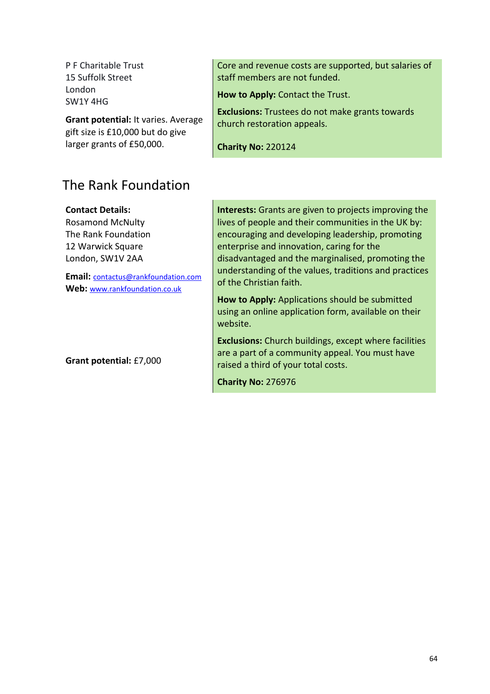P F Charitable Trust 15 Suffolk Street London SW1Y 4HG

**Grant potential:** It varies. Average gift size is £10,000 but do give larger grants of £50,000.

### Core and revenue costs are supported, but salaries of staff members are not funded.

**How to Apply:** Contact the Trust.

**Exclusions:** Trustees do not make grants towards church restoration appeals.

**Charity No:** 220124

### The Rank Foundation

**Contact Details:**

Rosamond McNulty The Rank Foundation 12 Warwick Square London, SW1V 2AA

**Email:** contactus@rankfoundation.com **Web:** [www.rankfoundation.co.uk](http://www.rankfoundation.co.uk/)

**Grant potential:** £7,000

**Interests:** Grants are given to projects improving the lives of people and their communities in the UK by: encouraging and developing leadership, promoting enterprise and innovation, caring for the disadvantaged and the marginalised, promoting the understanding of the values, traditions and practices of the Christian faith.

**How to Apply:** Applications should be submitted using an online application form, available on their website.

**Exclusions:** Church buildings, except where facilities are a part of a community appeal. You must have raised a third of your total costs.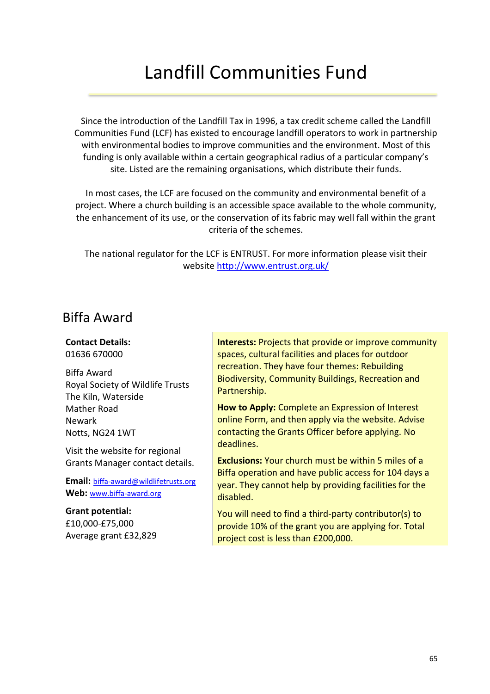# Landfill Communities Fund

Since the introduction of the Landfill Tax in 1996, a tax credit scheme called the Landfill Communities Fund (LCF) has existed to encourage landfill operators to work in partnership with environmental bodies to improve communities and the environment. Most of this funding is only available within a certain geographical radius of a particular company's site. Listed are the remaining organisations, which distribute their funds.

In most cases, the LCF are focused on the community and environmental benefit of a project. Where a church building is an accessible space available to the whole community, the enhancement of its use, or the conservation of its fabric may well fall within the grant criteria of the schemes.

The national regulator for the LCF is ENTRUST. For more information please visit their website<http://www.entrust.org.uk/>

### Biffa Award

**Contact Details:** 01636 670000

Biffa Award Royal Society of Wildlife Trusts The Kiln, Waterside Mather Road Newark Notts, NG24 1WT

Visit the website for regional Grants Manager contact details.

**Email:** biffa-award@wildlifetrusts.org **Web:** [www.biffa-award.org](http://www.biffa-award.org/)

**Grant potential:** £10,000-£75,000 Average grant £32,829 **Interests:** Projects that provide or improve community spaces, cultural facilities and places for outdoor recreation. They have four themes: Rebuilding Biodiversity, Community Buildings, Recreation and Partnership.

**How to Apply:** Complete an Expression of Interest online Form, and then apply via the website. Advise contacting the Grants Officer before applying. No deadlines.

**Exclusions:** Your church must be within 5 miles of a Biffa operation and have public access for 104 days a year. They cannot help by providing facilities for the disabled.

You will need to find a third-party contributor(s) to provide 10% of the grant you are applying for. Total project cost is less than £200,000.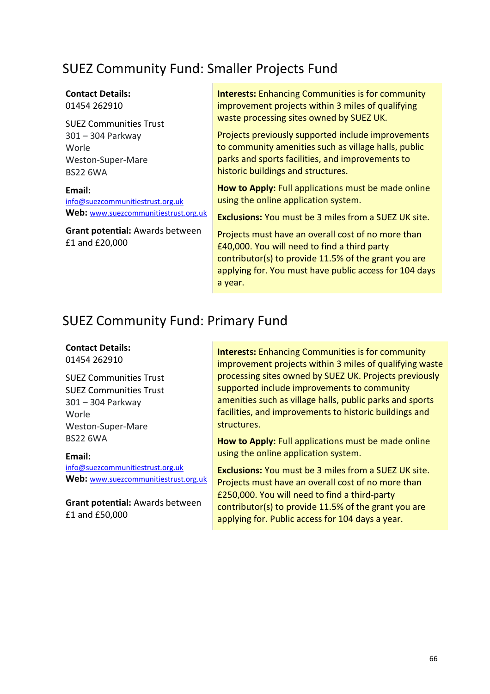# SUEZ Community Fund: Smaller Projects Fund

#### **Contact Details:** 01454 262910

SUEZ Communities Trust 301 – 304 Parkway Worle Weston-Super-Mare BS22 6WA

**Email:**  [info@suezcommunitiestrust.org.uk](mailto:info@suezcommunitiestrust.org.uk) **Web:** [www.suezcommunitiestrust.org.uk](http://www.sitatrust.org.uk/)

**Grant potential:** Awards between £1 and £20,000

**Interests:** Enhancing Communities is for community improvement projects within 3 miles of qualifying waste processing sites owned by SUEZ UK.

Projects previously supported include improvements to community amenities such as village halls, public parks and sports facilities, and improvements to historic buildings and structures.

**How to Apply:** Full applications must be made online using the online application system.

**Exclusions:** You must be 3 miles from a SUEZ UK site.

Projects must have an overall cost of no more than £40,000. You will need to find a third party contributor(s) to provide 11.5% of the grant you are applying for. You must have public access for 104 days a year.

### SUEZ Community Fund: Primary Fund

### **Contact Details:** 01454 262910

SUEZ Communities Trust SUEZ Communities Trust 301 – 304 Parkway Worle Weston-Super-Mare BS22 6WA

**Email:**  [info@suezcommunitiestrust.org.uk](mailto:info@suezcommunitiestrust.org.uk) **Web:** [www.suezcommunitiestrust.org.uk](http://www.sitatrust.org.uk/)

**Grant potential:** Awards between £1 and £50,000

**Interests:** Enhancing Communities is for community improvement projects within 3 miles of qualifying waste processing sites owned by SUEZ UK. Projects previously supported include improvements to community amenities such as village halls, public parks and sports facilities, and improvements to historic buildings and structures.

**How to Apply:** Full applications must be made online using the online application system.

**Exclusions:** You must be 3 miles from a SUEZ UK site. Projects must have an overall cost of no more than £250,000. You will need to find a third-party contributor(s) to provide 11.5% of the grant you are applying for. Public access for 104 days a year.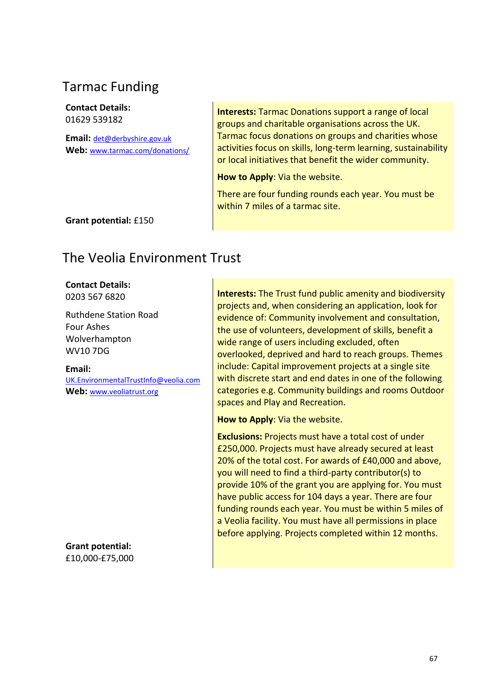# Tarmac Funding

**Contact Details:** 01629 539182

**Email:** [det@derbyshire.gov.uk](mailto:det@derbyshire.gov.uk) **Web:** [www.tarmac.com/donations/](http://www.tarmac.com/donations/) **Interests:** Tarmac Donations support a range of local groups and charitable organisations across the UK. Tarmac focus donations on groups and charities whose activities focus on skills, long-term learning, sustainability or local initiatives that benefit the wider community.

**How to Apply**: Via the website.

There are four funding rounds each year. You must be within 7 miles of a tarmac site.

**Grant potential:** £150

# The Veolia Environment Trust

### **Contact Details:**

0203 567 6820

Ruthdene Station Road Four Ashes Wolverhampton WV10 7DG

**Email:** UK.EnvironmentalTrustInfo@veolia.com **Web:** [www.veoliatrust.org](http://www.veoliatrust.org/)

**Grant potential:** £10,000-£75,000 **Interests:** The Trust fund public amenity and biodiversity projects and, when considering an application, look for evidence of: Community involvement and consultation, the use of volunteers, development of skills, benefit a wide range of users including excluded, often overlooked, deprived and hard to reach groups. Themes include: Capital improvement projects at a single site with discrete start and end dates in one of the following categories e.g. Community buildings and rooms Outdoor spaces and Play and Recreation.

**How to Apply**: Via the website.

**Exclusions:** Projects must have a total cost of under £250,000. Projects must have already secured at least 20% of the total cost. For awards of £40,000 and above, you will need to find a third-party contributor(s) to provide 10% of the grant you are applying for. You must have public access for 104 days a year. There are four funding rounds each year. You must be within 5 miles of a Veolia facility. You must have all permissions in place before applying. Projects completed within 12 months.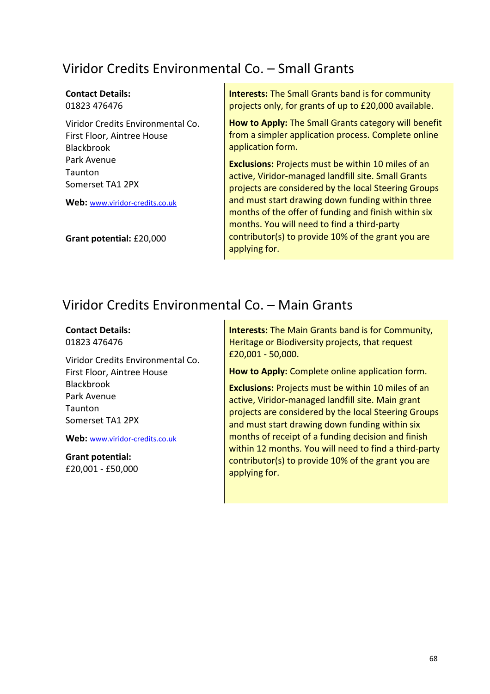# Viridor Credits Environmental Co. – Small Grants

### **Contact Details:** 01823 476476

Viridor Credits Environmental Co. First Floor, Aintree House Blackbrook Park Avenue **Taunton** Somerset TA1 2PX

**Web:** [www.viridor-credits.co.uk](http://www.viridor-credits.co.uk/)

**Grant potential:** £20,000

**Interests:** The Small Grants band is for community projects only, for grants of up to £20,000 available.

**How to Apply:** The Small Grants category will benefit from a simpler application process. Complete online application form.

**Exclusions:** Projects must be within 10 miles of an active, Viridor-managed landfill site. Small Grants projects are considered by the local Steering Groups and must start drawing down funding within three months of the offer of funding and finish within six months. You will need to find a third-party contributor(s) to provide 10% of the grant you are applying for.

### Viridor Credits Environmental Co. – Main Grants

### **Contact Details:**

01823 476476

Viridor Credits Environmental Co. First Floor, Aintree House Blackbrook Park Avenue **Taunton** Somerset TA1 2PX

**Web:** [www.viridor-credits.co.uk](http://www.viridor-credits.co.uk/)

**Grant potential:** £20,001 - £50,000 **Interests:** The Main Grants band is for Community, Heritage or Biodiversity projects, that request £20,001 - 50,000.

**How to Apply:** Complete online application form.

**Exclusions:** Projects must be within 10 miles of an active, Viridor-managed landfill site. Main grant projects are considered by the local Steering Groups and must start drawing down funding within six months of receipt of a funding decision and finish within 12 months. You will need to find a third-party contributor(s) to provide 10% of the grant you are applying for.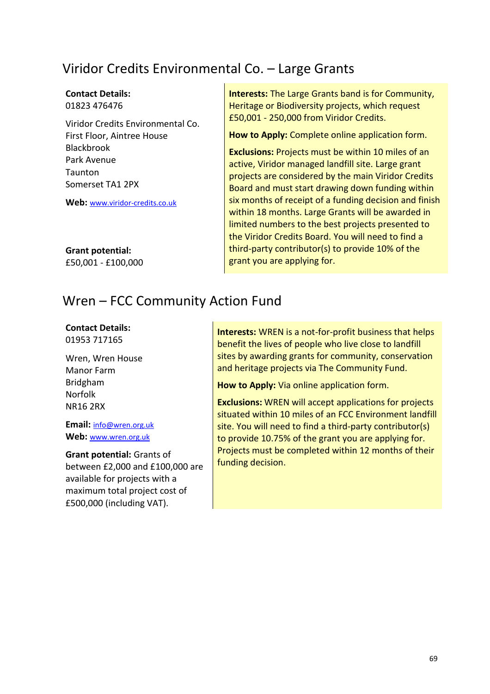# Viridor Credits Environmental Co. – Large Grants

### **Contact Details:** 01823 476476

Viridor Credits Environmental Co. First Floor, Aintree House Blackbrook Park Avenue **Taunton** Somerset TA1 2PX

**Web:** [www.viridor-credits.co.uk](http://www.viridor-credits.co.uk/)

**Grant potential:** £50,001 - £100,000 **Interests:** The Large Grants band is for Community, Heritage or Biodiversity projects, which request £50,001 - 250,000 from Viridor Credits.

**How to Apply:** Complete online application form.

**Exclusions:** Projects must be within 10 miles of an active, Viridor managed landfill site. Large grant projects are considered by the main Viridor Credits Board and must start drawing down funding within six months of receipt of a funding decision and finish within 18 months. Large Grants will be awarded in limited numbers to the best projects presented to the Viridor Credits Board. You will need to find a third-party contributor(s) to provide 10% of the grant you are applying for.

### Wren – FCC Community Action Fund

### **Contact Details:**

01953 717165

Wren, Wren House Manor Farm Bridgham Norfolk NR16 2RX

**Email:** [info@wren.org.uk](mailto:info@wren.org.uk) **Web:** [www.wren.org.uk](http://www.wren.org.uk/)

### **Grant potential:** Grants of

between £2,000 and £100,000 are available for projects with a maximum total project cost of £500,000 (including VAT).

**Interests:** WREN is a not-for-profit business that helps benefit the lives of people who live close to landfill sites by awarding grants for community, conservation and heritage projects via The Community Fund.

**How to Apply:** Via online application form.

**Exclusions:** WREN will accept applications for projects situated within 10 miles of an FCC Environment landfill site. You will need to find a third-party contributor(s) to provide 10.75% of the grant you are applying for. Projects must be completed within 12 months of their funding decision.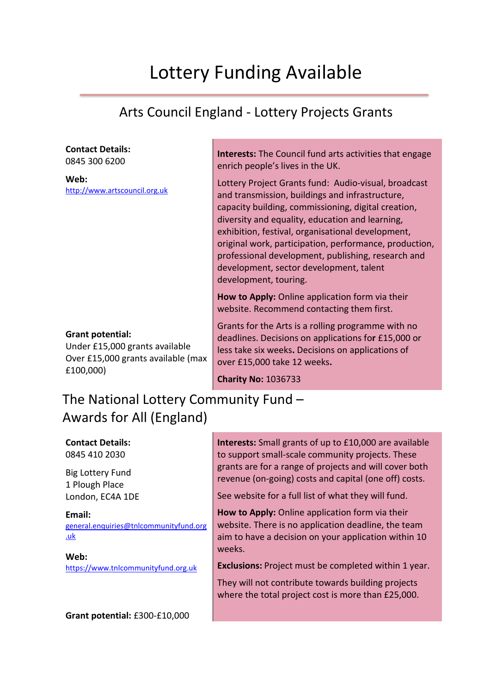# Lottery Funding Available

# Arts Council England - Lottery Projects Grants

### **Contact Details:**

0845 300 6200

**Web:** [http://www.artscouncil.org.uk](http://www.artscouncil.org.uk/)

### **Grant potential:**

Under £15,000 grants available Over £15,000 grants available (max £100,000)

**Interests:** The Council fund arts activities that engage enrich people's lives in the UK.

Lottery Project Grants fund: Audio-visual, broadcast and transmission, buildings and infrastructure, capacity building, commissioning, digital creation, diversity and equality, education and learning, exhibition, festival, organisational development, original work, participation, performance, production, professional development, publishing, research and development, sector development, talent development, touring.

**How to Apply:** Online application form via their website. Recommend contacting them first.

Grants for the Arts is a rolling programme with no deadlines. Decisions on applications fo**r** £15,000 or less take six weeks**.** Decisions on applications of over £15,000 take 12 weeks**.** 

**Charity No:** 1036733

# The National Lottery Community Fund – Awards for All (England)

**Contact Details:** 0845 410 2030

Big Lottery Fund 1 Plough Place London, EC4A 1DE

**Email:**  [general.enquiries@tnlcommunityfund.org](mailto:general.enquiries@tnlcommunityfund.org.uk) [.uk](mailto:general.enquiries@tnlcommunityfund.org.uk)

**Web:**  https://www.tnlcommunityfund.org.uk

**Grant potential:** £300-£10,000

**Interests:** Small grants of up to £10,000 are available to support small-scale community projects. These grants are for a range of projects and will cover both revenue (on-going) costs and capital (one off) costs.

See website for a full list of what they will fund.

**How to Apply:** Online application form via their website. There is no application deadline, the team aim to have a decision on your application within 10 weeks.

**Exclusions:** Project must be completed within 1 year.

They will not contribute towards building projects where the total project cost is more than £25,000.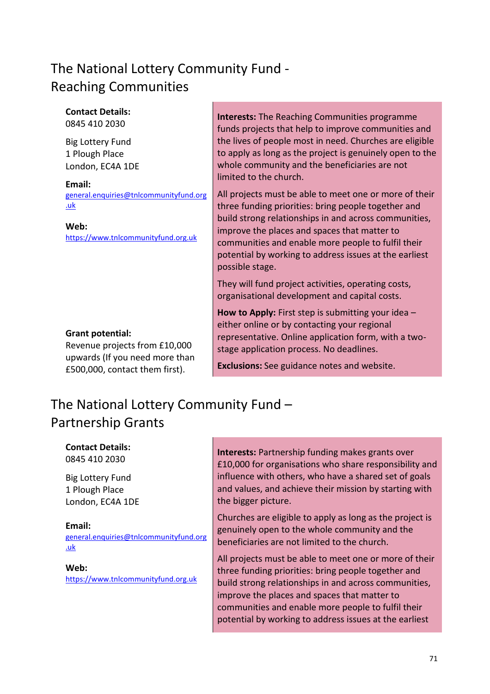# The National Lottery Community Fund - Reaching Communities

**Contact Details:** 0845 410 2030

Big Lottery Fund 1 Plough Place London, EC4A 1DE

**Email:**  [general.enquiries@tnlcommunityfund.org](mailto:general.enquiries@tnlcommunityfund.org.uk) [.uk](mailto:general.enquiries@tnlcommunityfund.org.uk)

**Web:**  https://www.tnlcommunityfund.org.uk

### **Grant potential:**

Revenue projects from £10,000 upwards (If you need more than £500,000, contact them first).

**Interests:** The Reaching Communities programme funds projects that help to improve communities and the lives of people most in need. Churches are eligible to apply as long as the project is genuinely open to the whole community and the beneficiaries are not limited to the church.

All projects must be able to meet one or more of their three funding priorities: bring people together and build strong relationships in and across communities, improve the places and spaces that matter to communities and enable more people to fulfil their potential by working to address issues at the earliest possible stage.

They will fund project activities, operating costs, organisational development and capital costs.

**How to Apply:** First step is submitting your idea – either online or by contacting your regional representative. Online application form, with a twostage application process. No deadlines.

**Exclusions:** See guidance notes and website.

# The National Lottery Community Fund – Partnership Grants

**Contact Details:** 0845 410 2030

Big Lottery Fund 1 Plough Place London, EC4A 1DE

**Email:**  [general.enquiries@tnlcommunityfund.org](mailto:general.enquiries@tnlcommunityfund.org.uk) [.uk](mailto:general.enquiries@tnlcommunityfund.org.uk)

**Web:**  https://www.tnlcommunityfund.org.uk **Interests:** Partnership funding makes grants over £10,000 for organisations who share responsibility and influence with others, who have a shared set of goals and values, and achieve their mission by starting with the bigger picture.

Churches are eligible to apply as long as the project is genuinely open to the whole community and the beneficiaries are not limited to the church.

All projects must be able to meet one or more of their three funding priorities: bring people together and build strong relationships in and across communities, improve the places and spaces that matter to communities and enable more people to fulfil their potential by working to address issues at the earliest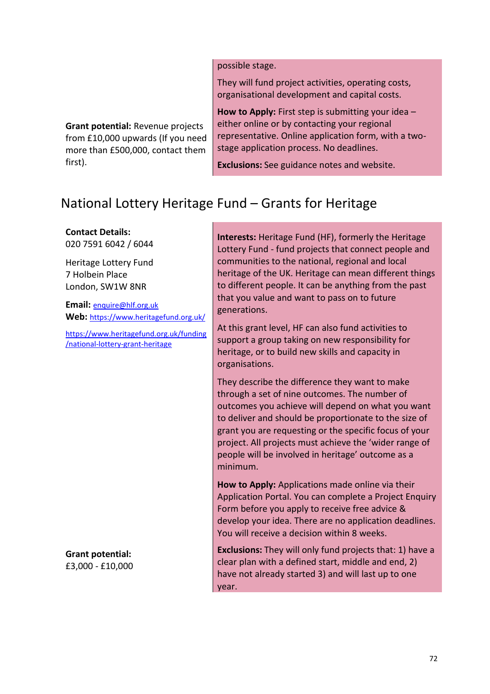possible stage.

They will fund project activities, operating costs, organisational development and capital costs.

**How to Apply:** First step is submitting your idea – either online or by contacting your regional representative. Online application form, with a twostage application process. No deadlines.

**Exclusions:** See guidance notes and website.

# National Lottery Heritage Fund – Grants for Heritage

**Contact Details:** 020 7591 6042 / 6044

first).

Heritage Lottery Fund 7 Holbein Place London, SW1W 8NR

**Email:** [enquire@hlf.org.uk](mailto:enquire@hlf.org.uk) **Web:** <https://www.heritagefund.org.uk/>

**Grant potential:** Revenue projects from £10,000 upwards (If you need more than £500,000, contact them

[https://www.heritagefund.org.uk/funding](https://www.heritagefund.org.uk/funding/national-lottery-grant-heritage) [/national-lottery-grant-heritage](https://www.heritagefund.org.uk/funding/national-lottery-grant-heritage)

**Grant potential:** £3,000 - £10,000 **Interests:** Heritage Fund (HF), formerly the Heritage Lottery Fund - fund projects that connect people and communities to the national, regional and local heritage of the UK. Heritage can mean different things to different people. It can be anything from the past that you value and want to pass on to future generations.

At this grant level, HF can also fund activities to support a group taking on new responsibility for heritage, or to build new skills and capacity in organisations.

They describe the difference they want to make through a set of nine outcomes. The number of outcomes you achieve will depend on what you want to deliver and should be proportionate to the size of grant you are requesting or the specific focus of your project. All projects must achieve the 'wider range of people will be involved in heritage' outcome as a minimum.

**How to Apply:** Applications made online via their Application Portal. You can complete a Project Enquiry Form before you apply to receive free advice & develop your idea. There are no application deadlines. You will receive a decision within 8 weeks.

**Exclusions:** They will only fund projects that: 1) have a clear plan with a defined start, middle and end, 2) have not already started 3) and will last up to one year.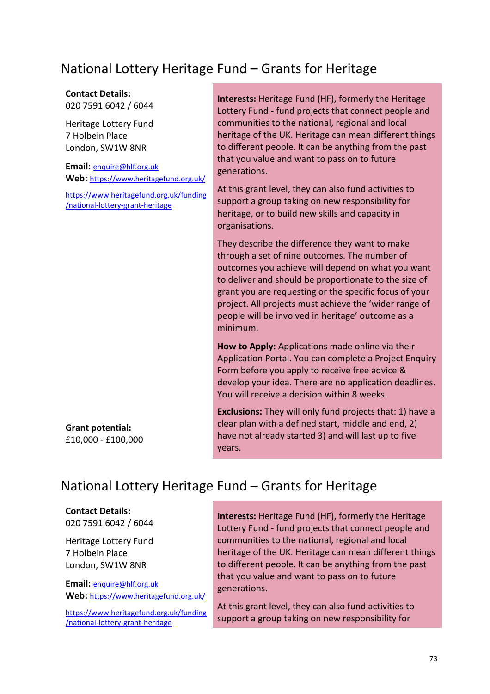## National Lottery Heritage Fund – Grants for Heritage

#### **Contact Details:** 020 7591 6042 / 6044

Heritage Lottery Fund 7 Holbein Place London, SW1W 8NR

**Email:** [enquire@hlf.org.uk](mailto:enquire@hlf.org.uk) **Web:** <https://www.heritagefund.org.uk/>

[https://www.heritagefund.org.uk/funding](https://www.heritagefund.org.uk/funding/national-lottery-grant-heritage) [/national-lottery-grant-heritage](https://www.heritagefund.org.uk/funding/national-lottery-grant-heritage)

**Interests:** Heritage Fund (HF), formerly the Heritage Lottery Fund - fund projects that connect people and communities to the national, regional and local heritage of the UK. Heritage can mean different things to different people. It can be anything from the past that you value and want to pass on to future generations.

At this grant level, they can also fund activities to support a group taking on new responsibility for heritage, or to build new skills and capacity in organisations.

They describe the difference they want to make through a set of nine outcomes. The number of outcomes you achieve will depend on what you want to deliver and should be proportionate to the size of grant you are requesting or the specific focus of your project. All projects must achieve the 'wider range of people will be involved in heritage' outcome as a minimum.

**How to Apply:** Applications made online via their Application Portal. You can complete a Project Enquiry Form before you apply to receive free advice & develop your idea. There are no application deadlines. You will receive a decision within 8 weeks.

**Exclusions:** They will only fund projects that: 1) have a clear plan with a defined start, middle and end, 2) have not already started 3) and will last up to five years.

#### **Grant potential:** £10,000 - £100,000

#### National Lottery Heritage Fund – Grants for Heritage

#### **Contact Details:**

020 7591 6042 / 6044

Heritage Lottery Fund 7 Holbein Place London, SW1W 8NR

**Email:** [enquire@hlf.org.uk](mailto:enquire@hlf.org.uk) **Web:** <https://www.heritagefund.org.uk/>

[https://www.heritagefund.org.uk/funding](https://www.heritagefund.org.uk/funding/national-lottery-grant-heritage) [/national-lottery-grant-heritage](https://www.heritagefund.org.uk/funding/national-lottery-grant-heritage)

**Interests:** Heritage Fund (HF), formerly the Heritage Lottery Fund - fund projects that connect people and communities to the national, regional and local heritage of the UK. Heritage can mean different things to different people. It can be anything from the past that you value and want to pass on to future generations.

At this grant level, they can also fund activities to support a group taking on new responsibility for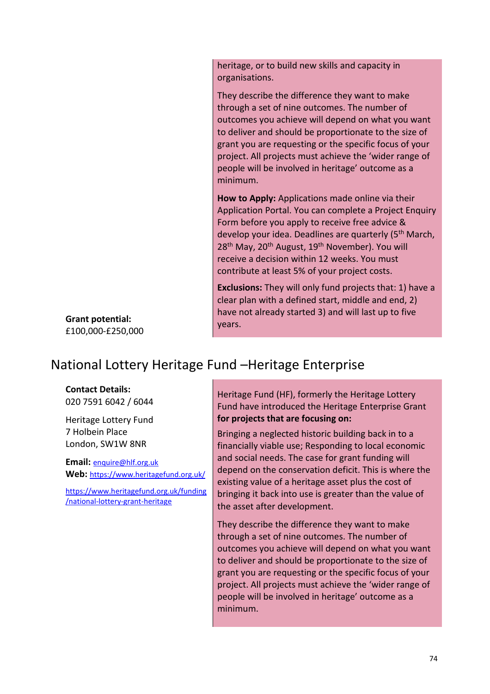heritage, or to build new skills and capacity in organisations.

They describe the difference they want to make through a set of nine outcomes. The number of outcomes you achieve will depend on what you want to deliver and should be proportionate to the size of grant you are requesting or the specific focus of your project. All projects must achieve the 'wider range of people will be involved in heritage' outcome as a minimum.

**How to Apply:** Applications made online via their Application Portal. You can complete a Project Enquiry Form before you apply to receive free advice & develop your idea. Deadlines are quarterly (5<sup>th</sup> March, 28<sup>th</sup> May, 20<sup>th</sup> August, 19<sup>th</sup> November). You will receive a decision within 12 weeks. You must contribute at least 5% of your project costs.

**Exclusions:** They will only fund projects that: 1) have a clear plan with a defined start, middle and end, 2) have not already started 3) and will last up to five years.

**Grant potential:** £100,000-£250,000

#### National Lottery Heritage Fund –Heritage Enterprise

#### **Contact Details:**

020 7591 6042 / 6044

Heritage Lottery Fund 7 Holbein Place London, SW1W 8NR

**Email:** [enquire@hlf.org.uk](mailto:enquire@hlf.org.uk) **Web:** <https://www.heritagefund.org.uk/>

[https://www.heritagefund.org.uk/funding](https://www.heritagefund.org.uk/funding/national-lottery-grant-heritage) [/national-lottery-grant-heritage](https://www.heritagefund.org.uk/funding/national-lottery-grant-heritage)

Heritage Fund (HF), formerly the Heritage Lottery Fund have introduced the Heritage Enterprise Grant **for projects that are focusing on:**

Bringing a neglected historic building back in to a financially viable use; Responding to local economic and social needs. The case for grant funding will depend on the conservation deficit. This is where the existing value of a heritage asset plus the cost of bringing it back into use is greater than the value of the asset after development.

They describe the difference they want to make through a set of nine outcomes. The number of outcomes you achieve will depend on what you want to deliver and should be proportionate to the size of grant you are requesting or the specific focus of your project. All projects must achieve the 'wider range of people will be involved in heritage' outcome as a minimum.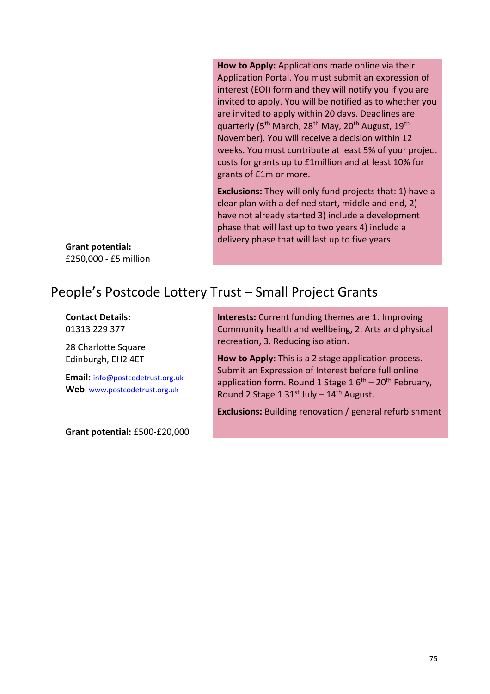**How to Apply:** Applications made online via their Application Portal. You must submit an expression of interest (EOI) form and they will notify you if you are invited to apply. You will be notified as to whether you are invited to apply within 20 days. Deadlines are quarterly (5<sup>th</sup> March, 28<sup>th</sup> May, 20<sup>th</sup> August, 19<sup>th</sup> November). You will receive a decision within 12 weeks. You must contribute at least 5% of your project costs for grants up to £1million and at least 10% for grants of £1m or more.

**Exclusions:** They will only fund projects that: 1) have a clear plan with a defined start, middle and end, 2) have not already started 3) include a development phase that will last up to two years 4) include a delivery phase that will last up to five years.

**Grant potential:** £250,000 - £5 million

#### People's Postcode Lottery Trust – Small Project Grants

**Contact Details:** 01313 229 377

28 Charlotte Square Edinburgh, EH2 4ET

**Email:** [info@postcodetrust.org.uk](mailto:info@postcodetrust.org.uk) **Web**: [www.postcodetrust.org.uk](http://www.postcodetrust.org.uk/)

**Grant potential:** £500-£20,000

**Interests:** Current funding themes are 1. Improving Community health and wellbeing, 2. Arts and physical recreation, 3. Reducing isolation.

**How to Apply:** This is a 2 stage application process. Submit an Expression of Interest before full online application form. Round 1 Stage  $1.6<sup>th</sup> - 20<sup>th</sup>$  February, Round 2 Stage 1 31st July  $-14$ <sup>th</sup> August.

**Exclusions:** Building renovation / general refurbishment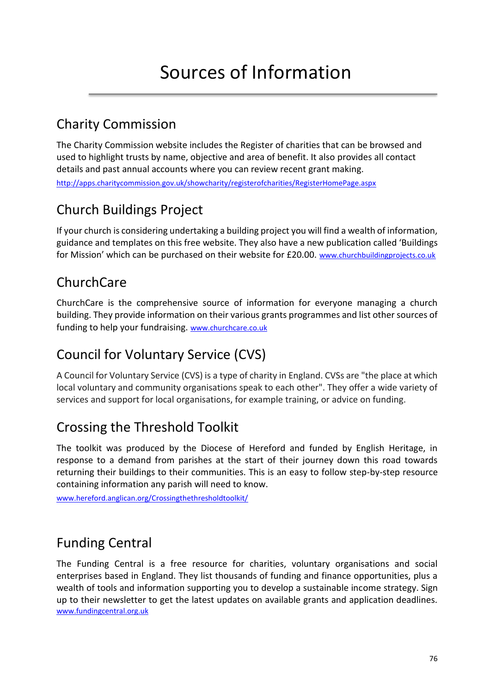## Charity Commission

The Charity Commission website includes the Register of charities that can be browsed and used to highlight trusts by name, objective and area of benefit. It also provides all contact details and past annual accounts where you can review recent grant making. <http://apps.charitycommission.gov.uk/showcharity/registerofcharities/RegisterHomePage.aspx>

## Church Buildings Project

If your church is considering undertaking a building project you will find a wealth of information, guidance and templates on this free website. They also have a new publication called 'Buildings for Mission' which can be purchased on their website for £20.00. www.churchbuildingprojects.co.uk

## ChurchCare

ChurchCare is the comprehensive source of information for everyone managing a church building. They provide information on their various grants programmes and list other sources of funding to help your fundraising. [www.churchcare.co.uk](http://www.churchcare.co.uk/)

# Council for Voluntary Service (CVS)

A Council for Voluntary Service (CVS) is a type of charity in England. CVSs are "the place at which local voluntary and community organisations speak to each other". They offer a wide variety of services and support for local organisations, for example training, or advice on funding.

## Crossing the Threshold Toolkit

The toolkit was produced by the Diocese of Hereford and funded by English Heritage, in response to a demand from parishes at the start of their journey down this road towards returning their buildings to their communities. This is an easy to follow step-by-step resource containing information any parish will need to know.

[www.hereford.anglican.org/Crossingthethresholdtoolkit/](http://www.hereford.anglican.org/Crossingthethresholdtoolkit/)

# Funding Central

The Funding Central is a free resource for charities, voluntary organisations and social enterprises based in England. They list thousands of funding and finance opportunities, plus a wealth of tools and information supporting you to develop a sustainable income strategy. Sign up to their newsletter to get the latest updates on available grants and application deadlines. [www.fundingcentral.org.uk](http://www.fundingcentral.org.uk/)